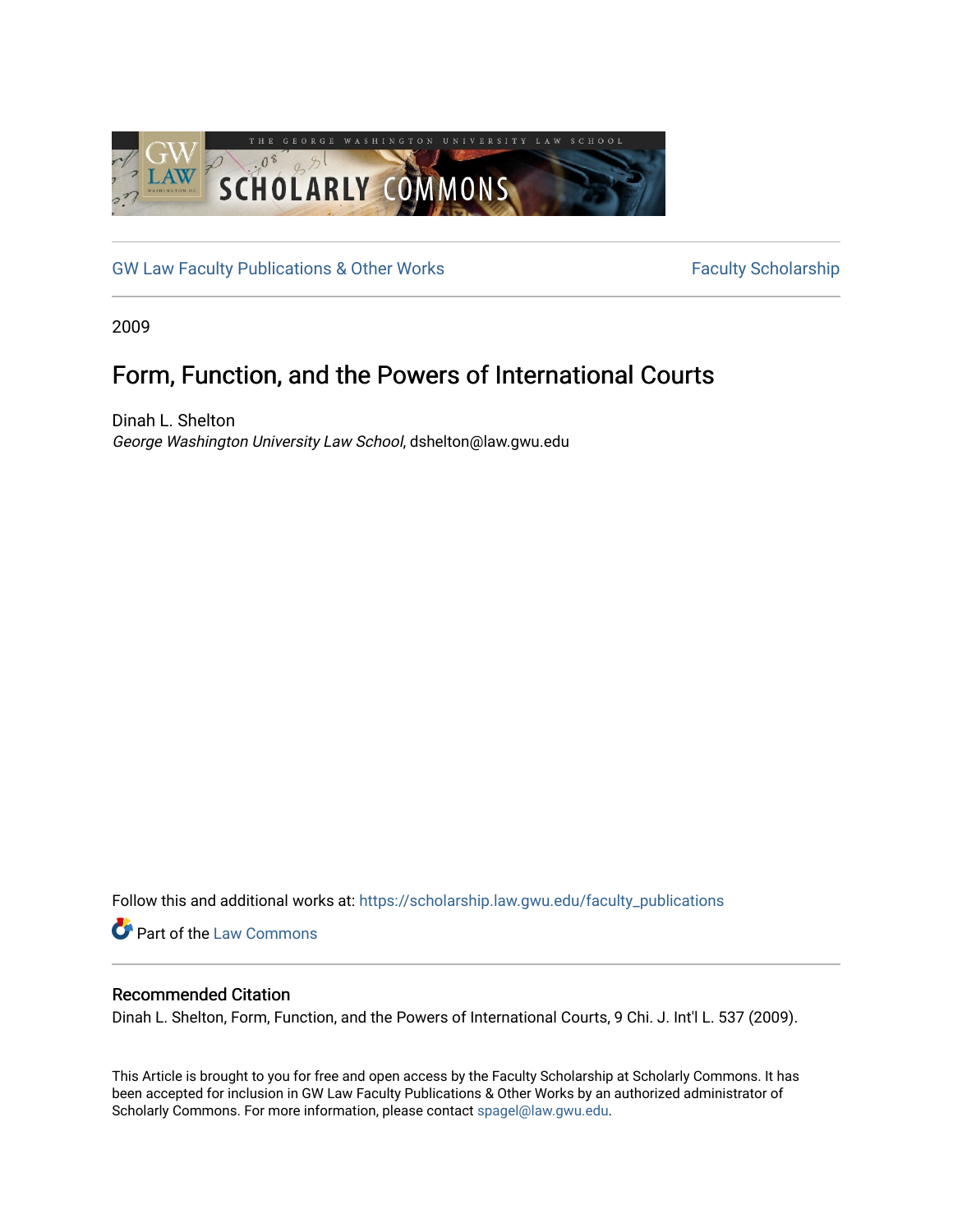

[GW Law Faculty Publications & Other Works](https://scholarship.law.gwu.edu/faculty_publications) Faculty Scholarship

2009

# Form, Function, and the Powers of International Courts

Dinah L. Shelton George Washington University Law School, dshelton@law.gwu.edu

Follow this and additional works at: [https://scholarship.law.gwu.edu/faculty\\_publications](https://scholarship.law.gwu.edu/faculty_publications?utm_source=scholarship.law.gwu.edu%2Ffaculty_publications%2F1046&utm_medium=PDF&utm_campaign=PDFCoverPages) 

**Part of the [Law Commons](http://network.bepress.com/hgg/discipline/578?utm_source=scholarship.law.gwu.edu%2Ffaculty_publications%2F1046&utm_medium=PDF&utm_campaign=PDFCoverPages)** 

## Recommended Citation

Dinah L. Shelton, Form, Function, and the Powers of International Courts, 9 Chi. J. Int'l L. 537 (2009).

This Article is brought to you for free and open access by the Faculty Scholarship at Scholarly Commons. It has been accepted for inclusion in GW Law Faculty Publications & Other Works by an authorized administrator of Scholarly Commons. For more information, please contact [spagel@law.gwu.edu](mailto:spagel@law.gwu.edu).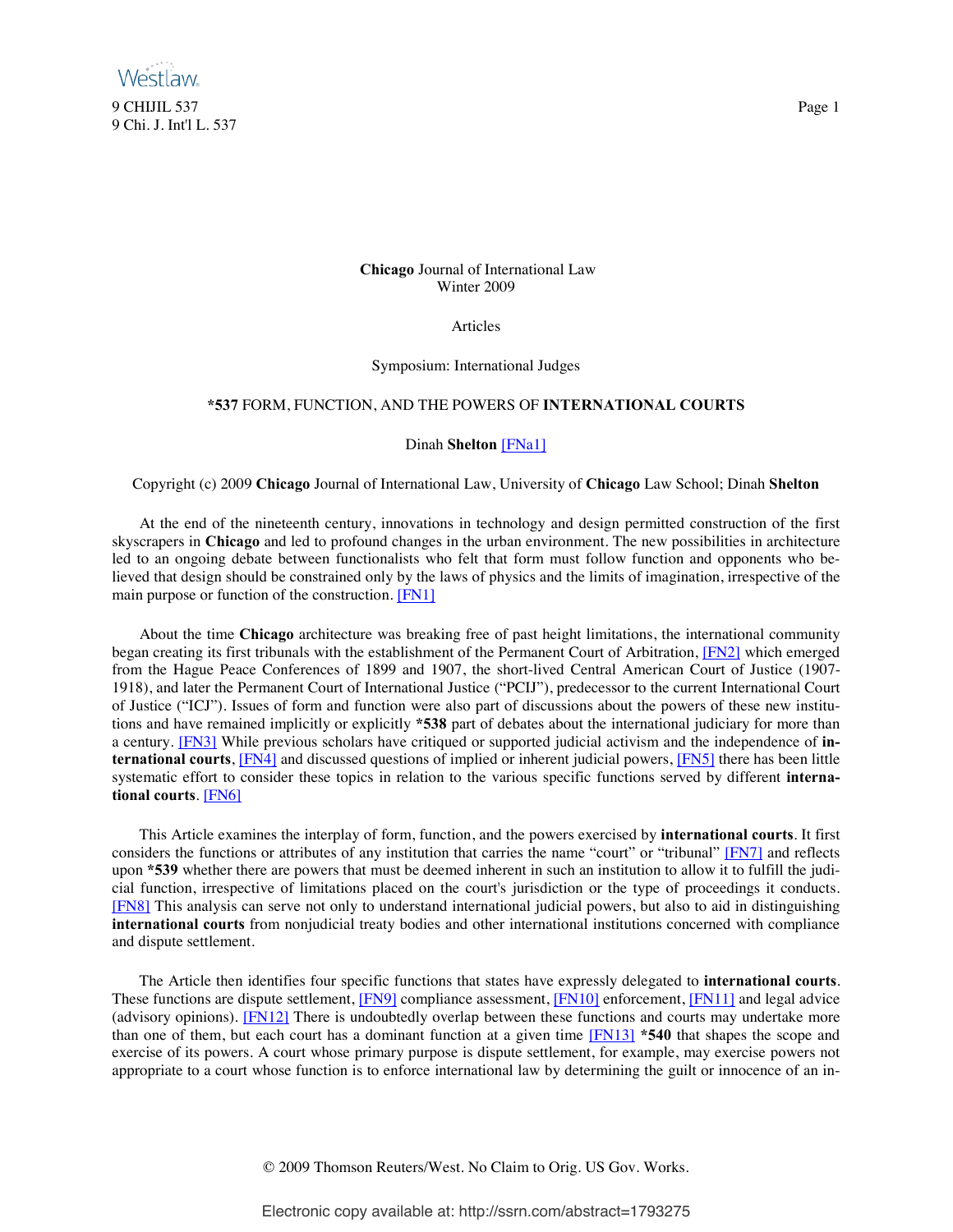

## **Chicago** Journal of International Law Winter 2009

Articles

Symposium: International Judges

#### **\*537** FORM, FUNCTION, AND THE POWERS OF **INTERNATIONAL COURTS**

## <span id="page-1-7"></span><span id="page-1-5"></span><span id="page-1-2"></span><span id="page-1-1"></span><span id="page-1-0"></span>Dinah **Shelton** [\[FNa1\]](#page-15-0)

Copyright (c) 2009 **Chicago** Journal of International Law, University of **Chicago** Law School; Dinah **Shelton**

 At the end of the nineteenth century, innovations in technology and design permitted construction of the first skyscrapers in **Chicago** and led to profound changes in the urban environment. The new possibilities in architecture led to an ongoing debate between functionalists who felt that form must follow function and opponents who believed that design should be constrained only by the laws of physics and the limits of imagination, irrespective of the main purpose or function of the construction. [\[FN1\]](#page-15-1)

 About the time **Chicago** architecture was breaking free of past height limitations, the international community began creating its first tribunals with the establishment of the Permanent Court of Arbitration, [\[FN2\]](#page-15-2) which emerged from the Hague Peace Conferences of 1899 and 1907, the short-lived Central American Court of Justice (1907- 1918), and later the Permanent Court of International Justice ("PCIJ"), predecessor to the current International Court of Justice ("ICJ"). Issues of form and function were also part of discussions about the powers of these new institutions and have remained implicitly or explicitly **\*538** part of debates about the international judiciary for more than a century. [\[FN3\]](#page-15-3) While previous scholars have critiqued or supported judicial activism and the independence of **international courts**, [\[FN4\]](#page-15-4) and discussed questions of implied or inherent judicial powers, [\[FN5\]](#page-15-5) there has been little systematic effort to consider these topics in relation to the various specific functions served by different **international courts**[. \[FN6\]](#page-15-6)

<span id="page-1-8"></span><span id="page-1-6"></span><span id="page-1-4"></span><span id="page-1-3"></span> This Article examines the interplay of form, function, and the powers exercised by **international courts**. It first considers the functions or attributes of any institution that carries the name "court" or "tribunal" [\[FN7\]](#page-16-0) and reflects upon **\*539** whether there are powers that must be deemed inherent in such an institution to allow it to fulfill the judicial function, irrespective of limitations placed on the court's jurisdiction or the type of proceedings it conducts. [\[FN8\]](#page-16-1) This analysis can serve not only to understand international judicial powers, but also to aid in distinguishing **international courts** from nonjudicial treaty bodies and other international institutions concerned with compliance and dispute settlement.

 The Article then identifies four specific functions that states have expressly delegated to **international courts**. These functions are dispute settlement, [\[FN9\]](#page-16-2) compliance assessment, [\[FN10\]](#page-16-3) enforcement, [\[FN11\]](#page-16-4) and legal advice (advisory opinions). [\[FN12\]](#page-16-5) There is undoubtedly overlap between these functions and courts may undertake more than one of them, but each court has a dominant function at a given time [\[FN13\]](#page-16-6) **\*540** that shapes the scope and exercise of its powers. A court whose primary purpose is dispute settlement, for example, may exercise powers not appropriate to a court whose function is to enforce international law by determining the guilt or innocence of an in-

<span id="page-1-13"></span><span id="page-1-12"></span><span id="page-1-11"></span><span id="page-1-10"></span><span id="page-1-9"></span>© 2009 Thomson Reuters/West. No Claim to Orig. US Gov. Works.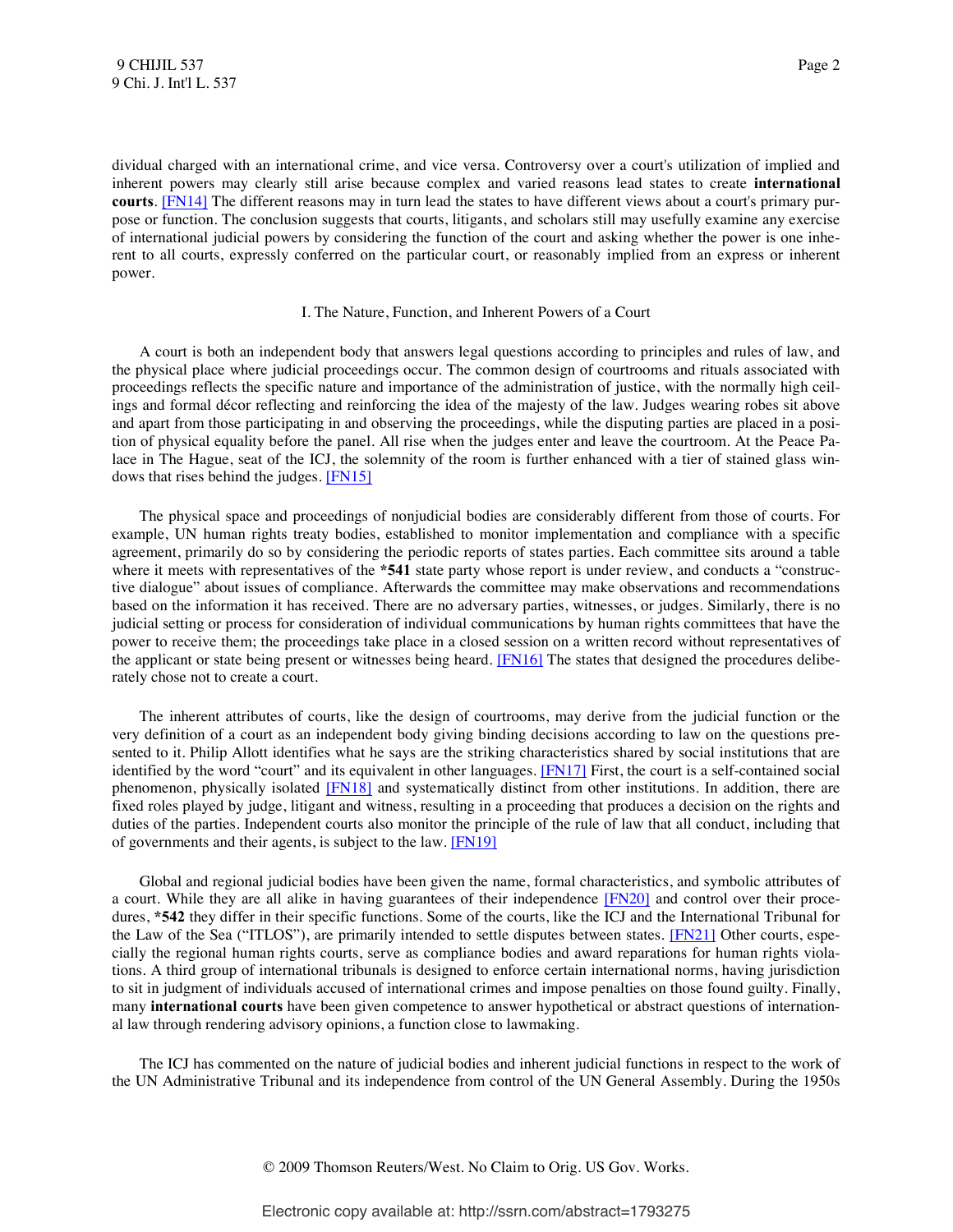<span id="page-2-0"></span>dividual charged with an international crime, and vice versa. Controversy over a court's utilization of implied and inherent powers may clearly still arise because complex and varied reasons lead states to create **international courts**. [\[FN14\]](#page-16-7) The different reasons may in turn lead the states to have different views about a court's primary purpose or function. The conclusion suggests that courts, litigants, and scholars still may usefully examine any exercise of international judicial powers by considering the function of the court and asking whether the power is one inherent to all courts, expressly conferred on the particular court, or reasonably implied from an express or inherent power.

## <span id="page-2-2"></span><span id="page-2-1"></span>I. The Nature, Function, and Inherent Powers of a Court

 A court is both an independent body that answers legal questions according to principles and rules of law, and the physical place where judicial proceedings occur. The common design of courtrooms and rituals associated with proceedings reflects the specific nature and importance of the administration of justice, with the normally high ceilings and formal décor reflecting and reinforcing the idea of the majesty of the law. Judges wearing robes sit above and apart from those participating in and observing the proceedings, while the disputing parties are placed in a position of physical equality before the panel. All rise when the judges enter and leave the courtroom. At the Peace Palace in The Hague, seat of the ICJ, the solemnity of the room is further enhanced with a tier of stained glass windows that rises behind the judges. [\[FN15\]](#page-16-8)

 The physical space and proceedings of nonjudicial bodies are considerably different from those of courts. For example, UN human rights treaty bodies, established to monitor implementation and compliance with a specific agreement, primarily do so by considering the periodic reports of states parties. Each committee sits around a table where it meets with representatives of the **\*541** state party whose report is under review, and conducts a "constructive dialogue" about issues of compliance. Afterwards the committee may make observations and recommendations based on the information it has received. There are no adversary parties, witnesses, or judges. Similarly, there is no judicial setting or process for consideration of individual communications by human rights committees that have the power to receive them; the proceedings take place in a closed session on a written record without representatives of the applicant or state being present or witnesses being heard. [\[FN16\]](#page-17-0) The states that designed the procedures deliberately chose not to create a court.

<span id="page-2-4"></span><span id="page-2-3"></span> The inherent attributes of courts, like the design of courtrooms, may derive from the judicial function or the very definition of a court as an independent body giving binding decisions according to law on the questions presented to it. Philip Allott identifies what he says are the striking characteristics shared by social institutions that are identified by the word "court" and its equivalent in other languages. [\[FN17\]](#page-17-1) First, the court is a self-contained social phenomenon, physically isolated [\[FN18\]](#page-17-2) and systematically distinct from other institutions. In addition, there are fixed roles played by judge, litigant and witness, resulting in a proceeding that produces a decision on the rights and duties of the parties. Independent courts also monitor the principle of the rule of law that all conduct, including that of governments and their agents, is subject to the law[. \[FN19\]](#page-17-3)

<span id="page-2-7"></span><span id="page-2-6"></span><span id="page-2-5"></span> Global and regional judicial bodies have been given the name, formal characteristics, and symbolic attributes of a court. While they are all alike in having guarantees of their independence [\[FN20\]](#page-17-4) and control over their procedures, **\*542** they differ in their specific functions. Some of the courts, like the ICJ and the International Tribunal for the Law of the Sea ("ITLOS"), are primarily intended to settle disputes between states. [\[FN21\]](#page-17-5) Other courts, especially the regional human rights courts, serve as compliance bodies and award reparations for human rights violations. A third group of international tribunals is designed to enforce certain international norms, having jurisdiction to sit in judgment of individuals accused of international crimes and impose penalties on those found guilty. Finally, many **international courts** have been given competence to answer hypothetical or abstract questions of international law through rendering advisory opinions, a function close to lawmaking.

 The ICJ has commented on the nature of judicial bodies and inherent judicial functions in respect to the work of the UN Administrative Tribunal and its independence from control of the UN General Assembly. During the 1950s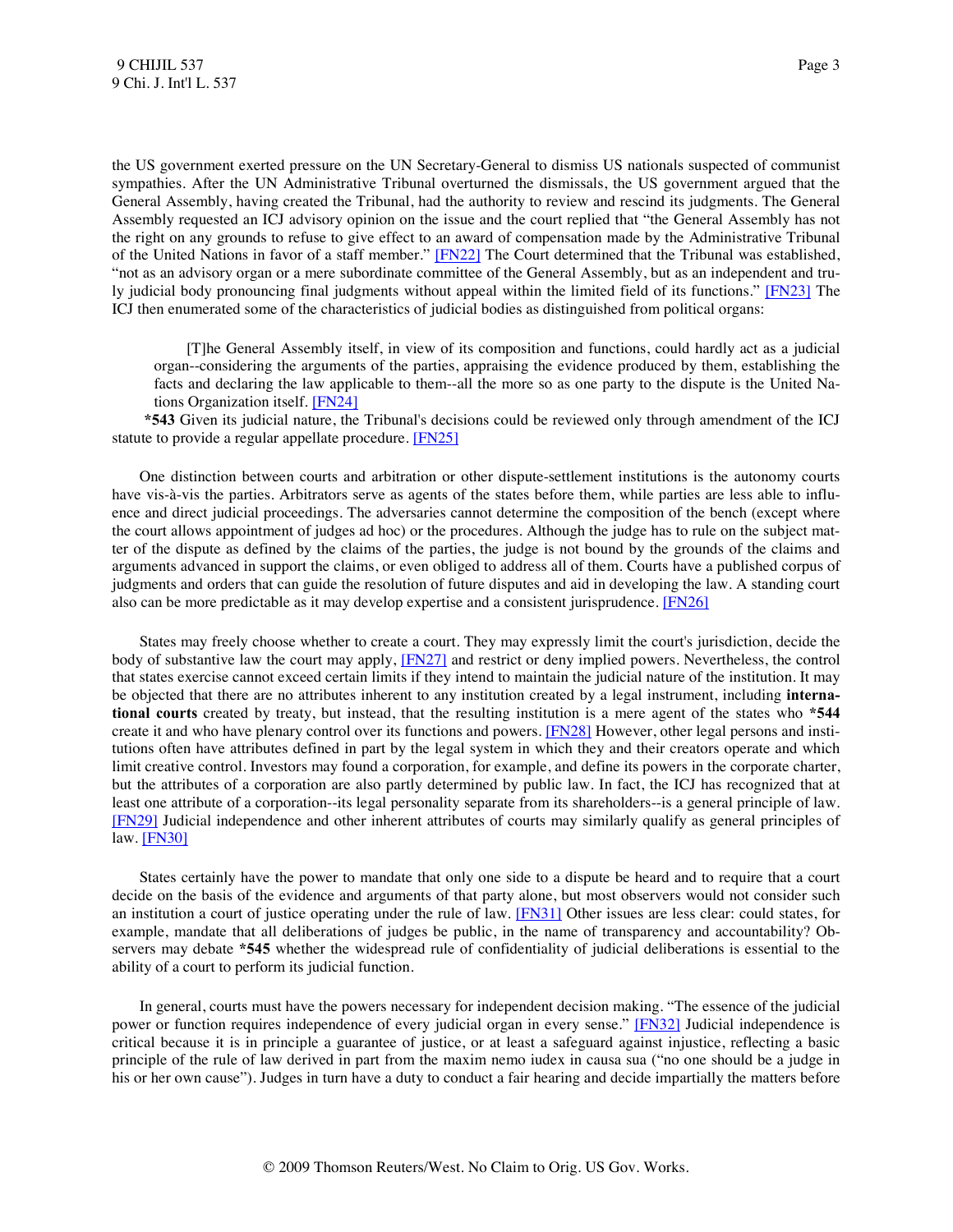the US government exerted pressure on the UN Secretary-General to dismiss US nationals suspected of communist sympathies. After the UN Administrative Tribunal overturned the dismissals, the US government argued that the General Assembly, having created the Tribunal, had the authority to review and rescind its judgments. The General Assembly requested an ICJ advisory opinion on the issue and the court replied that "the General Assembly has not the right on any grounds to refuse to give effect to an award of compensation made by the Administrative Tribunal of the United Nations in favor of a staff member." [\[FN22\]](#page-17-6) The Court determined that the Tribunal was established, "not as an advisory organ or a mere subordinate committee of the General Assembly, but as an independent and truly judicial body pronouncing final judgments without appeal within the limited field of its functions." [\[FN23\]](#page-17-7) The ICJ then enumerated some of the characteristics of judicial bodies as distinguished from political organs:

<span id="page-3-3"></span><span id="page-3-2"></span><span id="page-3-1"></span><span id="page-3-0"></span> [T]he General Assembly itself, in view of its composition and functions, could hardly act as a judicial organ--considering the arguments of the parties, appraising the evidence produced by them, establishing the facts and declaring the law applicable to them--all the more so as one party to the dispute is the United Nations Organization itself. [\[FN24\]](#page-17-8)

 **\*543** Given its judicial nature, the Tribunal's decisions could be reviewed only through amendment of the ICJ statute to provide a regular appellate procedure. [\[FN25\]](#page-17-9)

 One distinction between courts and arbitration or other dispute-settlement institutions is the autonomy courts have vis-à-vis the parties. Arbitrators serve as agents of the states before them, while parties are less able to influence and direct judicial proceedings. The adversaries cannot determine the composition of the bench (except where the court allows appointment of judges ad hoc) or the procedures. Although the judge has to rule on the subject matter of the dispute as defined by the claims of the parties, the judge is not bound by the grounds of the claims and arguments advanced in support the claims, or even obliged to address all of them. Courts have a published corpus of judgments and orders that can guide the resolution of future disputes and aid in developing the law. A standing court also can be more predictable as it may develop expertise and a consistent jurisprudence. [\[FN26\]](#page-17-10)

<span id="page-3-6"></span><span id="page-3-5"></span><span id="page-3-4"></span> States may freely choose whether to create a court. They may expressly limit the court's jurisdiction, decide the body of substantive law the court may apply, [\[FN27\]](#page-17-11) and restrict or deny implied powers. Nevertheless, the control that states exercise cannot exceed certain limits if they intend to maintain the judicial nature of the institution. It may be objected that there are no attributes inherent to any institution created by a legal instrument, including **international courts** created by treaty, but instead, that the resulting institution is a mere agent of the states who **\*544** create it and who have plenary control over its functions and powers. [\[FN28\]](#page-18-0) However, other legal persons and institutions often have attributes defined in part by the legal system in which they and their creators operate and which limit creative control. Investors may found a corporation, for example, and define its powers in the corporate charter, but the attributes of a corporation are also partly determined by public law. In fact, the ICJ has recognized that at least one attribute of a corporation--its legal personality separate from its shareholders--is a general principle of law. [\[FN29\]](#page-18-1) Judicial independence and other inherent attributes of courts may similarly qualify as general principles of law. [\[FN30\]](#page-18-2)

<span id="page-3-9"></span><span id="page-3-8"></span><span id="page-3-7"></span> States certainly have the power to mandate that only one side to a dispute be heard and to require that a court decide on the basis of the evidence and arguments of that party alone, but most observers would not consider such an institution a court of justice operating under the rule of law. [\[FN31\]](#page-18-3) Other issues are less clear: could states, for example, mandate that all deliberations of judges be public, in the name of transparency and accountability? Observers may debate **\*545** whether the widespread rule of confidentiality of judicial deliberations is essential to the ability of a court to perform its judicial function.

<span id="page-3-10"></span> In general, courts must have the powers necessary for independent decision making. "The essence of the judicial power or function requires independence of every judicial organ in every sense." [\[FN32\]](#page-18-4) Judicial independence is critical because it is in principle a guarantee of justice, or at least a safeguard against injustice, reflecting a basic principle of the rule of law derived in part from the maxim nemo iudex in causa sua ("no one should be a judge in his or her own cause"). Judges in turn have a duty to conduct a fair hearing and decide impartially the matters before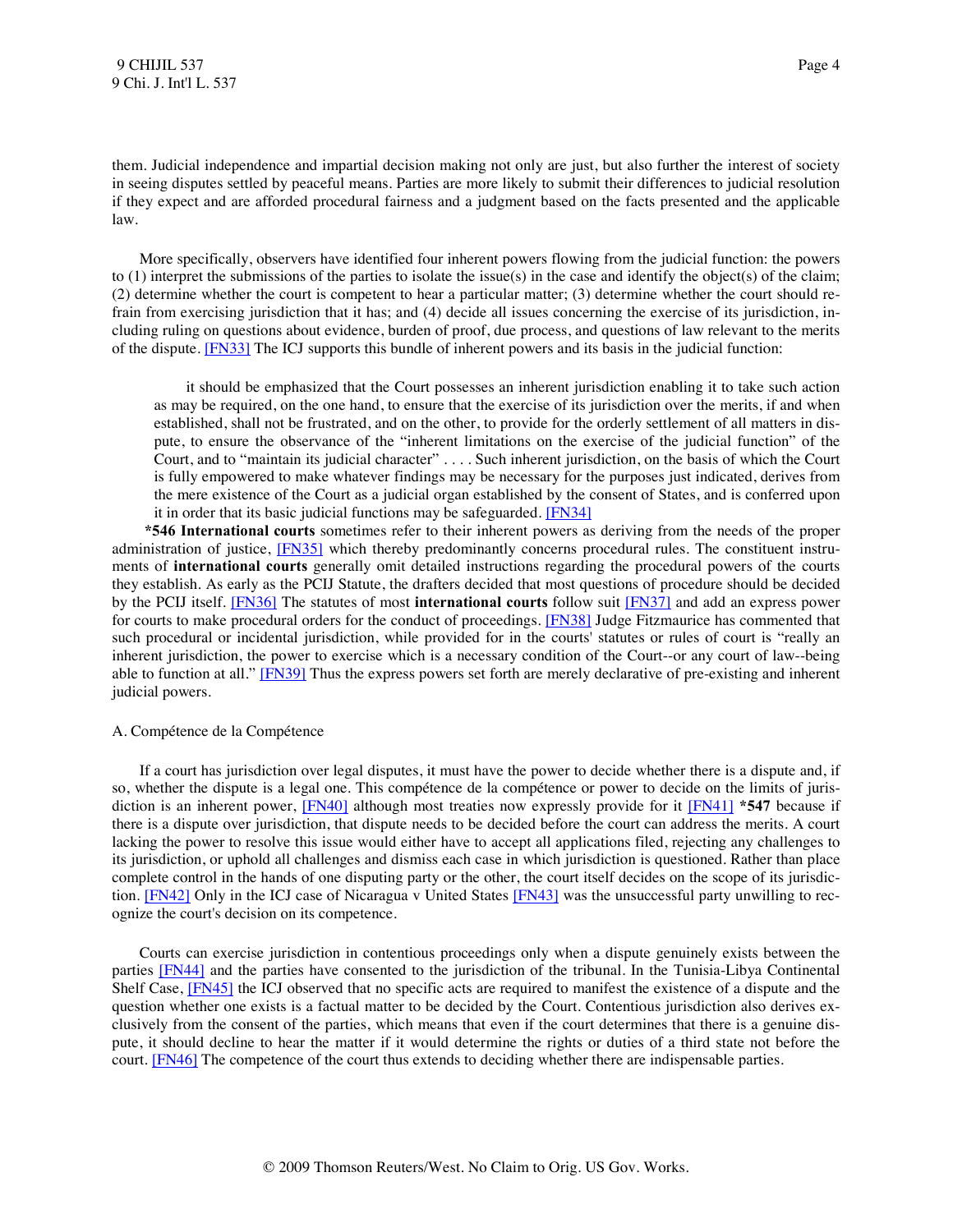them. Judicial independence and impartial decision making not only are just, but also further the interest of society in seeing disputes settled by peaceful means. Parties are more likely to submit their differences to judicial resolution if they expect and are afforded procedural fairness and a judgment based on the facts presented and the applicable law.

 More specifically, observers have identified four inherent powers flowing from the judicial function: the powers to (1) interpret the submissions of the parties to isolate the issue(s) in the case and identify the object(s) of the claim; (2) determine whether the court is competent to hear a particular matter; (3) determine whether the court should refrain from exercising jurisdiction that it has; and (4) decide all issues concerning the exercise of its jurisdiction, including ruling on questions about evidence, burden of proof, due process, and questions of law relevant to the merits of the dispute. [\[FN33\]](#page-18-5) The ICJ supports this bundle of inherent powers and its basis in the judicial function:

<span id="page-4-4"></span><span id="page-4-1"></span><span id="page-4-0"></span> it should be emphasized that the Court possesses an inherent jurisdiction enabling it to take such action as may be required, on the one hand, to ensure that the exercise of its jurisdiction over the merits, if and when established, shall not be frustrated, and on the other, to provide for the orderly settlement of all matters in dispute, to ensure the observance of the "inherent limitations on the exercise of the judicial function" of the Court, and to "maintain its judicial character" . . . . Such inherent jurisdiction, on the basis of which the Court is fully empowered to make whatever findings may be necessary for the purposes just indicated, derives from the mere existence of the Court as a judicial organ established by the consent of States, and is conferred upon it in order that its basic judicial functions may be safeguarded[. \[FN34\]](#page-18-6)

<span id="page-4-5"></span><span id="page-4-3"></span><span id="page-4-2"></span> **\*546 International courts** sometimes refer to their inherent powers as deriving from the needs of the proper administration of justice, [\[FN35\]](#page-19-0) which thereby predominantly concerns procedural rules. The constituent instruments of **international courts** generally omit detailed instructions regarding the procedural powers of the courts they establish. As early as the PCIJ Statute, the drafters decided that most questions of procedure should be decided by the PCIJ itself. [\[FN36\]](#page-19-1) The statutes of most **international courts** follow suit [\[FN37\]](#page-19-2) and add an express power for courts to make procedural orders for the conduct of proceedings. [\[FN38\]](#page-19-3) Judge Fitzmaurice has commented that such procedural or incidental jurisdiction, while provided for in the courts' statutes or rules of court is "really an inherent jurisdiction, the power to exercise which is a necessary condition of the Court--or any court of law--being able to function at all." [\[FN39\]](#page-19-4) Thus the express powers set forth are merely declarative of pre-existing and inherent judicial powers.

#### <span id="page-4-6"></span>A. Compétence de la Compétence

<span id="page-4-8"></span><span id="page-4-7"></span> If a court has jurisdiction over legal disputes, it must have the power to decide whether there is a dispute and, if so, whether the dispute is a legal one. This compétence de la compétence or power to decide on the limits of jurisdiction is an inherent power, [\[FN40\]](#page-19-5) although most treaties now expressly provide for it [\[FN41\]](#page-19-6) **\*547** because if there is a dispute over jurisdiction, that dispute needs to be decided before the court can address the merits. A court lacking the power to resolve this issue would either have to accept all applications filed, rejecting any challenges to its jurisdiction, or uphold all challenges and dismiss each case in which jurisdiction is questioned. Rather than place complete control in the hands of one disputing party or the other, the court itself decides on the scope of its jurisdic-tion. [\[FN42\]](#page-19-7) Only in the ICJ case of Nicaragua v United States [\[FN43\]](#page-19-8) was the unsuccessful party unwilling to recognize the court's decision on its competence.

<span id="page-4-13"></span><span id="page-4-12"></span><span id="page-4-11"></span><span id="page-4-10"></span><span id="page-4-9"></span> Courts can exercise jurisdiction in contentious proceedings only when a dispute genuinely exists between the parties [\[FN44\]](#page-19-9) and the parties have consented to the jurisdiction of the tribunal. In the Tunisia-Libya Continental Shelf Case, [\[FN45\]](#page-19-10) the ICJ observed that no specific acts are required to manifest the existence of a dispute and the question whether one exists is a factual matter to be decided by the Court. Contentious jurisdiction also derives exclusively from the consent of the parties, which means that even if the court determines that there is a genuine dispute, it should decline to hear the matter if it would determine the rights or duties of a third state not before the court[. \[FN46\]](#page-20-0) The competence of the court thus extends to deciding whether there are indispensable parties.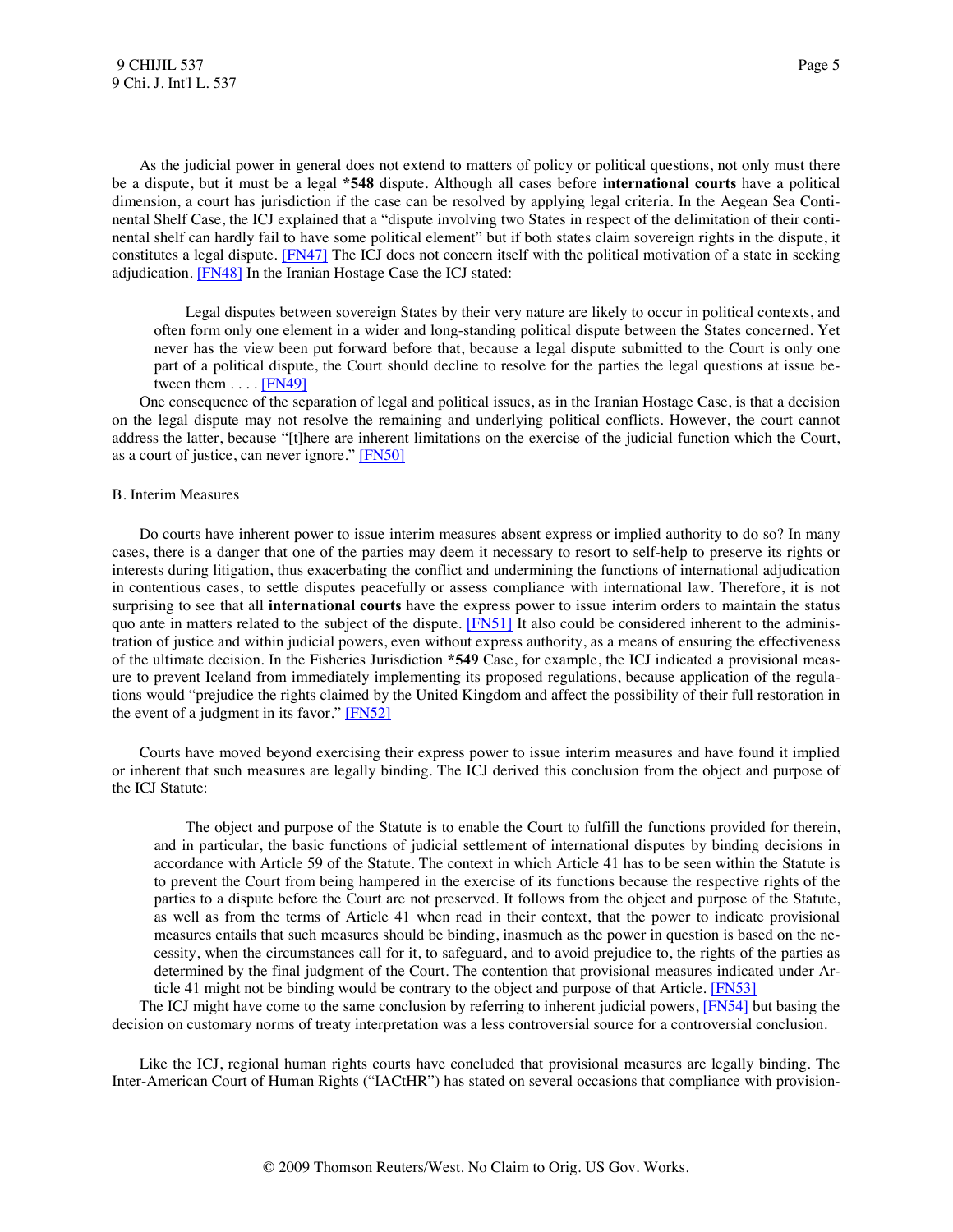As the judicial power in general does not extend to matters of policy or political questions, not only must there be a dispute, but it must be a legal **\*548** dispute. Although all cases before **international courts** have a political dimension, a court has jurisdiction if the case can be resolved by applying legal criteria. In the Aegean Sea Continental Shelf Case, the ICJ explained that a "dispute involving two States in respect of the delimitation of their continental shelf can hardly fail to have some political element" but if both states claim sovereign rights in the dispute, it constitutes a legal dispute. [\[FN47\]](#page-20-1) The ICJ does not concern itself with the political motivation of a state in seeking adjudication. [\[FN48\]](#page-20-2) In the Iranian Hostage Case the ICJ stated:

<span id="page-5-3"></span><span id="page-5-2"></span><span id="page-5-1"></span><span id="page-5-0"></span> Legal disputes between sovereign States by their very nature are likely to occur in political contexts, and often form only one element in a wider and long-standing political dispute between the States concerned. Yet never has the view been put forward before that, because a legal dispute submitted to the Court is only one part of a political dispute, the Court should decline to resolve for the parties the legal questions at issue between them  $\dots$  [\[FN49\]](#page-20-3)

 One consequence of the separation of legal and political issues, as in the Iranian Hostage Case, is that a decision on the legal dispute may not resolve the remaining and underlying political conflicts. However, the court cannot address the latter, because "[t]here are inherent limitations on the exercise of the judicial function which the Court, as a court of justice, can never ignore." [\[FN50\]](#page-20-4)

#### B. Interim Measures

<span id="page-5-4"></span> Do courts have inherent power to issue interim measures absent express or implied authority to do so? In many cases, there is a danger that one of the parties may deem it necessary to resort to self-help to preserve its rights or interests during litigation, thus exacerbating the conflict and undermining the functions of international adjudication in contentious cases, to settle disputes peacefully or assess compliance with international law. Therefore, it is not surprising to see that all **international courts** have the express power to issue interim orders to maintain the status quo ante in matters related to the subject of the dispute. [\[FN51\]](#page-20-5) It also could be considered inherent to the administration of justice and within judicial powers, even without express authority, as a means of ensuring the effectiveness of the ultimate decision. In the Fisheries Jurisdiction **\*549** Case, for example, the ICJ indicated a provisional measure to prevent Iceland from immediately implementing its proposed regulations, because application of the regulations would "prejudice the rights claimed by the United Kingdom and affect the possibility of their full restoration in the event of a judgment in its favor.[" \[FN52\]](#page-20-6)

 Courts have moved beyond exercising their express power to issue interim measures and have found it implied or inherent that such measures are legally binding. The ICJ derived this conclusion from the object and purpose of the ICJ Statute:

<span id="page-5-7"></span><span id="page-5-6"></span><span id="page-5-5"></span> The object and purpose of the Statute is to enable the Court to fulfill the functions provided for therein, and in particular, the basic functions of judicial settlement of international disputes by binding decisions in accordance with Article 59 of the Statute. The context in which Article 41 has to be seen within the Statute is to prevent the Court from being hampered in the exercise of its functions because the respective rights of the parties to a dispute before the Court are not preserved. It follows from the object and purpose of the Statute, as well as from the terms of Article 41 when read in their context, that the power to indicate provisional measures entails that such measures should be binding, inasmuch as the power in question is based on the necessity, when the circumstances call for it, to safeguard, and to avoid prejudice to, the rights of the parties as determined by the final judgment of the Court. The contention that provisional measures indicated under Article 41 might not be binding would be contrary to the object and purpose of that Article[. \[FN53\]](#page-20-7)

The ICJ might have come to the same conclusion by referring to inherent judicial powers, [\[FN54\]](#page-20-8) but basing the decision on customary norms of treaty interpretation was a less controversial source for a controversial conclusion.

 Like the ICJ, regional human rights courts have concluded that provisional measures are legally binding. The Inter-American Court of Human Rights ("IACtHR") has stated on several occasions that compliance with provision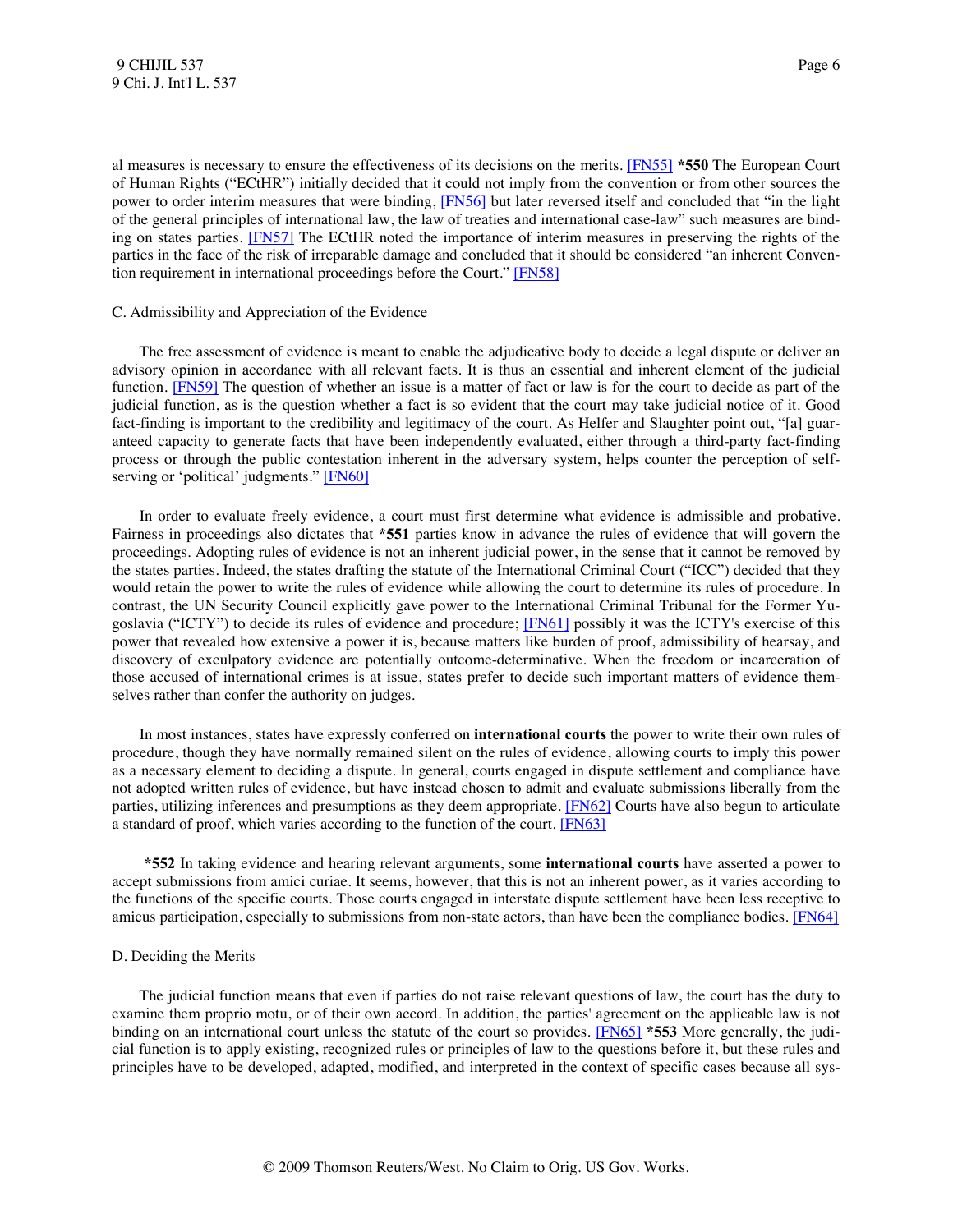<span id="page-6-2"></span><span id="page-6-1"></span><span id="page-6-0"></span>al measures is necessary to ensure the effectiveness of its decisions on the merits. [\[FN55\]](#page-20-9) **\*550** The European Court of Human Rights ("ECtHR") initially decided that it could not imply from the convention or from other sources the power to order interim measures that were binding, [\[FN56\]](#page-20-10) but later reversed itself and concluded that "in the light of the general principles of international law, the law of treaties and international case-law" such measures are binding on states parties. [\[FN57\]](#page-20-11) The ECtHR noted the importance of interim measures in preserving the rights of the parties in the face of the risk of irreparable damage and concluded that it should be considered "an inherent Convention requirement in international proceedings before the Court." [\[FN58\]](#page-20-12)

#### <span id="page-6-3"></span>C. Admissibility and Appreciation of the Evidence

<span id="page-6-4"></span> The free assessment of evidence is meant to enable the adjudicative body to decide a legal dispute or deliver an advisory opinion in accordance with all relevant facts. It is thus an essential and inherent element of the judicial function. [\[FN59\]](#page-21-0) The question of whether an issue is a matter of fact or law is for the court to decide as part of the judicial function, as is the question whether a fact is so evident that the court may take judicial notice of it. Good fact-finding is important to the credibility and legitimacy of the court. As Helfer and Slaughter point out, "[a] guaranteed capacity to generate facts that have been independently evaluated, either through a third-party fact-finding process or through the public contestation inherent in the adversary system, helps counter the perception of self-serving or 'political' judgments." [\[FN60\]](#page-21-1)

<span id="page-6-6"></span><span id="page-6-5"></span> In order to evaluate freely evidence, a court must first determine what evidence is admissible and probative. Fairness in proceedings also dictates that **\*551** parties know in advance the rules of evidence that will govern the proceedings. Adopting rules of evidence is not an inherent judicial power, in the sense that it cannot be removed by the states parties. Indeed, the states drafting the statute of the International Criminal Court ("ICC") decided that they would retain the power to write the rules of evidence while allowing the court to determine its rules of procedure. In contrast, the UN Security Council explicitly gave power to the International Criminal Tribunal for the Former Yugoslavia ("ICTY") to decide its rules of evidence and procedure; [\[FN61\]](#page-21-2) possibly it was the ICTY's exercise of this power that revealed how extensive a power it is, because matters like burden of proof, admissibility of hearsay, and discovery of exculpatory evidence are potentially outcome-determinative. When the freedom or incarceration of those accused of international crimes is at issue, states prefer to decide such important matters of evidence themselves rather than confer the authority on judges.

 In most instances, states have expressly conferred on **international courts** the power to write their own rules of procedure, though they have normally remained silent on the rules of evidence, allowing courts to imply this power as a necessary element to deciding a dispute. In general, courts engaged in dispute settlement and compliance have not adopted written rules of evidence, but have instead chosen to admit and evaluate submissions liberally from the parties, utilizing inferences and presumptions as they deem appropriate. [\[FN62\]](#page-21-3) Courts have also begun to articulate a standard of proof, which varies according to the function of the court. [\[FN63\]](#page-21-4)

<span id="page-6-8"></span><span id="page-6-7"></span> **\*552** In taking evidence and hearing relevant arguments, some **international courts** have asserted a power to accept submissions from amici curiae. It seems, however, that this is not an inherent power, as it varies according to the functions of the specific courts. Those courts engaged in interstate dispute settlement have been less receptive to amicus participation, especially to submissions from non-state actors, than have been the compliance bodies. [\[FN64\]](#page-21-5)

#### <span id="page-6-9"></span>D. Deciding the Merits

<span id="page-6-10"></span> The judicial function means that even if parties do not raise relevant questions of law, the court has the duty to examine them proprio motu, or of their own accord. In addition, the parties' agreement on the applicable law is not binding on an international court unless the statute of the court so provides. [\[FN65\]](#page-22-0) **\*553** More generally, the judicial function is to apply existing, recognized rules or principles of law to the questions before it, but these rules and principles have to be developed, adapted, modified, and interpreted in the context of specific cases because all sys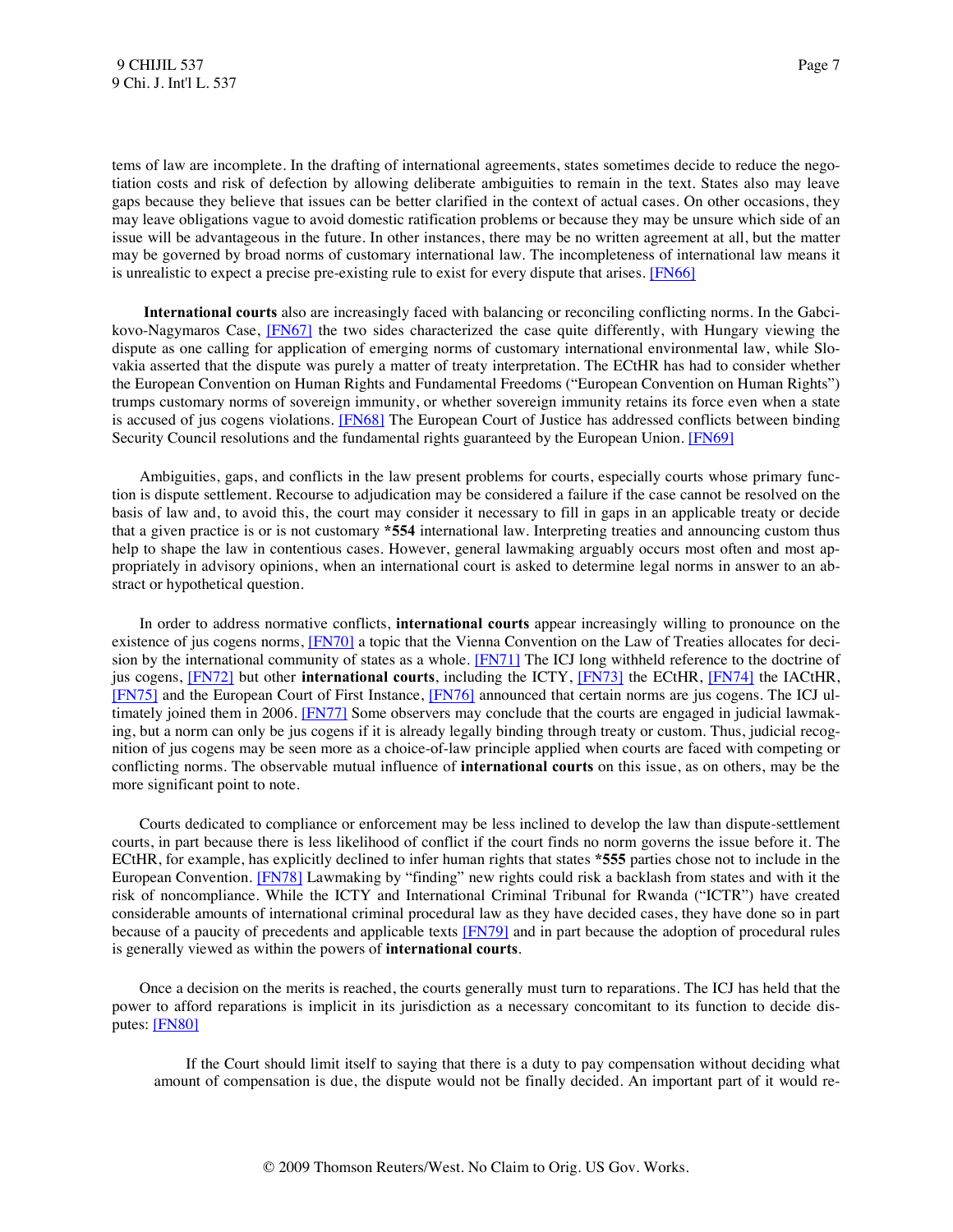tems of law are incomplete. In the drafting of international agreements, states sometimes decide to reduce the negotiation costs and risk of defection by allowing deliberate ambiguities to remain in the text. States also may leave gaps because they believe that issues can be better clarified in the context of actual cases. On other occasions, they may leave obligations vague to avoid domestic ratification problems or because they may be unsure which side of an issue will be advantageous in the future. In other instances, there may be no written agreement at all, but the matter may be governed by broad norms of customary international law. The incompleteness of international law means it is unrealistic to expect a precise pre-existing rule to exist for every dispute that arises. [\[FN66\]](#page-22-1)

<span id="page-7-1"></span><span id="page-7-0"></span> **International courts** also are increasingly faced with balancing or reconciling conflicting norms. In the Gabcikovo-Nagymaros Case, [\[FN67\]](#page-22-2) the two sides characterized the case quite differently, with Hungary viewing the dispute as one calling for application of emerging norms of customary international environmental law, while Slovakia asserted that the dispute was purely a matter of treaty interpretation. The ECtHR has had to consider whether the European Convention on Human Rights and Fundamental Freedoms ("European Convention on Human Rights") trumps customary norms of sovereign immunity, or whether sovereign immunity retains its force even when a state is accused of jus cogens violations. [\[FN68\]](#page-22-3) The European Court of Justice has addressed conflicts between binding Security Council resolutions and the fundamental rights guaranteed by the European Union. [\[FN69\]](#page-22-4)

<span id="page-7-3"></span><span id="page-7-2"></span> Ambiguities, gaps, and conflicts in the law present problems for courts, especially courts whose primary function is dispute settlement. Recourse to adjudication may be considered a failure if the case cannot be resolved on the basis of law and, to avoid this, the court may consider it necessary to fill in gaps in an applicable treaty or decide that a given practice is or is not customary **\*554** international law. Interpreting treaties and announcing custom thus help to shape the law in contentious cases. However, general lawmaking arguably occurs most often and most appropriately in advisory opinions, when an international court is asked to determine legal norms in answer to an abstract or hypothetical question.

<span id="page-7-11"></span><span id="page-7-10"></span><span id="page-7-9"></span><span id="page-7-8"></span><span id="page-7-7"></span><span id="page-7-6"></span><span id="page-7-5"></span><span id="page-7-4"></span> In order to address normative conflicts, **international courts** appear increasingly willing to pronounce on the existence of jus cogens norms, [\[FN70\]](#page-22-5) a topic that the Vienna Convention on the Law of Treaties allocates for decision by the international community of states as a whole. [\[FN71\]](#page-22-6) The ICJ long withheld reference to the doctrine of jus cogens, [\[FN72\]](#page-22-7) but other **international courts**, including the ICTY, [\[FN73\]](#page-22-8) the ECtHR, [\[FN74\]](#page-22-9) the IACtHR, [\[FN75\]](#page-22-10) and the European Court of First Instance, [\[FN76\]](#page-22-11) announced that certain norms are jus cogens. The ICJ ultimately joined them in 2006[. \[FN77\]](#page-22-12) Some observers may conclude that the courts are engaged in judicial lawmaking, but a norm can only be jus cogens if it is already legally binding through treaty or custom. Thus, judicial recognition of jus cogens may be seen more as a choice-of-law principle applied when courts are faced with competing or conflicting norms. The observable mutual influence of **international courts** on this issue, as on others, may be the more significant point to note.

<span id="page-7-12"></span> Courts dedicated to compliance or enforcement may be less inclined to develop the law than dispute-settlement courts, in part because there is less likelihood of conflict if the court finds no norm governs the issue before it. The ECtHR, for example, has explicitly declined to infer human rights that states **\*555** parties chose not to include in the European Convention. [\[FN78\]](#page-22-13) Lawmaking by "finding" new rights could risk a backlash from states and with it the risk of noncompliance. While the ICTY and International Criminal Tribunal for Rwanda ("ICTR") have created considerable amounts of international criminal procedural law as they have decided cases, they have done so in part because of a paucity of precedents and applicable texts [\[FN79\]](#page-23-0) and in part because the adoption of procedural rules is generally viewed as within the powers of **international courts**.

 Once a decision on the merits is reached, the courts generally must turn to reparations. The ICJ has held that the power to afford reparations is implicit in its jurisdiction as a necessary concomitant to its function to decide disputes: [\[FN80\]](#page-23-1)

<span id="page-7-14"></span><span id="page-7-13"></span> If the Court should limit itself to saying that there is a duty to pay compensation without deciding what amount of compensation is due, the dispute would not be finally decided. An important part of it would re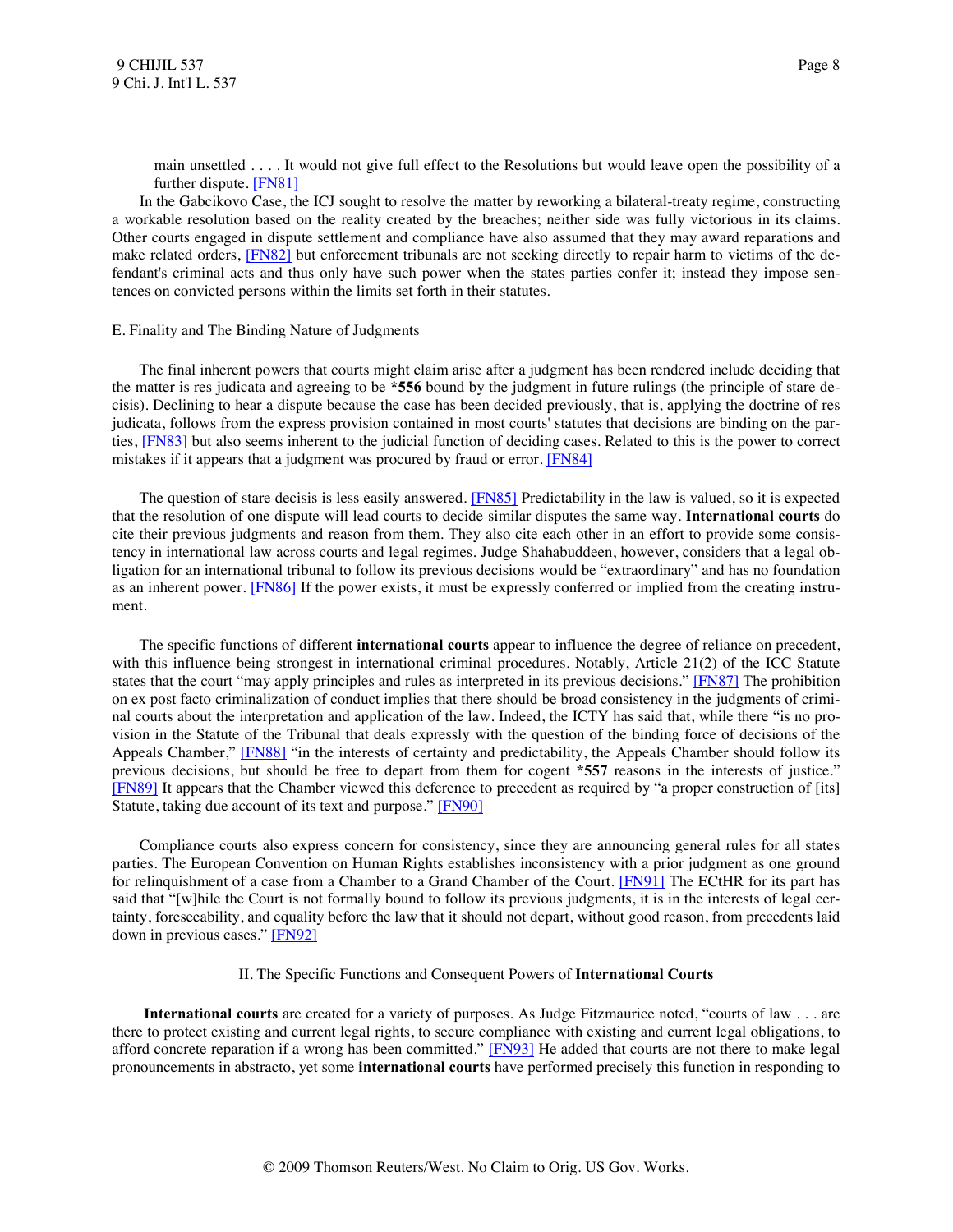<span id="page-8-1"></span><span id="page-8-0"></span>main unsettled . . . . It would not give full effect to the Resolutions but would leave open the possibility of a further dispute. [\[FN81\]](#page-23-2)

 In the Gabcikovo Case, the ICJ sought to resolve the matter by reworking a bilateral-treaty regime, constructing a workable resolution based on the reality created by the breaches; neither side was fully victorious in its claims. Other courts engaged in dispute settlement and compliance have also assumed that they may award reparations and make related orders, [\[FN82\]](#page-23-3) but enforcement tribunals are not seeking directly to repair harm to victims of the defendant's criminal acts and thus only have such power when the states parties confer it; instead they impose sentences on convicted persons within the limits set forth in their statutes.

#### E. Finality and The Binding Nature of Judgments

 The final inherent powers that courts might claim arise after a judgment has been rendered include deciding that the matter is res judicata and agreeing to be **\*556** bound by the judgment in future rulings (the principle of stare decisis). Declining to hear a dispute because the case has been decided previously, that is, applying the doctrine of res judicata, follows from the express provision contained in most courts' statutes that decisions are binding on the parties, [\[FN83\]](#page-23-4) but also seems inherent to the judicial function of deciding cases. Related to this is the power to correct mistakes if it appears that a judgment was procured by fraud or error. [\[FN84\]](#page-23-5)

<span id="page-8-4"></span><span id="page-8-3"></span><span id="page-8-2"></span>The question of stare decisis is less easily answered. **[FN85]** Predictability in the law is valued, so it is expected that the resolution of one dispute will lead courts to decide similar disputes the same way. **International courts** do cite their previous judgments and reason from them. They also cite each other in an effort to provide some consistency in international law across courts and legal regimes. Judge Shahabuddeen, however, considers that a legal obligation for an international tribunal to follow its previous decisions would be "extraordinary" and has no foundation as an inherent power. [\[FN86\]](#page-23-7) If the power exists, it must be expressly conferred or implied from the creating instrument.

<span id="page-8-5"></span> The specific functions of different **international courts** appear to influence the degree of reliance on precedent, with this influence being strongest in international criminal procedures. Notably, Article 21(2) of the ICC Statute states that the court "may apply principles and rules as interpreted in its previous decisions." [\[FN87\]](#page-23-8) The prohibition on ex post facto criminalization of conduct implies that there should be broad consistency in the judgments of criminal courts about the interpretation and application of the law. Indeed, the ICTY has said that, while there "is no provision in the Statute of the Tribunal that deals expressly with the question of the binding force of decisions of the Appeals Chamber," [\[FN88\]](#page-23-9) "in the interests of certainty and predictability, the Appeals Chamber should follow its previous decisions, but should be free to depart from them for cogent **\*557** reasons in the interests of justice." [\[FN89\]](#page-23-10) It appears that the Chamber viewed this deference to precedent as required by "a proper construction of [its] Statute, taking due account of its text and purpose." [\[FN90\]](#page-23-11)

<span id="page-8-8"></span><span id="page-8-7"></span> Compliance courts also express concern for consistency, since they are announcing general rules for all states parties. The European Convention on Human Rights establishes inconsistency with a prior judgment as one ground for relinquishment of a case from a Chamber to a Grand Chamber of the Court. **[FN91]** The ECtHR for its part has said that "[w]hile the Court is not formally bound to follow its previous judgments, it is in the interests of legal certainty, foreseeability, and equality before the law that it should not depart, without good reason, from precedents laid down in previous cases." [\[FN92\]](#page-23-13)

## <span id="page-8-12"></span><span id="page-8-11"></span><span id="page-8-10"></span><span id="page-8-9"></span><span id="page-8-6"></span>II. The Specific Functions and Consequent Powers of **International Courts**

 **International courts** are created for a variety of purposes. As Judge Fitzmaurice noted, "courts of law . . . are there to protect existing and current legal rights, to secure compliance with existing and current legal obligations, to afford concrete reparation if a wrong has been committed." [\[FN93\]](#page-23-14) He added that courts are not there to make legal pronouncements in abstracto, yet some **international courts** have performed precisely this function in responding to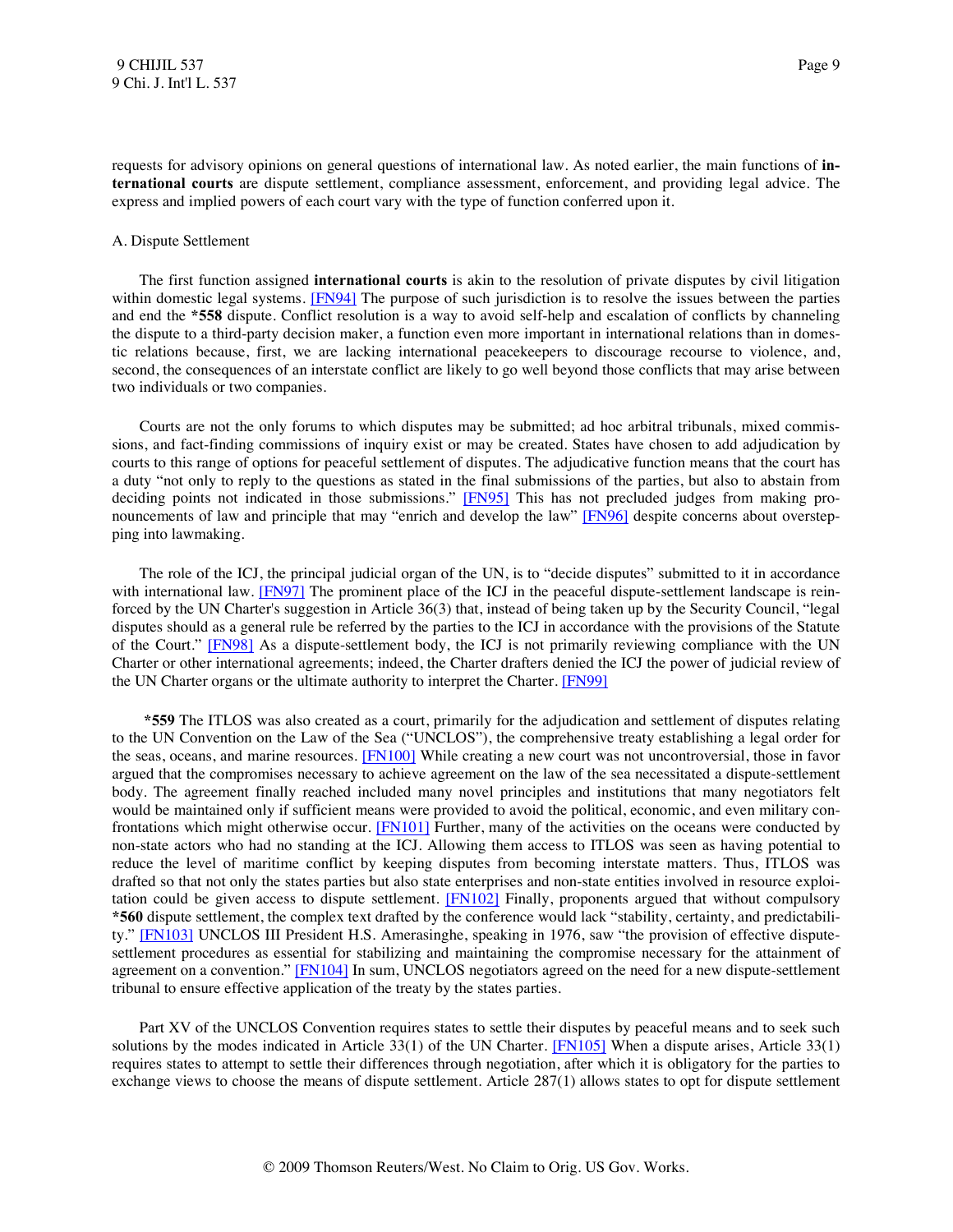requests for advisory opinions on general questions of international law. As noted earlier, the main functions of **international courts** are dispute settlement, compliance assessment, enforcement, and providing legal advice. The express and implied powers of each court vary with the type of function conferred upon it.

#### A. Dispute Settlement

<span id="page-9-0"></span> The first function assigned **international courts** is akin to the resolution of private disputes by civil litigation within domestic legal systems. **[FN94]** The purpose of such jurisdiction is to resolve the issues between the parties and end the **\*558** dispute. Conflict resolution is a way to avoid self-help and escalation of conflicts by channeling the dispute to a third-party decision maker, a function even more important in international relations than in domestic relations because, first, we are lacking international peacekeepers to discourage recourse to violence, and, second, the consequences of an interstate conflict are likely to go well beyond those conflicts that may arise between two individuals or two companies.

<span id="page-9-1"></span> Courts are not the only forums to which disputes may be submitted; ad hoc arbitral tribunals, mixed commissions, and fact-finding commissions of inquiry exist or may be created. States have chosen to add adjudication by courts to this range of options for peaceful settlement of disputes. The adjudicative function means that the court has a duty "not only to reply to the questions as stated in the final submissions of the parties, but also to abstain from deciding points not indicated in those submissions." [\[FN95\]](#page-23-16) This has not precluded judges from making pro-nouncements of law and principle that may "enrich and develop the law" [\[FN96\]](#page-24-0) despite concerns about overstepping into lawmaking.

<span id="page-9-4"></span><span id="page-9-3"></span><span id="page-9-2"></span> The role of the ICJ, the principal judicial organ of the UN, is to "decide disputes" submitted to it in accordance with international law. [\[FN97\]](#page-24-1) The prominent place of the ICJ in the peaceful dispute-settlement landscape is reinforced by the UN Charter's suggestion in Article 36(3) that, instead of being taken up by the Security Council, "legal disputes should as a general rule be referred by the parties to the ICJ in accordance with the provisions of the Statute of the Court." [\[FN98\]](#page-24-2) As a dispute-settlement body, the ICJ is not primarily reviewing compliance with the UN Charter or other international agreements; indeed, the Charter drafters denied the ICJ the power of judicial review of the UN Charter organs or the ultimate authority to interpret the Charter. [\[FN99\]](#page-24-3)

<span id="page-9-7"></span><span id="page-9-6"></span><span id="page-9-5"></span> **\*559** The ITLOS was also created as a court, primarily for the adjudication and settlement of disputes relating to the UN Convention on the Law of the Sea ("UNCLOS"), the comprehensive treaty establishing a legal order for the seas, oceans, and marine resources. [\[FN100\]](#page-24-4) While creating a new court was not uncontroversial, those in favor argued that the compromises necessary to achieve agreement on the law of the sea necessitated a dispute-settlement body. The agreement finally reached included many novel principles and institutions that many negotiators felt would be maintained only if sufficient means were provided to avoid the political, economic, and even military con-frontations which might otherwise occur. [\[FN101\]](#page-24-5) Further, many of the activities on the oceans were conducted by non-state actors who had no standing at the ICJ. Allowing them access to ITLOS was seen as having potential to reduce the level of maritime conflict by keeping disputes from becoming interstate matters. Thus, ITLOS was drafted so that not only the states parties but also state enterprises and non-state entities involved in resource exploitation could be given access to dispute settlement. [\[FN102\]](#page-24-6) Finally, proponents argued that without compulsory **\*560** dispute settlement, the complex text drafted by the conference would lack "stability, certainty, and predictability." [\[FN103\]](#page-24-7) UNCLOS III President H.S. Amerasinghe, speaking in 1976, saw "the provision of effective disputesettlement procedures as essential for stabilizing and maintaining the compromise necessary for the attainment of agreement on a convention." [\[FN104\]](#page-25-0) In sum, UNCLOS negotiators agreed on the need for a new dispute-settlement tribunal to ensure effective application of the treaty by the states parties.

<span id="page-9-11"></span><span id="page-9-10"></span><span id="page-9-9"></span><span id="page-9-8"></span> Part XV of the UNCLOS Convention requires states to settle their disputes by peaceful means and to seek such solutions by the modes indicated in Article 33(1) of the UN Charter. [\[FN105\]](#page-25-1) When a dispute arises, Article 33(1) requires states to attempt to settle their differences through negotiation, after which it is obligatory for the parties to exchange views to choose the means of dispute settlement. Article 287(1) allows states to opt for dispute settlement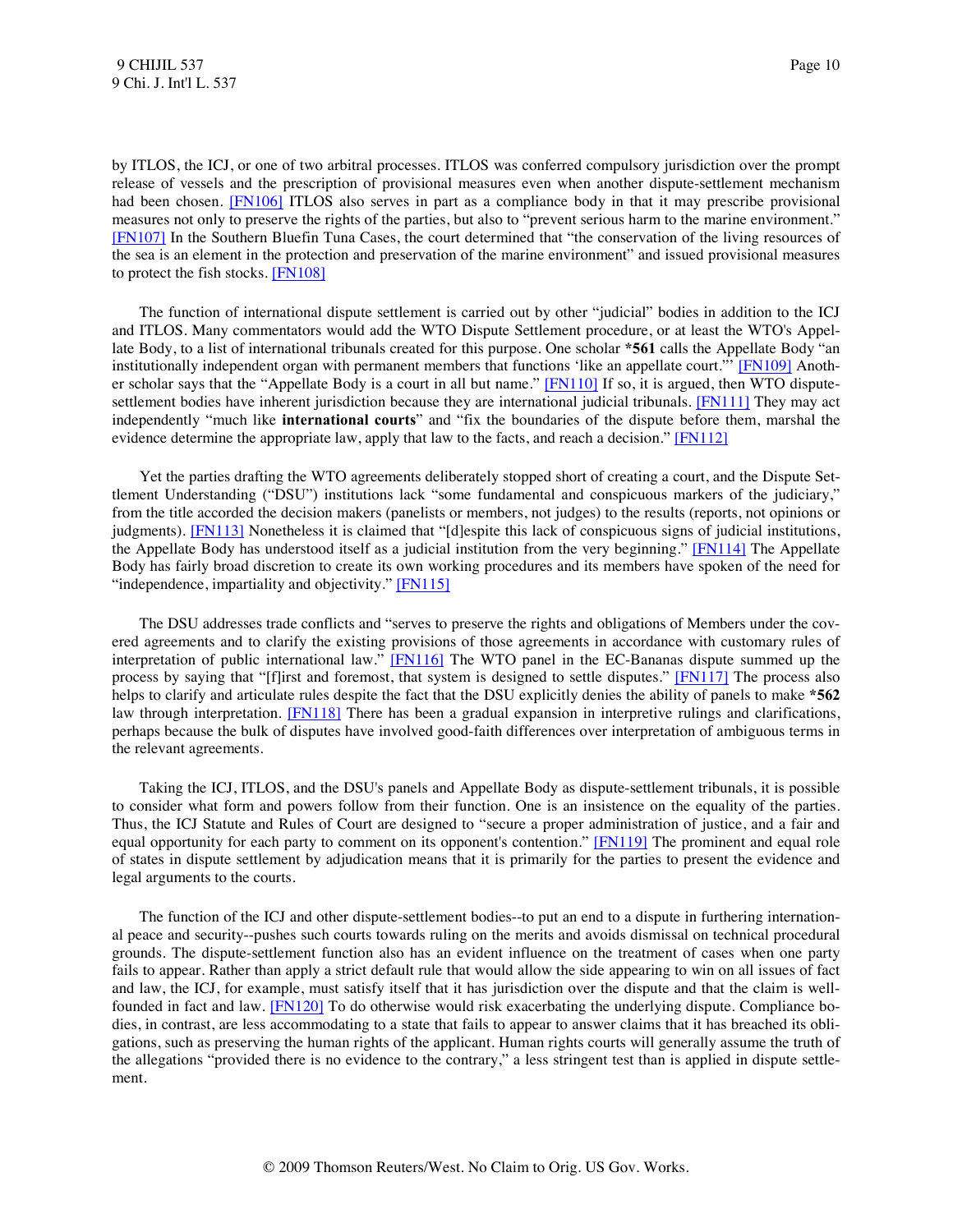<span id="page-10-1"></span><span id="page-10-0"></span>by ITLOS, the ICJ, or one of two arbitral processes. ITLOS was conferred compulsory jurisdiction over the prompt release of vessels and the prescription of provisional measures even when another dispute-settlement mechanism had been chosen. [\[FN106\]](#page-25-2) ITLOS also serves in part as a compliance body in that it may prescribe provisional measures not only to preserve the rights of the parties, but also to "prevent serious harm to the marine environment." [\[FN107\]](#page-25-3) In the Southern Bluefin Tuna Cases, the court determined that "the conservation of the living resources of the sea is an element in the protection and preservation of the marine environment" and issued provisional measures to protect the fish stocks. [\[FN108\]](#page-25-4)

<span id="page-10-4"></span><span id="page-10-3"></span><span id="page-10-2"></span> The function of international dispute settlement is carried out by other "judicial" bodies in addition to the ICJ and ITLOS. Many commentators would add the WTO Dispute Settlement procedure, or at least the WTO's Appellate Body, to a list of international tribunals created for this purpose. One scholar **\*561** calls the Appellate Body "an institutionally independent organ with permanent members that functions 'like an appellate court."' [\[FN109\]](#page-25-5) Anoth-er scholar says that the "Appellate Body is a court in all but name." [\[FN110\]](#page-25-6) If so, it is argued, then WTO dispute-settlement bodies have inherent jurisdiction because they are international judicial tribunals. [\[FN111\]](#page-25-7) They may act independently "much like **international courts**" and "fix the boundaries of the dispute before them, marshal the evidence determine the appropriate law, apply that law to the facts, and reach a decision." [\[FN112\]](#page-25-8)

<span id="page-10-8"></span><span id="page-10-7"></span><span id="page-10-6"></span><span id="page-10-5"></span> Yet the parties drafting the WTO agreements deliberately stopped short of creating a court, and the Dispute Settlement Understanding ("DSU") institutions lack "some fundamental and conspicuous markers of the judiciary," from the title accorded the decision makers (panelists or members, not judges) to the results (reports, not opinions or judgments). [\[FN113\]](#page-25-9) Nonetheless it is claimed that "[d]espite this lack of conspicuous signs of judicial institutions, the Appellate Body has understood itself as a judicial institution from the very beginning." [\[FN114\]](#page-25-10) The Appellate Body has fairly broad discretion to create its own working procedures and its members have spoken of the need for "independence, impartiality and objectivity.[" \[FN115\]](#page-25-11)

<span id="page-10-11"></span><span id="page-10-10"></span><span id="page-10-9"></span> The DSU addresses trade conflicts and "serves to preserve the rights and obligations of Members under the covered agreements and to clarify the existing provisions of those agreements in accordance with customary rules of interpretation of public international law." [\[FN116\]](#page-25-12) The WTO panel in the EC-Bananas dispute summed up the process by saying that "[f]irst and foremost, that system is designed to settle disputes." [\[FN117\]](#page-25-13) The process also helps to clarify and articulate rules despite the fact that the DSU explicitly denies the ability of panels to make **\*562** law through interpretation. [\[FN118\]](#page-25-14) There has been a gradual expansion in interpretive rulings and clarifications, perhaps because the bulk of disputes have involved good-faith differences over interpretation of ambiguous terms in the relevant agreements.

<span id="page-10-13"></span><span id="page-10-12"></span> Taking the ICJ, ITLOS, and the DSU's panels and Appellate Body as dispute-settlement tribunals, it is possible to consider what form and powers follow from their function. One is an insistence on the equality of the parties. Thus, the ICJ Statute and Rules of Court are designed to "secure a proper administration of justice, and a fair and equal opportunity for each party to comment on its opponent's contention." [\[FN119\]](#page-25-15) The prominent and equal role of states in dispute settlement by adjudication means that it is primarily for the parties to present the evidence and legal arguments to the courts.

<span id="page-10-14"></span> The function of the ICJ and other dispute-settlement bodies--to put an end to a dispute in furthering international peace and security--pushes such courts towards ruling on the merits and avoids dismissal on technical procedural grounds. The dispute-settlement function also has an evident influence on the treatment of cases when one party fails to appear. Rather than apply a strict default rule that would allow the side appearing to win on all issues of fact and law, the ICJ, for example, must satisfy itself that it has jurisdiction over the dispute and that the claim is wellfounded in fact and law. [\[FN120\]](#page-25-16) To do otherwise would risk exacerbating the underlying dispute. Compliance bodies, in contrast, are less accommodating to a state that fails to appear to answer claims that it has breached its obligations, such as preserving the human rights of the applicant. Human rights courts will generally assume the truth of the allegations "provided there is no evidence to the contrary," a less stringent test than is applied in dispute settlement.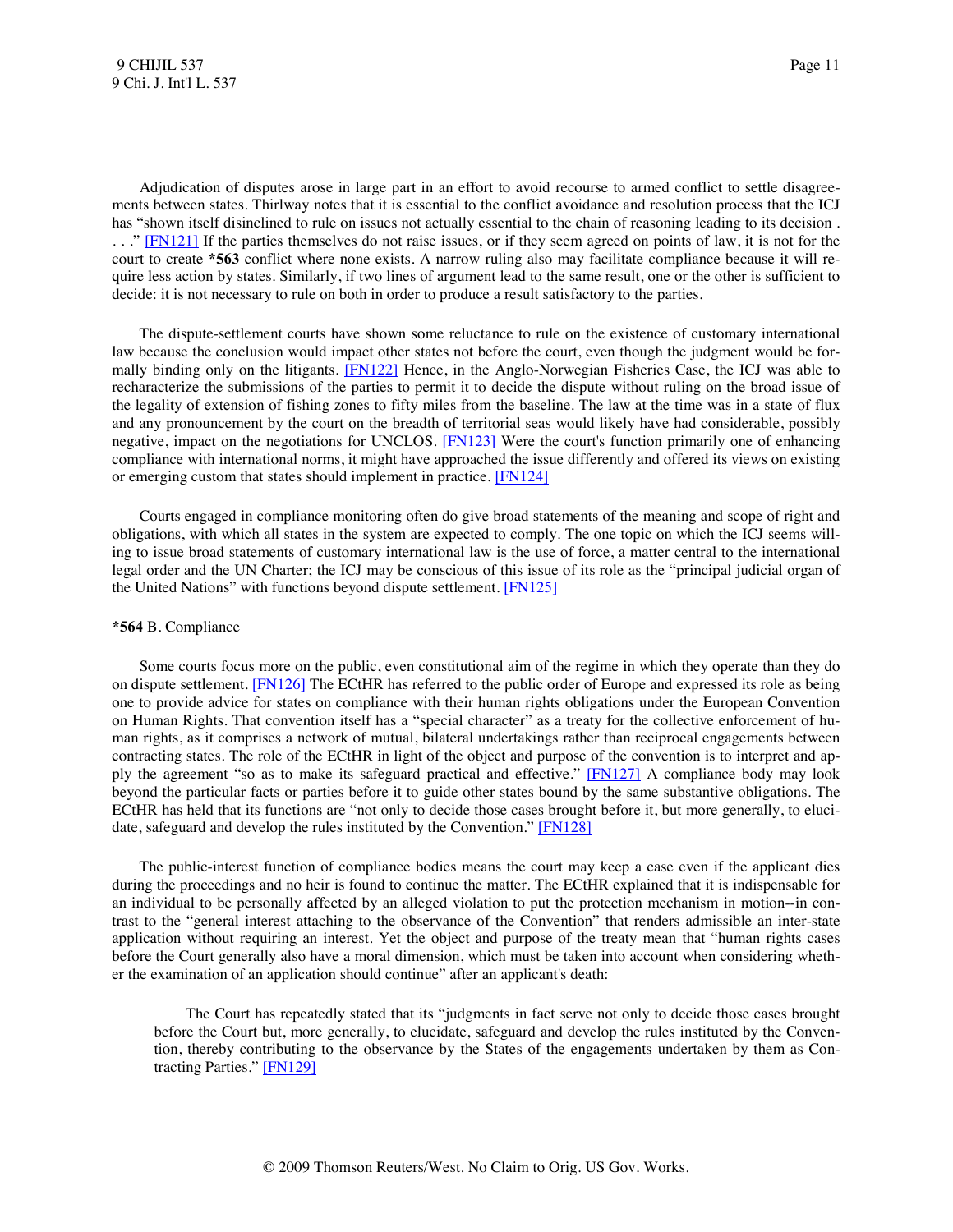<span id="page-11-0"></span> Adjudication of disputes arose in large part in an effort to avoid recourse to armed conflict to settle disagreements between states. Thirlway notes that it is essential to the conflict avoidance and resolution process that the ICJ has "shown itself disinclined to rule on issues not actually essential to the chain of reasoning leading to its decision . . . ." [\[FN121\]](#page-26-0) If the parties themselves do not raise issues, or if they seem agreed on points of law, it is not for the court to create **\*563** conflict where none exists. A narrow ruling also may facilitate compliance because it will require less action by states. Similarly, if two lines of argument lead to the same result, one or the other is sufficient to decide: it is not necessary to rule on both in order to produce a result satisfactory to the parties.

<span id="page-11-1"></span> The dispute-settlement courts have shown some reluctance to rule on the existence of customary international law because the conclusion would impact other states not before the court, even though the judgment would be for-mally binding only on the litigants. [\[FN122\]](#page-26-1) Hence, in the Anglo-Norwegian Fisheries Case, the ICJ was able to recharacterize the submissions of the parties to permit it to decide the dispute without ruling on the broad issue of the legality of extension of fishing zones to fifty miles from the baseline. The law at the time was in a state of flux and any pronouncement by the court on the breadth of territorial seas would likely have had considerable, possibly negative, impact on the negotiations for UNCLOS. [\[FN123\]](#page-26-2) Were the court's function primarily one of enhancing compliance with international norms, it might have approached the issue differently and offered its views on existing or emerging custom that states should implement in practice. [\[FN124\]](#page-26-3)

<span id="page-11-3"></span><span id="page-11-2"></span> Courts engaged in compliance monitoring often do give broad statements of the meaning and scope of right and obligations, with which all states in the system are expected to comply. The one topic on which the ICJ seems willing to issue broad statements of customary international law is the use of force, a matter central to the international legal order and the UN Charter; the ICJ may be conscious of this issue of its role as the "principal judicial organ of the United Nations" with functions beyond dispute settlement. [\[FN125\]](#page-26-4)

#### <span id="page-11-4"></span>**\*564** B. Compliance

<span id="page-11-5"></span> Some courts focus more on the public, even constitutional aim of the regime in which they operate than they do on dispute settlement. [\[FN126\]](#page-26-5) The ECtHR has referred to the public order of Europe and expressed its role as being one to provide advice for states on compliance with their human rights obligations under the European Convention on Human Rights. That convention itself has a "special character" as a treaty for the collective enforcement of human rights, as it comprises a network of mutual, bilateral undertakings rather than reciprocal engagements between contracting states. The role of the ECtHR in light of the object and purpose of the convention is to interpret and ap-ply the agreement "so as to make its safeguard practical and effective." [\[FN127\]](#page-26-6) A compliance body may look beyond the particular facts or parties before it to guide other states bound by the same substantive obligations. The ECtHR has held that its functions are "not only to decide those cases brought before it, but more generally, to eluci-date, safeguard and develop the rules instituted by the Convention." [\[FN128\]](#page-26-7)

<span id="page-11-6"></span> The public-interest function of compliance bodies means the court may keep a case even if the applicant dies during the proceedings and no heir is found to continue the matter. The ECtHR explained that it is indispensable for an individual to be personally affected by an alleged violation to put the protection mechanism in motion--in contrast to the "general interest attaching to the observance of the Convention" that renders admissible an inter-state application without requiring an interest. Yet the object and purpose of the treaty mean that "human rights cases before the Court generally also have a moral dimension, which must be taken into account when considering whether the examination of an application should continue" after an applicant's death:

<span id="page-11-8"></span><span id="page-11-7"></span> The Court has repeatedly stated that its "judgments in fact serve not only to decide those cases brought before the Court but, more generally, to elucidate, safeguard and develop the rules instituted by the Convention, thereby contributing to the observance by the States of the engagements undertaken by them as Contracting Parties.[" \[FN129\]](#page-26-8)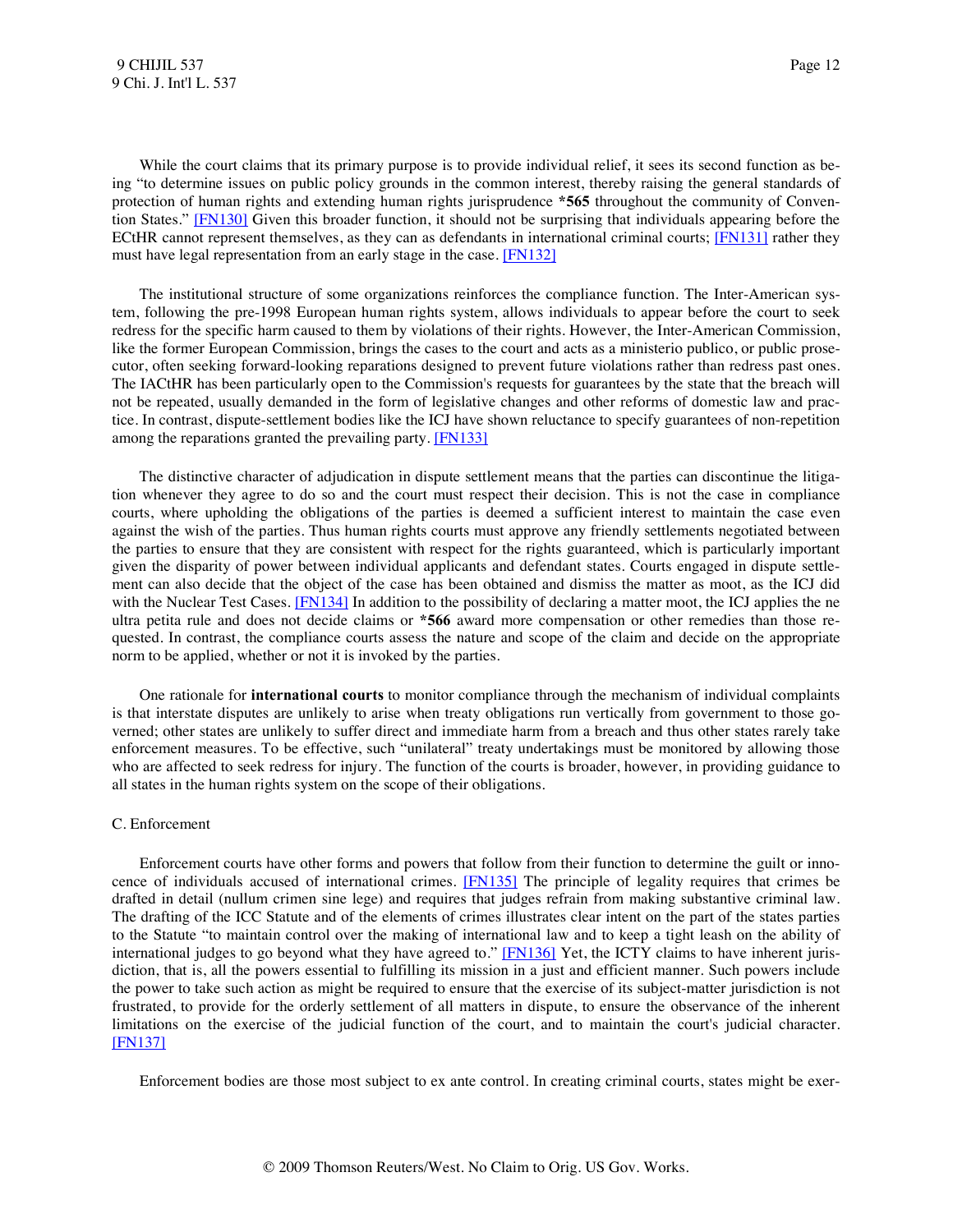<span id="page-12-0"></span>While the court claims that its primary purpose is to provide individual relief, it sees its second function as being "to determine issues on public policy grounds in the common interest, thereby raising the general standards of protection of human rights and extending human rights jurisprudence **\*565** throughout the community of Convention States." [\[FN130\]](#page-26-9) Given this broader function, it should not be surprising that individuals appearing before the ECtHR cannot represent themselves, as they can as defendants in international criminal courts; [\[FN131\]](#page-26-10) rather they must have legal representation from an early stage in the case. [\[FN132\]](#page-26-11)

<span id="page-12-2"></span><span id="page-12-1"></span> The institutional structure of some organizations reinforces the compliance function. The Inter-American system, following the pre-1998 European human rights system, allows individuals to appear before the court to seek redress for the specific harm caused to them by violations of their rights. However, the Inter-American Commission, like the former European Commission, brings the cases to the court and acts as a ministerio publico, or public prosecutor, often seeking forward-looking reparations designed to prevent future violations rather than redress past ones. The IACtHR has been particularly open to the Commission's requests for guarantees by the state that the breach will not be repeated, usually demanded in the form of legislative changes and other reforms of domestic law and practice. In contrast, dispute-settlement bodies like the ICJ have shown reluctance to specify guarantees of non-repetition among the reparations granted the prevailing party. [\[FN133\]](#page-26-12)

<span id="page-12-3"></span> The distinctive character of adjudication in dispute settlement means that the parties can discontinue the litigation whenever they agree to do so and the court must respect their decision. This is not the case in compliance courts, where upholding the obligations of the parties is deemed a sufficient interest to maintain the case even against the wish of the parties. Thus human rights courts must approve any friendly settlements negotiated between the parties to ensure that they are consistent with respect for the rights guaranteed, which is particularly important given the disparity of power between individual applicants and defendant states. Courts engaged in dispute settlement can also decide that the object of the case has been obtained and dismiss the matter as moot, as the ICJ did with the Nuclear Test Cases. [\[FN134\]](#page-26-13) In addition to the possibility of declaring a matter moot, the ICJ applies the ne ultra petita rule and does not decide claims or **\*566** award more compensation or other remedies than those requested. In contrast, the compliance courts assess the nature and scope of the claim and decide on the appropriate norm to be applied, whether or not it is invoked by the parties.

<span id="page-12-4"></span> One rationale for **international courts** to monitor compliance through the mechanism of individual complaints is that interstate disputes are unlikely to arise when treaty obligations run vertically from government to those governed; other states are unlikely to suffer direct and immediate harm from a breach and thus other states rarely take enforcement measures. To be effective, such "unilateral" treaty undertakings must be monitored by allowing those who are affected to seek redress for injury. The function of the courts is broader, however, in providing guidance to all states in the human rights system on the scope of their obligations.

#### C. Enforcement

<span id="page-12-5"></span> Enforcement courts have other forms and powers that follow from their function to determine the guilt or innocence of individuals accused of international crimes. [\[FN135\]](#page-27-0) The principle of legality requires that crimes be drafted in detail (nullum crimen sine lege) and requires that judges refrain from making substantive criminal law. The drafting of the ICC Statute and of the elements of crimes illustrates clear intent on the part of the states parties to the Statute "to maintain control over the making of international law and to keep a tight leash on the ability of international judges to go beyond what they have agreed to." [\[FN136\]](#page-27-1) Yet, the ICTY claims to have inherent jurisdiction, that is, all the powers essential to fulfilling its mission in a just and efficient manner. Such powers include the power to take such action as might be required to ensure that the exercise of its subject-matter jurisdiction is not frustrated, to provide for the orderly settlement of all matters in dispute, to ensure the observance of the inherent limitations on the exercise of the judicial function of the court, and to maintain the court's judicial character. [\[FN137\]](#page-27-2)

<span id="page-12-7"></span><span id="page-12-6"></span>Enforcement bodies are those most subject to ex ante control. In creating criminal courts, states might be exer-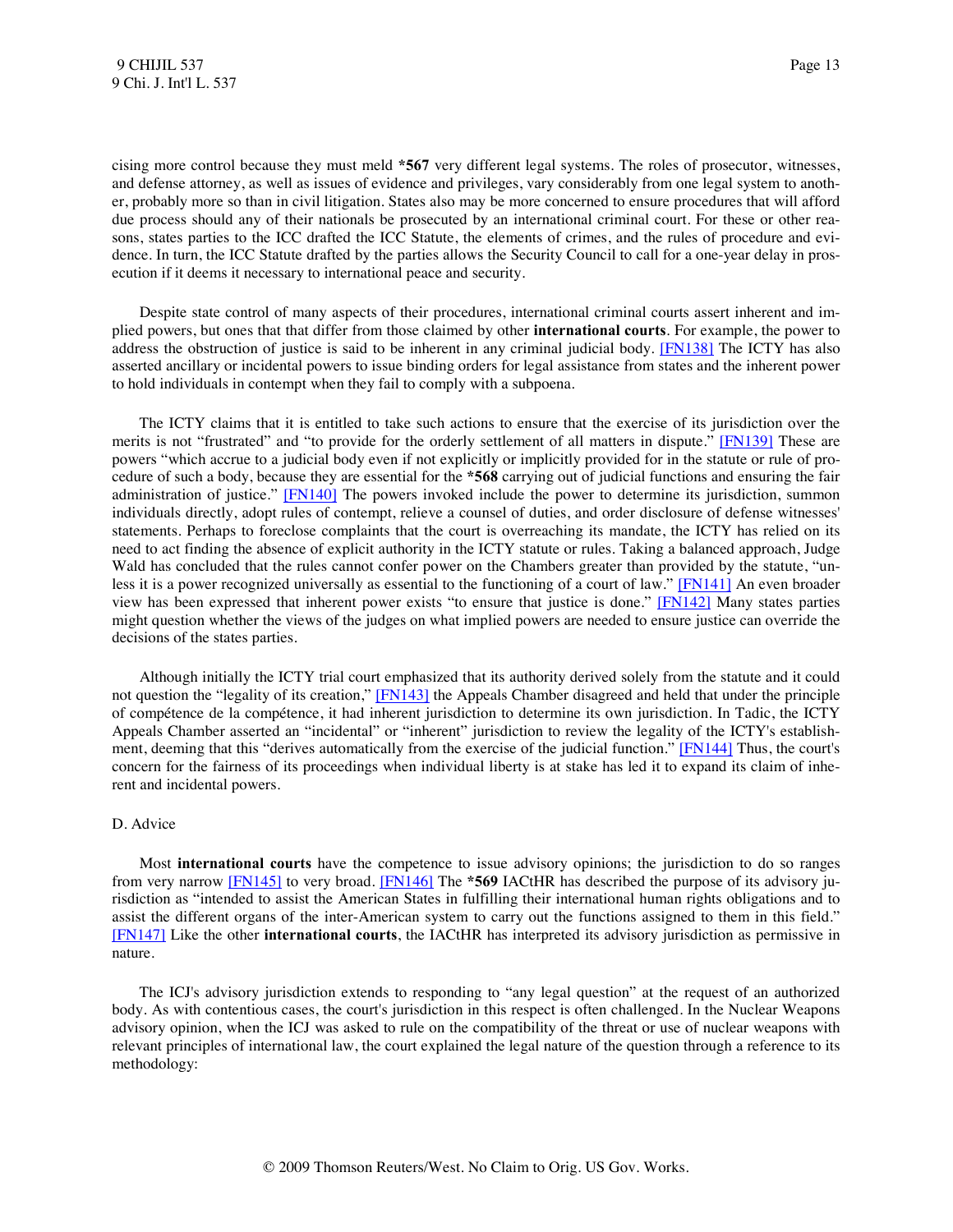cising more control because they must meld **\*567** very different legal systems. The roles of prosecutor, witnesses, and defense attorney, as well as issues of evidence and privileges, vary considerably from one legal system to another, probably more so than in civil litigation. States also may be more concerned to ensure procedures that will afford due process should any of their nationals be prosecuted by an international criminal court. For these or other reasons, states parties to the ICC drafted the ICC Statute, the elements of crimes, and the rules of procedure and evidence. In turn, the ICC Statute drafted by the parties allows the Security Council to call for a one-year delay in prosecution if it deems it necessary to international peace and security.

<span id="page-13-0"></span> Despite state control of many aspects of their procedures, international criminal courts assert inherent and implied powers, but ones that that differ from those claimed by other **international courts**. For example, the power to address the obstruction of justice is said to be inherent in any criminal judicial body. [\[FN138\]](#page-27-3) The ICTY has also asserted ancillary or incidental powers to issue binding orders for legal assistance from states and the inherent power to hold individuals in contempt when they fail to comply with a subpoena.

<span id="page-13-2"></span><span id="page-13-1"></span> The ICTY claims that it is entitled to take such actions to ensure that the exercise of its jurisdiction over the merits is not "frustrated" and "to provide for the orderly settlement of all matters in dispute." [\[FN139\]](#page-27-4) These are powers "which accrue to a judicial body even if not explicitly or implicitly provided for in the statute or rule of procedure of such a body, because they are essential for the **\*568** carrying out of judicial functions and ensuring the fair administration of justice." [\[FN140\]](#page-27-5) The powers invoked include the power to determine its jurisdiction, summon individuals directly, adopt rules of contempt, relieve a counsel of duties, and order disclosure of defense witnesses' statements. Perhaps to foreclose complaints that the court is overreaching its mandate, the ICTY has relied on its need to act finding the absence of explicit authority in the ICTY statute or rules. Taking a balanced approach, Judge Wald has concluded that the rules cannot confer power on the Chambers greater than provided by the statute, "un-less it is a power recognized universally as essential to the functioning of a court of law." [\[FN141\]](#page-27-6) An even broader view has been expressed that inherent power exists "to ensure that justice is done." [\[FN142\]](#page-27-7) Many states parties might question whether the views of the judges on what implied powers are needed to ensure justice can override the decisions of the states parties.

<span id="page-13-6"></span><span id="page-13-5"></span><span id="page-13-4"></span><span id="page-13-3"></span> Although initially the ICTY trial court emphasized that its authority derived solely from the statute and it could not question the "legality of its creation," [\[FN143\]](#page-27-8) the Appeals Chamber disagreed and held that under the principle of compétence de la compétence, it had inherent jurisdiction to determine its own jurisdiction. In Tadic, the ICTY Appeals Chamber asserted an "incidental" or "inherent" jurisdiction to review the legality of the ICTY's establish-ment, deeming that this "derives automatically from the exercise of the judicial function." [\[FN144\]](#page-27-9) Thus, the court's concern for the fairness of its proceedings when individual liberty is at stake has led it to expand its claim of inherent and incidental powers.

#### D. Advice

<span id="page-13-8"></span><span id="page-13-7"></span> Most **international courts** have the competence to issue advisory opinions; the jurisdiction to do so ranges from very narrow [\[FN145\]](#page-28-0) to very broad. [\[FN146\]](#page-28-1) The **\*569** IACtHR has described the purpose of its advisory jurisdiction as "intended to assist the American States in fulfilling their international human rights obligations and to assist the different organs of the inter-American system to carry out the functions assigned to them in this field." [\[FN147\]](#page-28-2) Like the other **international courts**, the IACtHR has interpreted its advisory jurisdiction as permissive in nature.

<span id="page-13-9"></span> The ICJ's advisory jurisdiction extends to responding to "any legal question" at the request of an authorized body. As with contentious cases, the court's jurisdiction in this respect is often challenged. In the Nuclear Weapons advisory opinion, when the ICJ was asked to rule on the compatibility of the threat or use of nuclear weapons with relevant principles of international law, the court explained the legal nature of the question through a reference to its methodology: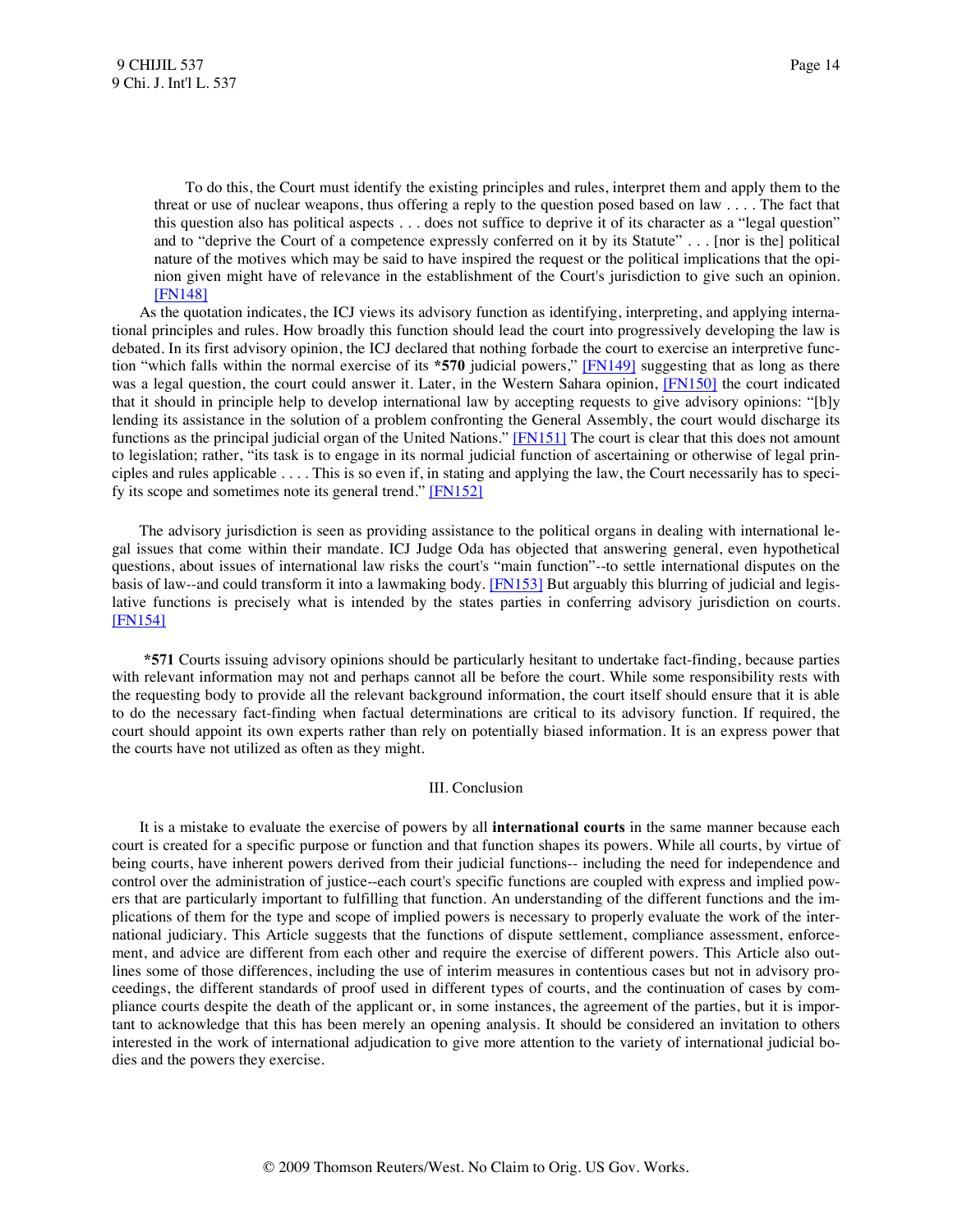To do this, the Court must identify the existing principles and rules, interpret them and apply them to the threat or use of nuclear weapons, thus offering a reply to the question posed based on law . . . . The fact that this question also has political aspects . . . does not suffice to deprive it of its character as a "legal question" and to "deprive the Court of a competence expressly conferred on it by its Statute" . . . [nor is the] political nature of the motives which may be said to have inspired the request or the political implications that the opinion given might have of relevance in the establishment of the Court's jurisdiction to give such an opinion. [\[FN148\]](#page-28-3)

<span id="page-14-0"></span> As the quotation indicates, the ICJ views its advisory function as identifying, interpreting, and applying international principles and rules. How broadly this function should lead the court into progressively developing the law is debated. In its first advisory opinion, the ICJ declared that nothing forbade the court to exercise an interpretive function "which falls within the normal exercise of its **\*570** judicial powers," [\[FN149\]](#page-28-4) suggesting that as long as there was a legal question, the court could answer it. Later, in the Western Sahara opinion, [\[FN150\]](#page-28-5) the court indicated that it should in principle help to develop international law by accepting requests to give advisory opinions: "[b]y lending its assistance in the solution of a problem confronting the General Assembly, the court would discharge its functions as the principal judicial organ of the United Nations." [\[FN151\]](#page-28-6) The court is clear that this does not amount to legislation; rather, "its task is to engage in its normal judicial function of ascertaining or otherwise of legal principles and rules applicable . . . . This is so even if, in stating and applying the law, the Court necessarily has to specify its scope and sometimes note its general trend." [\[FN152\]](#page-28-7)

 The advisory jurisdiction is seen as providing assistance to the political organs in dealing with international legal issues that come within their mandate. ICJ Judge Oda has objected that answering general, even hypothetical questions, about issues of international law risks the court's "main function"--to settle international disputes on the basis of law--and could transform it into a lawmaking body. [\[FN153\]](#page-28-8) But arguably this blurring of judicial and legislative functions is precisely what is intended by the states parties in conferring advisory jurisdiction on courts. [\[FN154\]](#page-28-9)

<span id="page-14-6"></span> **\*571** Courts issuing advisory opinions should be particularly hesitant to undertake fact-finding, because parties with relevant information may not and perhaps cannot all be before the court. While some responsibility rests with the requesting body to provide all the relevant background information, the court itself should ensure that it is able to do the necessary fact-finding when factual determinations are critical to its advisory function. If required, the court should appoint its own experts rather than rely on potentially biased information. It is an express power that the courts have not utilized as often as they might.

#### <span id="page-14-5"></span><span id="page-14-4"></span><span id="page-14-3"></span><span id="page-14-2"></span><span id="page-14-1"></span>III. Conclusion

 It is a mistake to evaluate the exercise of powers by all **international courts** in the same manner because each court is created for a specific purpose or function and that function shapes its powers. While all courts, by virtue of being courts, have inherent powers derived from their judicial functions-- including the need for independence and control over the administration of justice--each court's specific functions are coupled with express and implied powers that are particularly important to fulfilling that function. An understanding of the different functions and the implications of them for the type and scope of implied powers is necessary to properly evaluate the work of the international judiciary. This Article suggests that the functions of dispute settlement, compliance assessment, enforcement, and advice are different from each other and require the exercise of different powers. This Article also outlines some of those differences, including the use of interim measures in contentious cases but not in advisory proceedings, the different standards of proof used in different types of courts, and the continuation of cases by compliance courts despite the death of the applicant or, in some instances, the agreement of the parties, but it is important to acknowledge that this has been merely an opening analysis. It should be considered an invitation to others interested in the work of international adjudication to give more attention to the variety of international judicial bodies and the powers they exercise.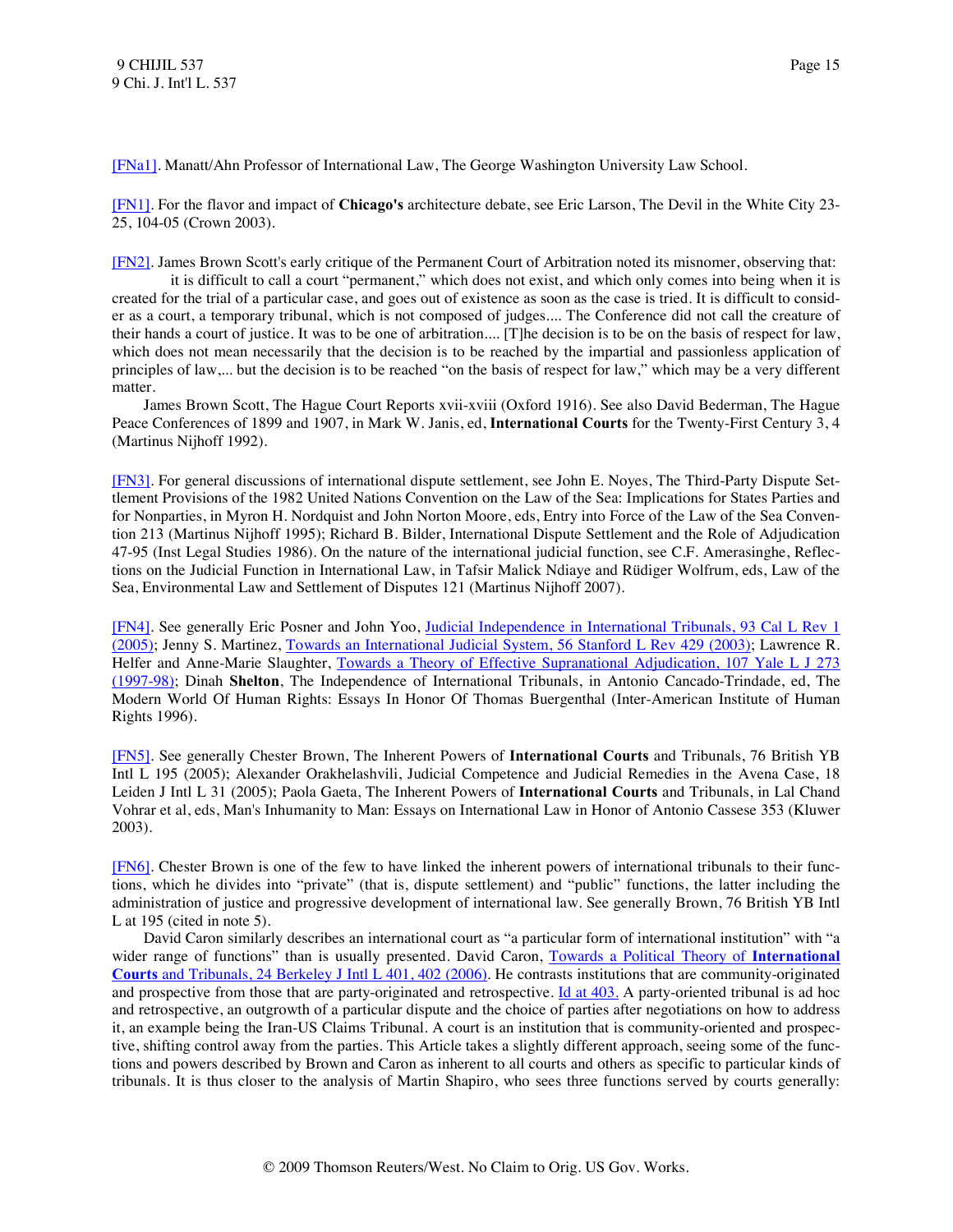<span id="page-15-0"></span>[\[FNa1\].](#page-1-0) Manatt/Ahn Professor of International Law, The George Washington University Law School.

<span id="page-15-1"></span>[\[FN1\].](#page-1-1) For the flavor and impact of **Chicago's** architecture debate, see Eric Larson, The Devil in the White City 23- 25, 104-05 (Crown 2003).

<span id="page-15-2"></span>[\[FN2\].](#page-1-2) James Brown Scott's early critique of the Permanent Court of Arbitration noted its misnomer, observing that:

 it is difficult to call a court "permanent," which does not exist, and which only comes into being when it is created for the trial of a particular case, and goes out of existence as soon as the case is tried. It is difficult to consider as a court, a temporary tribunal, which is not composed of judges.... The Conference did not call the creature of their hands a court of justice. It was to be one of arbitration.... [T]he decision is to be on the basis of respect for law, which does not mean necessarily that the decision is to be reached by the impartial and passionless application of principles of law,... but the decision is to be reached "on the basis of respect for law," which may be a very different matter.

 James Brown Scott, The Hague Court Reports xvii-xviii (Oxford 1916). See also David Bederman, The Hague Peace Conferences of 1899 and 1907, in Mark W. Janis, ed, **International Courts** for the Twenty-First Century 3, 4 (Martinus Nijhoff 1992).

<span id="page-15-3"></span>[\[FN3\].](#page-1-3) For general discussions of international dispute settlement, see John E. Noyes, The Third-Party Dispute Settlement Provisions of the 1982 United Nations Convention on the Law of the Sea: Implications for States Parties and for Nonparties, in Myron H. Nordquist and John Norton Moore, eds, Entry into Force of the Law of the Sea Convention 213 (Martinus Nijhoff 1995); Richard B. Bilder, International Dispute Settlement and the Role of Adjudication 47-95 (Inst Legal Studies 1986). On the nature of the international judicial function, see C.F. Amerasinghe, Reflections on the Judicial Function in International Law, in Tafsir Malick Ndiaye and Rüdiger Wolfrum, eds, Law of the Sea, Environmental Law and Settlement of Disputes 121 (Martinus Nijhoff 2007).

<span id="page-15-4"></span>[\[FN4\].](#page-1-4) See generally Eric Posner and John Yoo, [Judicial Independence in International Tribunals, 93 Cal L Rev 1](http://www.westlaw.com/Find/Default.wl?rs=dfa1.0&vr=2.0&DB=1107&FindType=Y&SerialNum=0303681325)  [\(2005\);](http://www.westlaw.com/Find/Default.wl?rs=dfa1.0&vr=2.0&DB=1107&FindType=Y&SerialNum=0303681325) Jenny S. Martinez, [Towards an International Judicial System, 56 Stanford L Rev 429 \(2003\);](http://www.westlaw.com/Find/Default.wl?rs=dfa1.0&vr=2.0&DB=1239&FindType=Y&SerialNum=0296819800) Lawrence R. Helfer and Anne-Marie Slaughter, Towards a Theory of Effective Supranational Adjudication, 107 Yale L J 273 [\(1997-98\);](http://www.westlaw.com/Find/Default.wl?rs=dfa1.0&vr=2.0&DB=1292&FindType=Y&SerialNum=0108574018) Dinah **Shelton**, The Independence of International Tribunals, in Antonio Cancado-Trindade, ed, The Modern World Of Human Rights: Essays In Honor Of Thomas Buergenthal (Inter-American Institute of Human Rights 1996).

<span id="page-15-5"></span>[\[FN5\].](#page-1-5) See generally Chester Brown, The Inherent Powers of **International Courts** and Tribunals, 76 British YB Intl L 195 (2005); Alexander Orakhelashvili, Judicial Competence and Judicial Remedies in the Avena Case, 18 Leiden J Intl L 31 (2005); Paola Gaeta, The Inherent Powers of **International Courts** and Tribunals, in Lal Chand Vohrar et al, eds, Man's Inhumanity to Man: Essays on International Law in Honor of Antonio Cassese 353 (Kluwer 2003).

<span id="page-15-6"></span>[\[FN6\].](#page-1-6) Chester Brown is one of the few to have linked the inherent powers of international tribunals to their functions, which he divides into "private" (that is, dispute settlement) and "public" functions, the latter including the administration of justice and progressive development of international law. See generally Brown, 76 British YB Intl L at 195 (cited in note 5).

 David Caron similarly describes an international court as "a particular form of international institution" with "a wider range of functions" than is usually presented. David Caron, [Towards a Political Theory of](http://www.westlaw.com/Find/Default.wl?rs=dfa1.0&vr=2.0&DB=113116&FindType=Y&ReferencePositionType=S&SerialNum=0330432034&ReferencePosition=402) **[International](http://www.westlaw.com/Find/Default.wl?rs=dfa1.0&vr=2.0&DB=113116&FindType=Y&ReferencePositionType=S&SerialNum=0330432034&ReferencePosition=402) [Courts](http://www.westlaw.com/Find/Default.wl?rs=dfa1.0&vr=2.0&DB=113116&FindType=Y&ReferencePositionType=S&SerialNum=0330432034&ReferencePosition=402)** [and Tribunals, 24 Berkeley J Intl L 401, 402 \(2006\).](http://www.westlaw.com/Find/Default.wl?rs=dfa1.0&vr=2.0&DB=113116&FindType=Y&ReferencePositionType=S&SerialNum=0330432034&ReferencePosition=402) He contrasts institutions that are community-originated and prospective from those that are party-originated and retrospective. [Id at 403.](http://www.westlaw.com/Find/Default.wl?rs=dfa1.0&vr=2.0&FindType=Y&SerialNum=0330432034) A party-oriented tribunal is ad hoc and retrospective, an outgrowth of a particular dispute and the choice of parties after negotiations on how to address it, an example being the Iran-US Claims Tribunal. A court is an institution that is community-oriented and prospective, shifting control away from the parties. This Article takes a slightly different approach, seeing some of the functions and powers described by Brown and Caron as inherent to all courts and others as specific to particular kinds of tribunals. It is thus closer to the analysis of Martin Shapiro, who sees three functions served by courts generally: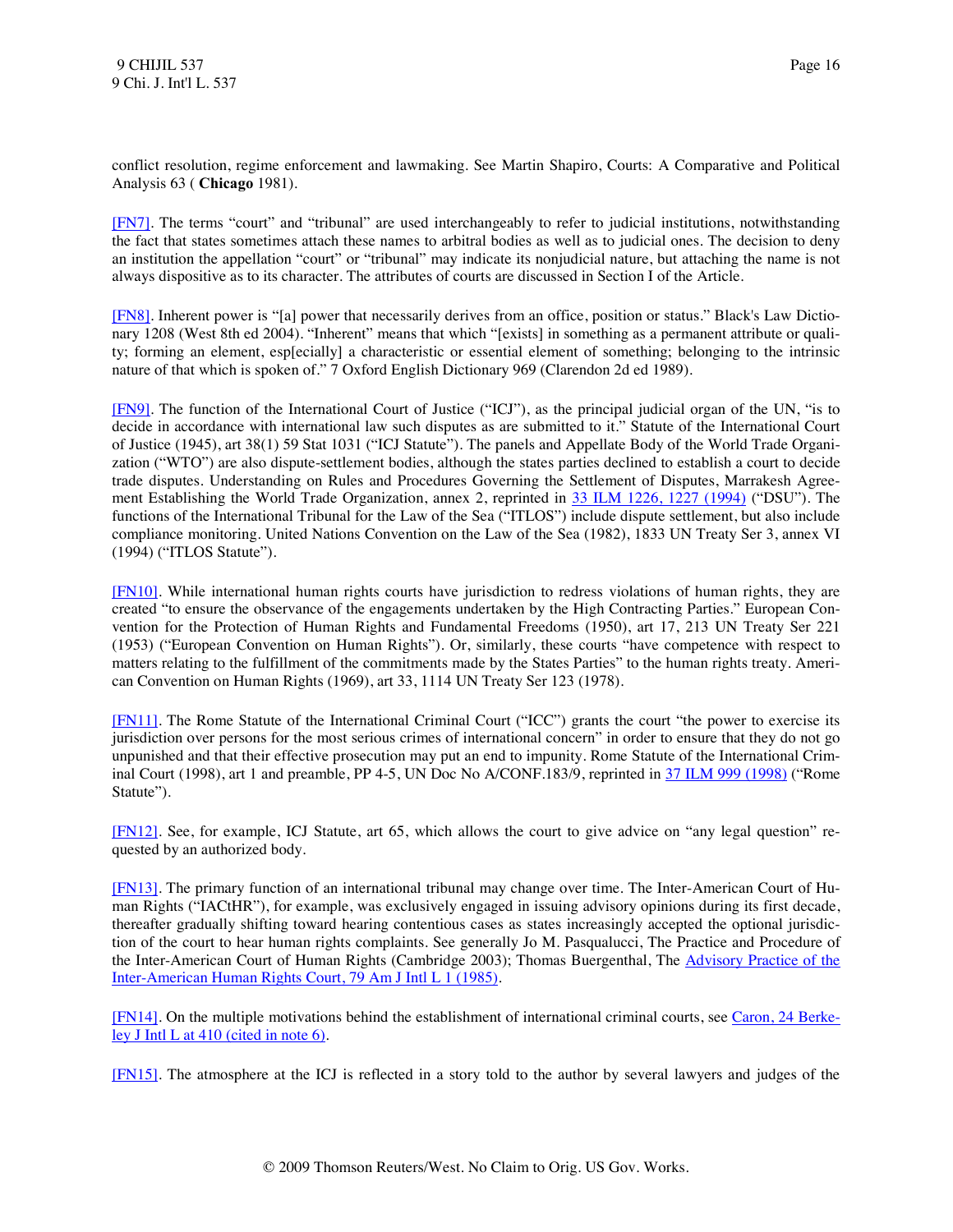conflict resolution, regime enforcement and lawmaking. See Martin Shapiro, Courts: A Comparative and Political Analysis 63 ( **Chicago** 1981).

<span id="page-16-0"></span>[\[FN7\].](#page-1-7) The terms "court" and "tribunal" are used interchangeably to refer to judicial institutions, notwithstanding the fact that states sometimes attach these names to arbitral bodies as well as to judicial ones. The decision to deny an institution the appellation "court" or "tribunal" may indicate its nonjudicial nature, but attaching the name is not always dispositive as to its character. The attributes of courts are discussed in Section I of the Article.

<span id="page-16-1"></span>[\[FN8\].](#page-1-8) Inherent power is "[a] power that necessarily derives from an office, position or status." Black's Law Dictionary 1208 (West 8th ed 2004). "Inherent" means that which "[exists] in something as a permanent attribute or quality; forming an element, esp[ecially] a characteristic or essential element of something; belonging to the intrinsic nature of that which is spoken of." 7 Oxford English Dictionary 969 (Clarendon 2d ed 1989).

<span id="page-16-2"></span>[\[FN9\].](#page-1-9) The function of the International Court of Justice ("ICJ"), as the principal judicial organ of the UN, "is to decide in accordance with international law such disputes as are submitted to it." Statute of the International Court of Justice (1945), art 38(1) 59 Stat 1031 ("ICJ Statute"). The panels and Appellate Body of the World Trade Organization ("WTO") are also dispute-settlement bodies, although the states parties declined to establish a court to decide trade disputes. Understanding on Rules and Procedures Governing the Settlement of Disputes, Marrakesh Agreement Establishing the World Trade Organization, annex 2, reprinted in [33 ILM 1226, 1227 \(1994\)](http://www.westlaw.com/Find/Default.wl?rs=dfa1.0&vr=2.0&DB=100856&DocName=33INTLLEGALMAT1226&FindType=Y&ReferencePositionType=S&ReferencePosition=1227) ("DSU"). The functions of the International Tribunal for the Law of the Sea ("ITLOS") include dispute settlement, but also include compliance monitoring. United Nations Convention on the Law of the Sea (1982), 1833 UN Treaty Ser 3, annex VI (1994) ("ITLOS Statute").

<span id="page-16-3"></span>[\[FN10\].](#page-1-10) While international human rights courts have jurisdiction to redress violations of human rights, they are created "to ensure the observance of the engagements undertaken by the High Contracting Parties." European Convention for the Protection of Human Rights and Fundamental Freedoms (1950), art 17, 213 UN Treaty Ser 221 (1953) ("European Convention on Human Rights"). Or, similarly, these courts "have competence with respect to matters relating to the fulfillment of the commitments made by the States Parties" to the human rights treaty. American Convention on Human Rights (1969), art 33, 1114 UN Treaty Ser 123 (1978).

<span id="page-16-4"></span>[\[FN11\].](#page-1-11) The Rome Statute of the International Criminal Court ("ICC") grants the court "the power to exercise its jurisdiction over persons for the most serious crimes of international concern" in order to ensure that they do not go unpunished and that their effective prosecution may put an end to impunity. Rome Statute of the International Criminal Court (1998), art 1 and preamble, PP 4-5, UN Doc No A/CONF.183/9, reprinted in [37 ILM 999 \(1998\)](http://www.westlaw.com/Find/Default.wl?rs=dfa1.0&vr=2.0&DB=100856&DocName=37INTLLEGALMAT999&FindType=Y) ("Rome Statute").

<span id="page-16-5"></span>[\[FN12\].](#page-1-12) See, for example, ICJ Statute, art 65, which allows the court to give advice on "any legal question" requested by an authorized body.

<span id="page-16-6"></span>[\[FN13\].](#page-1-13) The primary function of an international tribunal may change over time. The Inter-American Court of Human Rights ("IACtHR"), for example, was exclusively engaged in issuing advisory opinions during its first decade, thereafter gradually shifting toward hearing contentious cases as states increasingly accepted the optional jurisdiction of the court to hear human rights complaints. See generally Jo M. Pasqualucci, The Practice and Procedure of the Inter-American Court of Human Rights (Cambridge 2003); Thomas Buergenthal, The [Advisory Practice of the](http://www.westlaw.com/Find/Default.wl?rs=dfa1.0&vr=2.0&DB=3263&FindType=Y&SerialNum=0101390954)  [Inter-American Human Rights Court, 79 Am J Intl L 1 \(1985\).](http://www.westlaw.com/Find/Default.wl?rs=dfa1.0&vr=2.0&DB=3263&FindType=Y&SerialNum=0101390954)

<span id="page-16-7"></span>[\[FN14\].](#page-2-0) On the multiple motivations behind the establishment of international criminal courts, see [Caron, 24 Berke](http://www.westlaw.com/Find/Default.wl?rs=dfa1.0&vr=2.0&DB=113116&FindType=Y&ReferencePositionType=S&SerialNum=0330432034&ReferencePosition=410)[ley J Intl L at 410 \(cited in note 6\).](http://www.westlaw.com/Find/Default.wl?rs=dfa1.0&vr=2.0&DB=113116&FindType=Y&ReferencePositionType=S&SerialNum=0330432034&ReferencePosition=410)

<span id="page-16-8"></span>[\[FN15\].](#page-2-1) The atmosphere at the ICJ is reflected in a story told to the author by several lawyers and judges of the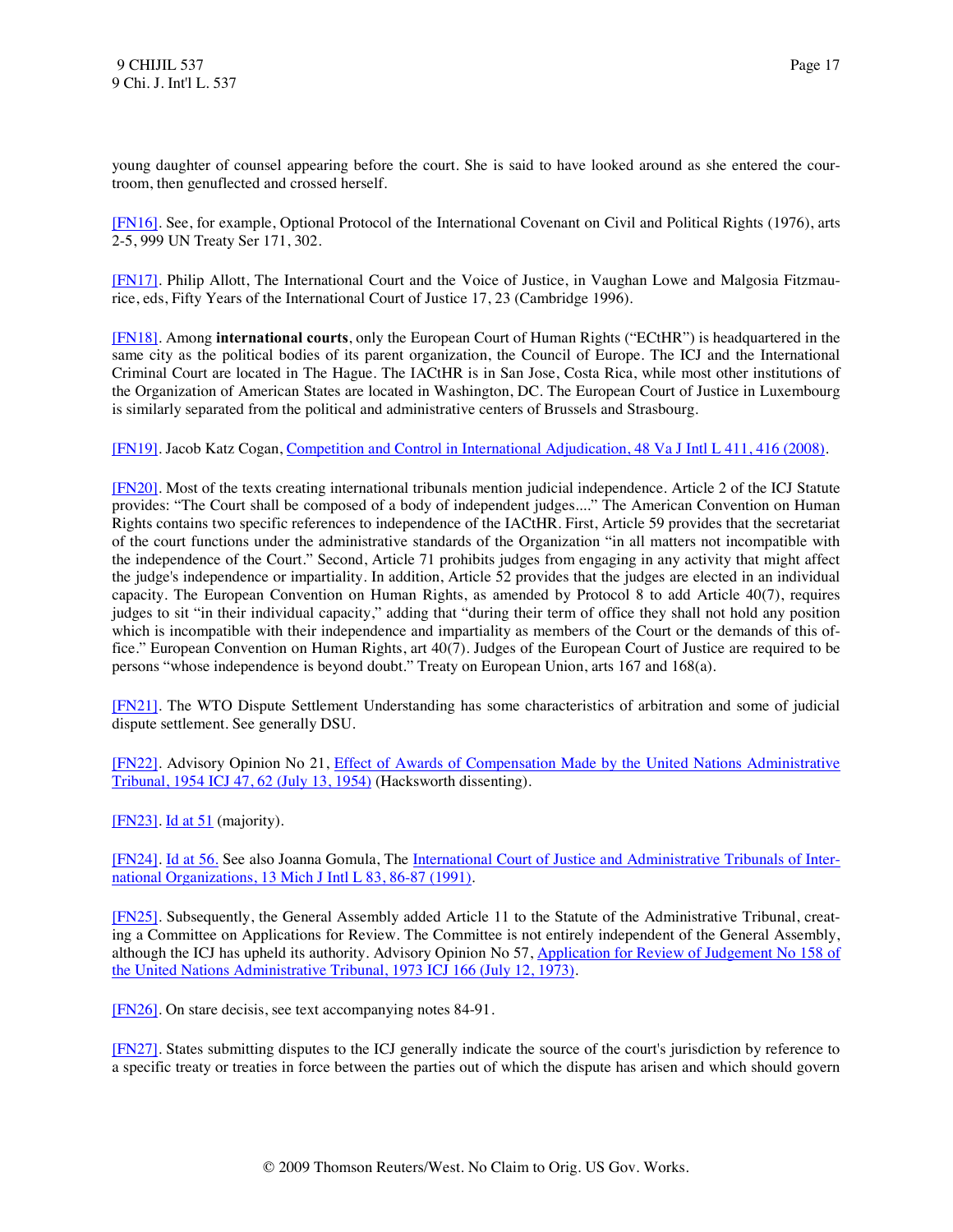young daughter of counsel appearing before the court. She is said to have looked around as she entered the courtroom, then genuflected and crossed herself.

<span id="page-17-0"></span>[\[FN16\].](#page-2-2) See, for example, Optional Protocol of the International Covenant on Civil and Political Rights (1976), arts 2-5, 999 UN Treaty Ser 171, 302.

<span id="page-17-1"></span>[\[FN17\].](#page-2-3) Philip Allott, The International Court and the Voice of Justice, in Vaughan Lowe and Malgosia Fitzmaurice, eds, Fifty Years of the International Court of Justice 17, 23 (Cambridge 1996).

<span id="page-17-2"></span>[\[FN18\].](#page-2-4) Among **international courts**, only the European Court of Human Rights ("ECtHR") is headquartered in the same city as the political bodies of its parent organization, the Council of Europe. The ICJ and the International Criminal Court are located in The Hague. The IACtHR is in San Jose, Costa Rica, while most other institutions of the Organization of American States are located in Washington, DC. The European Court of Justice in Luxembourg is similarly separated from the political and administrative centers of Brussels and Strasbourg.

<span id="page-17-3"></span>[\[FN19\].](#page-2-5) Jacob Katz Cogan, [Competition and Control in International Adjudication, 48 Va J Intl L 411, 416 \(2008\).](http://www.westlaw.com/Find/Default.wl?rs=dfa1.0&vr=2.0&DB=1275&FindType=Y&ReferencePositionType=S&SerialNum=0335683842&ReferencePosition=416)

<span id="page-17-4"></span>[\[FN20\].](#page-2-6) Most of the texts creating international tribunals mention judicial independence. Article 2 of the ICJ Statute provides: "The Court shall be composed of a body of independent judges...." The American Convention on Human Rights contains two specific references to independence of the IACtHR. First, Article 59 provides that the secretariat of the court functions under the administrative standards of the Organization "in all matters not incompatible with the independence of the Court." Second, Article 71 prohibits judges from engaging in any activity that might affect the judge's independence or impartiality. In addition, Article 52 provides that the judges are elected in an individual capacity. The European Convention on Human Rights, as amended by Protocol 8 to add Article 40(7), requires judges to sit "in their individual capacity," adding that "during their term of office they shall not hold any position which is incompatible with their independence and impartiality as members of the Court or the demands of this office." European Convention on Human Rights, art 40(7). Judges of the European Court of Justice are required to be persons "whose independence is beyond doubt." Treaty on European Union, arts 167 and 168(a).

<span id="page-17-5"></span>[\[FN21\].](#page-2-7) The WTO Dispute Settlement Understanding has some characteristics of arbitration and some of judicial dispute settlement. See generally DSU.

<span id="page-17-6"></span>[\[FN22\].](#page-3-0) Advisory Opinion No 21, [Effect of Awards of Compensation Made by the United Nations Administrative](http://www.westlaw.com/Find/Default.wl?rs=dfa1.0&vr=2.0&DB=147&FindType=Y&ReferencePositionType=S&SerialNum=1954000007&ReferencePosition=62)  [Tribunal, 1954 ICJ 47, 62 \(July 13, 1954\)](http://www.westlaw.com/Find/Default.wl?rs=dfa1.0&vr=2.0&DB=147&FindType=Y&ReferencePositionType=S&SerialNum=1954000007&ReferencePosition=62) (Hacksworth dissenting).

<span id="page-17-7"></span>[\[FN23\].](#page-3-1) [Id at 51](http://www.westlaw.com/Find/Default.wl?rs=dfa1.0&vr=2.0&FindType=Y&SerialNum=1954000007) (majority).

<span id="page-17-8"></span>[\[FN24\].](#page-3-2) [Id at 56.](http://www.westlaw.com/Find/Default.wl?rs=dfa1.0&vr=2.0&FindType=Y&SerialNum=1954000007) See also Joanna Gomula, The [International Court of Justice and Administrative Tribunals of Inter](http://www.westlaw.com/Find/Default.wl?rs=dfa1.0&vr=2.0&DB=3181&FindType=Y&ReferencePositionType=S&SerialNum=0102554062&ReferencePosition=86)[national Organizations, 13 Mich J Intl L 83, 86-87 \(1991\).](http://www.westlaw.com/Find/Default.wl?rs=dfa1.0&vr=2.0&DB=3181&FindType=Y&ReferencePositionType=S&SerialNum=0102554062&ReferencePosition=86)

<span id="page-17-9"></span>[\[FN25\].](#page-3-3) Subsequently, the General Assembly added Article 11 to the Statute of the Administrative Tribunal, creating a Committee on Applications for Review. The Committee is not entirely independent of the General Assembly, although the ICJ has upheld its authority. Advisory Opinion No 57, [Application for Review of Judgement No 158 of](http://www.westlaw.com/Find/Default.wl?rs=dfa1.0&vr=2.0&DB=147&FindType=Y&SerialNum=1973000802)  [the United Nations Administrative Tribunal, 1973 ICJ 166 \(July 12, 1973\).](http://www.westlaw.com/Find/Default.wl?rs=dfa1.0&vr=2.0&DB=147&FindType=Y&SerialNum=1973000802)

<span id="page-17-10"></span>[\[FN26\].](#page-3-4) On stare decisis, see text accompanying notes 84-91.

<span id="page-17-11"></span>[\[FN27\].](#page-3-5) States submitting disputes to the ICJ generally indicate the source of the court's jurisdiction by reference to a specific treaty or treaties in force between the parties out of which the dispute has arisen and which should govern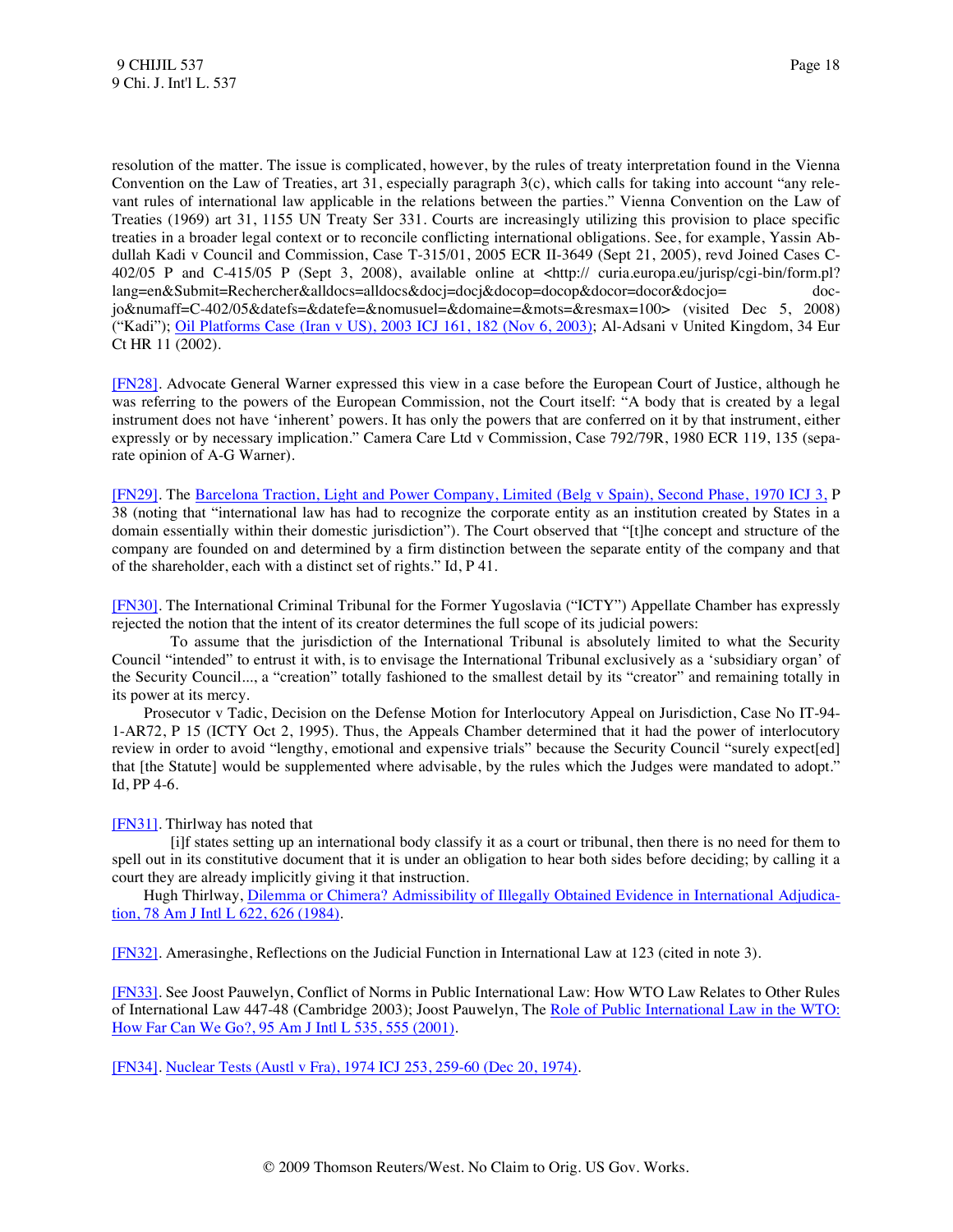resolution of the matter. The issue is complicated, however, by the rules of treaty interpretation found in the Vienna Convention on the Law of Treaties, art 31, especially paragraph 3(c), which calls for taking into account "any relevant rules of international law applicable in the relations between the parties." Vienna Convention on the Law of Treaties (1969) art 31, 1155 UN Treaty Ser 331. Courts are increasingly utilizing this provision to place specific treaties in a broader legal context or to reconcile conflicting international obligations. See, for example, Yassin Abdullah Kadi v Council and Commission, Case T-315/01, 2005 ECR II-3649 (Sept 21, 2005), revd Joined Cases C-402/05 P and C-415/05 P (Sept 3, 2008), available online at <http:// curia.europa.eu/jurisp/cgi-bin/form.pl? lang=en&Submit=Rechercher&alldocs=alldocs&docj=docj&docop=docop&docor=docor&docjo= docjo&numaff=C-402/05&datefs=&datefe=&nomusuel=&domaine=&mots=&resmax=100> (visited Dec 5, 2008) ("Kadi"); [Oil Platforms Case \(Iran v US\), 2003 ICJ 161, 182 \(Nov 6, 2003\);](http://www.westlaw.com/Find/Default.wl?rs=dfa1.0&vr=2.0&DB=147&FindType=Y&ReferencePositionType=S&SerialNum=2004243656&ReferencePosition=182) Al-Adsani v United Kingdom, 34 Eur Ct HR 11 (2002).

<span id="page-18-0"></span>[\[FN28\].](#page-3-6) Advocate General Warner expressed this view in a case before the European Court of Justice, although he was referring to the powers of the European Commission, not the Court itself: "A body that is created by a legal instrument does not have 'inherent' powers. It has only the powers that are conferred on it by that instrument, either expressly or by necessary implication." Camera Care Ltd v Commission, Case 792/79R, 1980 ECR 119, 135 (separate opinion of A-G Warner).

<span id="page-18-1"></span>[\[FN29\].](#page-3-7) The [Barcelona Traction, Light and Power Company, Limited \(Belg v Spain\), Second Phase, 1970 ICJ 3,](http://www.westlaw.com/Find/Default.wl?rs=dfa1.0&vr=2.0&DB=147&FindType=Y&SerialNum=1970000576) P 38 (noting that "international law has had to recognize the corporate entity as an institution created by States in a domain essentially within their domestic jurisdiction"). The Court observed that "[t]he concept and structure of the company are founded on and determined by a firm distinction between the separate entity of the company and that of the shareholder, each with a distinct set of rights." Id, P 41.

<span id="page-18-2"></span>[\[FN30\].](#page-3-8) The International Criminal Tribunal for the Former Yugoslavia ("ICTY") Appellate Chamber has expressly rejected the notion that the intent of its creator determines the full scope of its judicial powers:

 To assume that the jurisdiction of the International Tribunal is absolutely limited to what the Security Council "intended" to entrust it with, is to envisage the International Tribunal exclusively as a 'subsidiary organ' of the Security Council..., a "creation" totally fashioned to the smallest detail by its "creator" and remaining totally in its power at its mercy.

 Prosecutor v Tadic, Decision on the Defense Motion for Interlocutory Appeal on Jurisdiction, Case No IT-94- 1-AR72, P 15 (ICTY Oct 2, 1995). Thus, the Appeals Chamber determined that it had the power of interlocutory review in order to avoid "lengthy, emotional and expensive trials" because the Security Council "surely expect[ed] that [the Statute] would be supplemented where advisable, by the rules which the Judges were mandated to adopt." Id, PP 4-6.

## <span id="page-18-3"></span>[\[FN31\].](#page-3-9) Thirlway has noted that

 [i]f states setting up an international body classify it as a court or tribunal, then there is no need for them to spell out in its constitutive document that it is under an obligation to hear both sides before deciding; by calling it a court they are already implicitly giving it that instruction.

 Hugh Thirlway, [Dilemma or Chimera? Admissibility of Illegally Obtained Evidence in International Adjudica](http://www.westlaw.com/Find/Default.wl?rs=dfa1.0&vr=2.0&DB=3263&FindType=Y&ReferencePositionType=S&SerialNum=0102124031&ReferencePosition=626)[tion, 78 Am J Intl L 622, 626 \(1984\).](http://www.westlaw.com/Find/Default.wl?rs=dfa1.0&vr=2.0&DB=3263&FindType=Y&ReferencePositionType=S&SerialNum=0102124031&ReferencePosition=626)

<span id="page-18-4"></span>[\[FN32\].](#page-3-10) Amerasinghe, Reflections on the Judicial Function in International Law at 123 (cited in note 3).

<span id="page-18-5"></span>[\[FN33\].](#page-4-0) See Joost Pauwelyn, Conflict of Norms in Public International Law: How WTO Law Relates to Other Rules of International Law 447-48 (Cambridge 2003); Joost Pauwelyn, The [Role of Public International Law in the WTO:](http://www.westlaw.com/Find/Default.wl?rs=dfa1.0&vr=2.0&DB=3263&FindType=Y&ReferencePositionType=S&SerialNum=0330554937&ReferencePosition=555)  [How Far Can We Go?, 95 Am J Intl L 535, 555 \(2001\).](http://www.westlaw.com/Find/Default.wl?rs=dfa1.0&vr=2.0&DB=3263&FindType=Y&ReferencePositionType=S&SerialNum=0330554937&ReferencePosition=555)

<span id="page-18-6"></span>[\[FN34\].](#page-4-1) [Nuclear Tests \(Austl v Fra\), 1974 ICJ 253, 259-60 \(Dec 20, 1974\).](http://www.westlaw.com/Find/Default.wl?rs=dfa1.0&vr=2.0&DB=147&FindType=Y&ReferencePositionType=S&SerialNum=1974000872&ReferencePosition=259)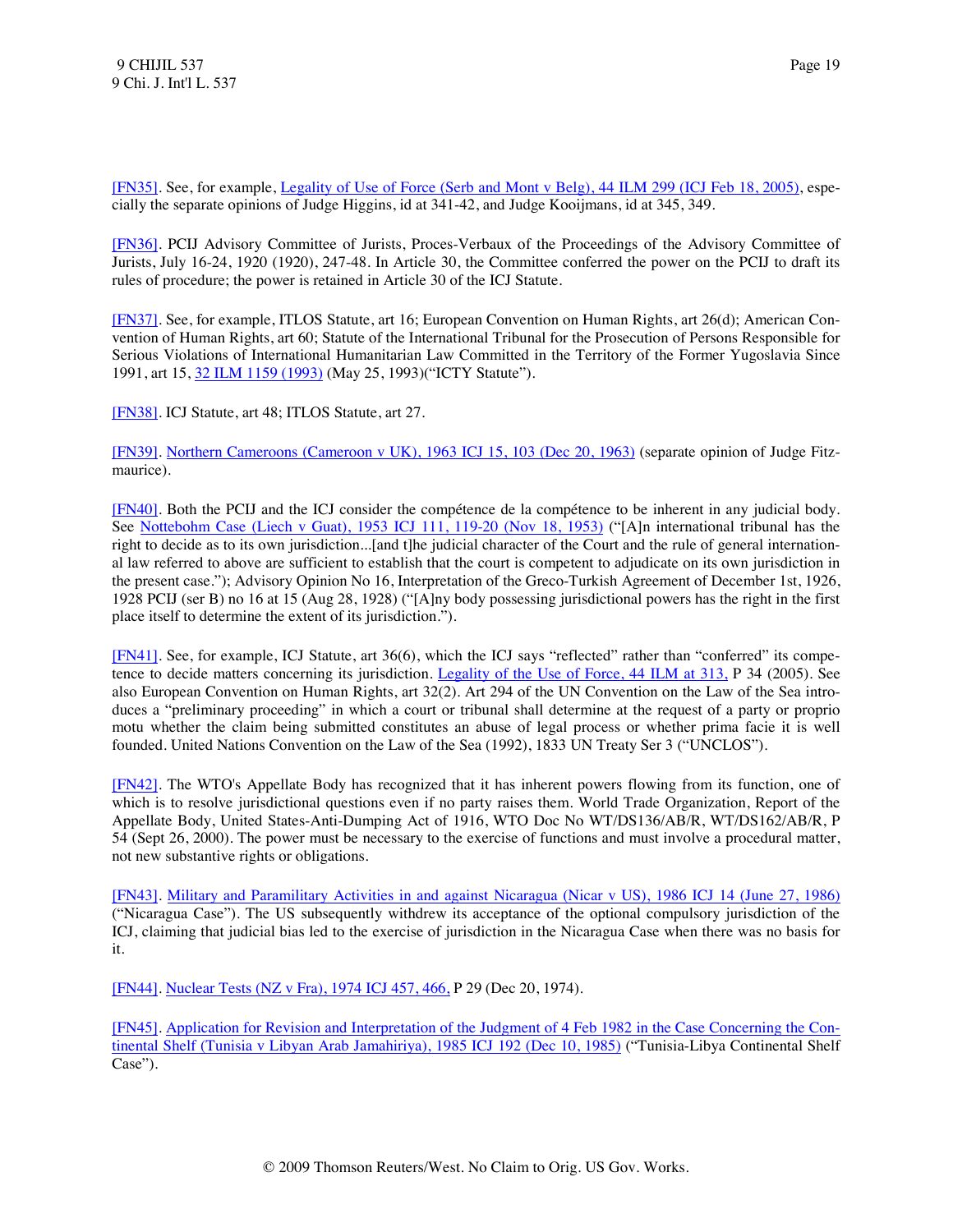<span id="page-19-0"></span>[\[FN35\].](#page-4-2) See, for example, [Legality of Use of Force \(Serb and Mont v Belg\), 44 ILM 299 \(ICJ Feb 18, 2005\),](http://www.westlaw.com/Find/Default.wl?rs=dfa1.0&vr=2.0&DB=100856&DocName=44INTLLEGALMAT299&FindType=Y) especially the separate opinions of Judge Higgins, id at 341-42, and Judge Kooijmans, id at 345, 349.

<span id="page-19-1"></span>[\[FN36\].](#page-4-3) PCIJ Advisory Committee of Jurists, Proces-Verbaux of the Proceedings of the Advisory Committee of Jurists, July 16-24, 1920 (1920), 247-48. In Article 30, the Committee conferred the power on the PCIJ to draft its rules of procedure; the power is retained in Article 30 of the ICJ Statute.

<span id="page-19-2"></span>[\[FN37\].](#page-4-4) See, for example, ITLOS Statute, art 16; European Convention on Human Rights, art 26(d); American Convention of Human Rights, art 60; Statute of the International Tribunal for the Prosecution of Persons Responsible for Serious Violations of International Humanitarian Law Committed in the Territory of the Former Yugoslavia Since 1991, art 15, [32 ILM 1159 \(1993\)](http://www.westlaw.com/Find/Default.wl?rs=dfa1.0&vr=2.0&DB=100856&DocName=32INTLLEGALMAT1159&FindType=Y) (May 25, 1993)("ICTY Statute").

<span id="page-19-3"></span>[\[FN38\].](#page-4-5) ICJ Statute, art 48; ITLOS Statute, art 27.

<span id="page-19-4"></span>[\[FN39\].](#page-4-6) [Northern Cameroons \(Cameroon v UK\), 1963 ICJ 15, 103 \(Dec 20, 1963\)](http://www.westlaw.com/Find/Default.wl?rs=dfa1.0&vr=2.0&DB=147&FindType=Y&ReferencePositionType=S&SerialNum=1963000030&ReferencePosition=103) (separate opinion of Judge Fitzmaurice).

<span id="page-19-5"></span>[\[FN40\].](#page-4-7) Both the PCIJ and the ICJ consider the compétence de la compétence to be inherent in any judicial body. See [Nottebohm Case \(Liech v Guat\), 1953 ICJ 111, 119-20 \(Nov 18, 1953\)](http://www.westlaw.com/Find/Default.wl?rs=dfa1.0&vr=2.0&DB=147&FindType=Y&ReferencePositionType=S&SerialNum=1953000009&ReferencePosition=119) ("[A]n international tribunal has the right to decide as to its own jurisdiction...[and t]he judicial character of the Court and the rule of general international law referred to above are sufficient to establish that the court is competent to adjudicate on its own jurisdiction in the present case."); Advisory Opinion No 16, Interpretation of the Greco-Turkish Agreement of December 1st, 1926, 1928 PCIJ (ser B) no 16 at 15 (Aug 28, 1928) ("[A]ny body possessing jurisdictional powers has the right in the first place itself to determine the extent of its jurisdiction.").

<span id="page-19-6"></span>[\[FN41\].](#page-4-8) See, for example, ICJ Statute, art 36(6), which the ICJ says "reflected" rather than "conferred" its compe-tence to decide matters concerning its jurisdiction. [Legality of the Use of Force, 44 ILM at 313,](http://www.westlaw.com/Find/Default.wl?rs=dfa1.0&vr=2.0&DB=100856&DocName=44INTLLEGALMAT313&FindType=Y&ReferencePositionType=S&ReferencePosition=313) P 34 (2005). See also European Convention on Human Rights, art 32(2). Art 294 of the UN Convention on the Law of the Sea introduces a "preliminary proceeding" in which a court or tribunal shall determine at the request of a party or proprio motu whether the claim being submitted constitutes an abuse of legal process or whether prima facie it is well founded. United Nations Convention on the Law of the Sea (1992), 1833 UN Treaty Ser 3 ("UNCLOS").

<span id="page-19-7"></span>[\[FN42\].](#page-4-9) The WTO's Appellate Body has recognized that it has inherent powers flowing from its function, one of which is to resolve jurisdictional questions even if no party raises them. World Trade Organization, Report of the Appellate Body, United States-Anti-Dumping Act of 1916, WTO Doc No WT/DS136/AB/R, WT/DS162/AB/R, P 54 (Sept 26, 2000). The power must be necessary to the exercise of functions and must involve a procedural matter, not new substantive rights or obligations.

<span id="page-19-8"></span>[\[FN43\].](#page-4-10) [Military and Paramilitary Activities in and against Nicaragua \(Nicar v US\), 1986 ICJ 14 \(June 27, 1986\)](http://www.westlaw.com/Find/Default.wl?rs=dfa1.0&vr=2.0&DB=147&FindType=Y&SerialNum=1986000149) ("Nicaragua Case"). The US subsequently withdrew its acceptance of the optional compulsory jurisdiction of the ICJ, claiming that judicial bias led to the exercise of jurisdiction in the Nicaragua Case when there was no basis for it.

<span id="page-19-9"></span>[\[FN44\].](#page-4-11) [Nuclear Tests \(NZ v Fra\), 1974 ICJ 457, 466,](http://www.westlaw.com/Find/Default.wl?rs=dfa1.0&vr=2.0&DB=147&FindType=Y&ReferencePositionType=S&SerialNum=1974000873&ReferencePosition=466) P 29 (Dec 20, 1974).

<span id="page-19-10"></span>[\[FN45\].](#page-4-12) [Application for Revision and Interpretation of the Judgment of 4 Feb 1982 in the Case Concerning the Con](http://www.westlaw.com/Find/Default.wl?rs=dfa1.0&vr=2.0&DB=147&FindType=Y&SerialNum=1985000337)[tinental Shelf \(Tunisia v Libyan Arab Jamahiriya\), 1985 ICJ 192 \(Dec 10, 1985\)](http://www.westlaw.com/Find/Default.wl?rs=dfa1.0&vr=2.0&DB=147&FindType=Y&SerialNum=1985000337) ("Tunisia-Libya Continental Shelf Case").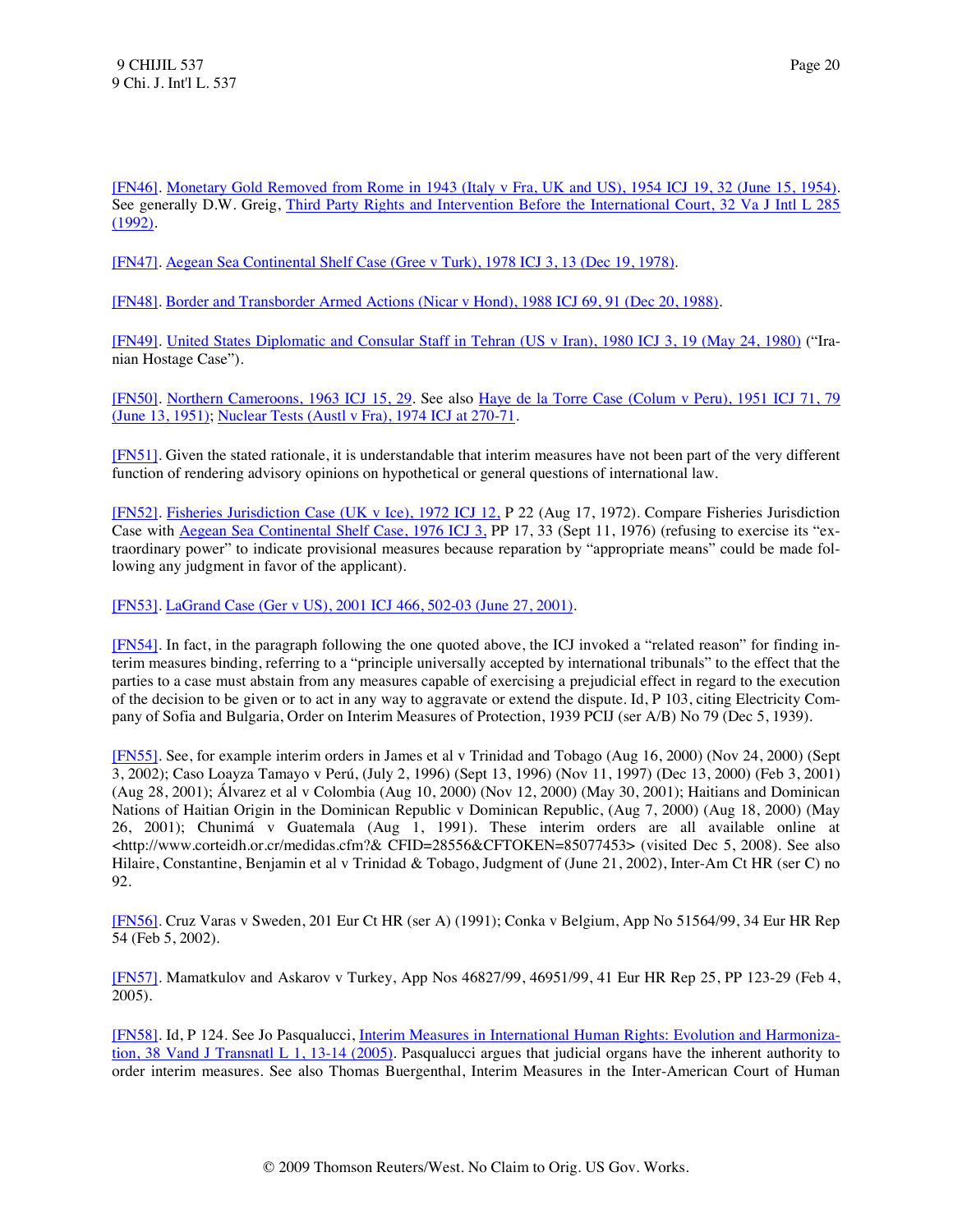<span id="page-20-0"></span>[\[FN46\].](#page-4-13) [Monetary Gold Removed from Rome in 1943 \(Italy v Fra, UK and US\), 1954 ICJ 19, 32 \(June 15, 1954\).](http://www.westlaw.com/Find/Default.wl?rs=dfa1.0&vr=2.0&DB=147&FindType=Y&ReferencePositionType=S&SerialNum=1954000006&ReferencePosition=32) See generally D.W. Greig, [Third Party Rights and Intervention Before the International Court, 32 Va J Intl L 285](http://www.westlaw.com/Find/Default.wl?rs=dfa1.0&vr=2.0&DB=1275&FindType=Y&SerialNum=0102223341)  [\(1992\).](http://www.westlaw.com/Find/Default.wl?rs=dfa1.0&vr=2.0&DB=1275&FindType=Y&SerialNum=0102223341)

<span id="page-20-1"></span>[\[FN47\].](#page-5-0) [Aegean Sea Continental Shelf Case \(Gree v Turk\), 1978 ICJ 3, 13 \(Dec 19, 1978\).](http://www.westlaw.com/Find/Default.wl?rs=dfa1.0&vr=2.0&DB=147&FindType=Y&ReferencePositionType=S&SerialNum=1978000763&ReferencePosition=13)

<span id="page-20-2"></span>[\[FN48\].](#page-5-1) [Border and Transborder Armed Actions \(Nicar v Hond\), 1988 ICJ 69, 91 \(Dec 20, 1988\).](http://www.westlaw.com/Find/Default.wl?rs=dfa1.0&vr=2.0&DB=147&FindType=Y&ReferencePositionType=S&SerialNum=1988174339&ReferencePosition=91)

<span id="page-20-3"></span>[\[FN49\].](#page-5-2) [United States Diplomatic and Consular Staff in Tehran \(US v Iran\), 1980 ICJ 3, 19 \(May 24, 1980\)](http://www.westlaw.com/Find/Default.wl?rs=dfa1.0&vr=2.0&DB=147&FindType=Y&ReferencePositionType=S&SerialNum=1980000957&ReferencePosition=19) ("Iranian Hostage Case").

<span id="page-20-4"></span>[\[FN50\].](#page-5-3) [Northern Cameroons, 1963 ICJ 15, 29.](http://www.westlaw.com/Find/Default.wl?rs=dfa1.0&vr=2.0&DB=147&FindType=Y&ReferencePositionType=S&SerialNum=1963000030&ReferencePosition=29) See also [Haye de la Torre Case \(Colum v Peru\), 1951 ICJ 71, 79](http://www.westlaw.com/Find/Default.wl?rs=dfa1.0&vr=2.0&DB=147&FindType=Y&ReferencePositionType=S&SerialNum=1951000006&ReferencePosition=79)  [\(June 13, 1951\);](http://www.westlaw.com/Find/Default.wl?rs=dfa1.0&vr=2.0&DB=147&FindType=Y&ReferencePositionType=S&SerialNum=1951000006&ReferencePosition=79) [Nuclear Tests \(Austl v Fra\), 1974 ICJ at 270-71.](http://www.westlaw.com/Find/Default.wl?rs=dfa1.0&vr=2.0&DB=147&FindType=Y&ReferencePositionType=S&SerialNum=1974000872&ReferencePosition=270)

<span id="page-20-5"></span>[\[FN51\].](#page-5-4) Given the stated rationale, it is understandable that interim measures have not been part of the very different function of rendering advisory opinions on hypothetical or general questions of international law.

<span id="page-20-6"></span>[\[FN52\].](#page-5-5) [Fisheries Jurisdiction Case \(UK v Ice\), 1972 ICJ 12,](http://www.westlaw.com/Find/Default.wl?rs=dfa1.0&vr=2.0&DB=147&FindType=Y&SerialNum=1972000675) P 22 (Aug 17, 1972). Compare Fisheries Jurisdiction Case with [Aegean Sea Continental Shelf Case, 1976 ICJ 3,](http://www.westlaw.com/Find/Default.wl?rs=dfa1.0&vr=2.0&DB=147&FindType=Y&SerialNum=1976000831) PP 17, 33 (Sept 11, 1976) (refusing to exercise its "extraordinary power" to indicate provisional measures because reparation by "appropriate means" could be made following any judgment in favor of the applicant).

<span id="page-20-7"></span>[\[FN53\].](#page-5-6) [LaGrand Case \(Ger v US\), 2001 ICJ 466, 502-03 \(June 27, 2001\).](http://www.westlaw.com/Find/Default.wl?rs=dfa1.0&vr=2.0&DB=147&FindType=Y&ReferencePositionType=S&SerialNum=2004638078&ReferencePosition=502)

<span id="page-20-8"></span>[\[FN54\].](#page-5-7) In fact, in the paragraph following the one quoted above, the ICJ invoked a "related reason" for finding interim measures binding, referring to a "principle universally accepted by international tribunals" to the effect that the parties to a case must abstain from any measures capable of exercising a prejudicial effect in regard to the execution of the decision to be given or to act in any way to aggravate or extend the dispute. Id, P 103, citing Electricity Company of Sofia and Bulgaria, Order on Interim Measures of Protection, 1939 PCIJ (ser A/B) No 79 (Dec 5, 1939).

<span id="page-20-9"></span>[\[FN55\].](#page-6-0) See, for example interim orders in James et al v Trinidad and Tobago (Aug 16, 2000) (Nov 24, 2000) (Sept 3, 2002); Caso Loayza Tamayo v Perú, (July 2, 1996) (Sept 13, 1996) (Nov 11, 1997) (Dec 13, 2000) (Feb 3, 2001) (Aug 28, 2001); Álvarez et al v Colombia (Aug 10, 2000) (Nov 12, 2000) (May 30, 2001); Haitians and Dominican Nations of Haitian Origin in the Dominican Republic v Dominican Republic, (Aug 7, 2000) (Aug 18, 2000) (May 26, 2001); Chunimá v Guatemala (Aug 1, 1991). These interim orders are all available online at <http://www.corteidh.or.cr/medidas.cfm?& CFID=28556&CFTOKEN=85077453> (visited Dec 5, 2008). See also Hilaire, Constantine, Benjamin et al v Trinidad & Tobago, Judgment of (June 21, 2002), Inter-Am Ct HR (ser C) no 92.

<span id="page-20-10"></span>[\[FN56\].](#page-6-1) Cruz Varas v Sweden, 201 Eur Ct HR (ser A) (1991); Conka v Belgium, App No 51564/99, 34 Eur HR Rep 54 (Feb 5, 2002).

<span id="page-20-11"></span>[\[FN57\].](#page-6-2) Mamatkulov and Askarov v Turkey, App Nos 46827/99, 46951/99, 41 Eur HR Rep 25, PP 123-29 (Feb 4, 2005).

<span id="page-20-12"></span>[\[FN58\].](#page-6-3) Id, P 124. See Jo Pasqualucci, [Interim Measures in International Human Rights: Evolution and Harmoniza](http://www.westlaw.com/Find/Default.wl?rs=dfa1.0&vr=2.0&DB=1276&FindType=Y&ReferencePositionType=S&SerialNum=0303779901&ReferencePosition=13)[tion, 38 Vand J Transnatl L 1, 13-14 \(2005\).](http://www.westlaw.com/Find/Default.wl?rs=dfa1.0&vr=2.0&DB=1276&FindType=Y&ReferencePositionType=S&SerialNum=0303779901&ReferencePosition=13) Pasqualucci argues that judicial organs have the inherent authority to order interim measures. See also Thomas Buergenthal, Interim Measures in the Inter-American Court of Human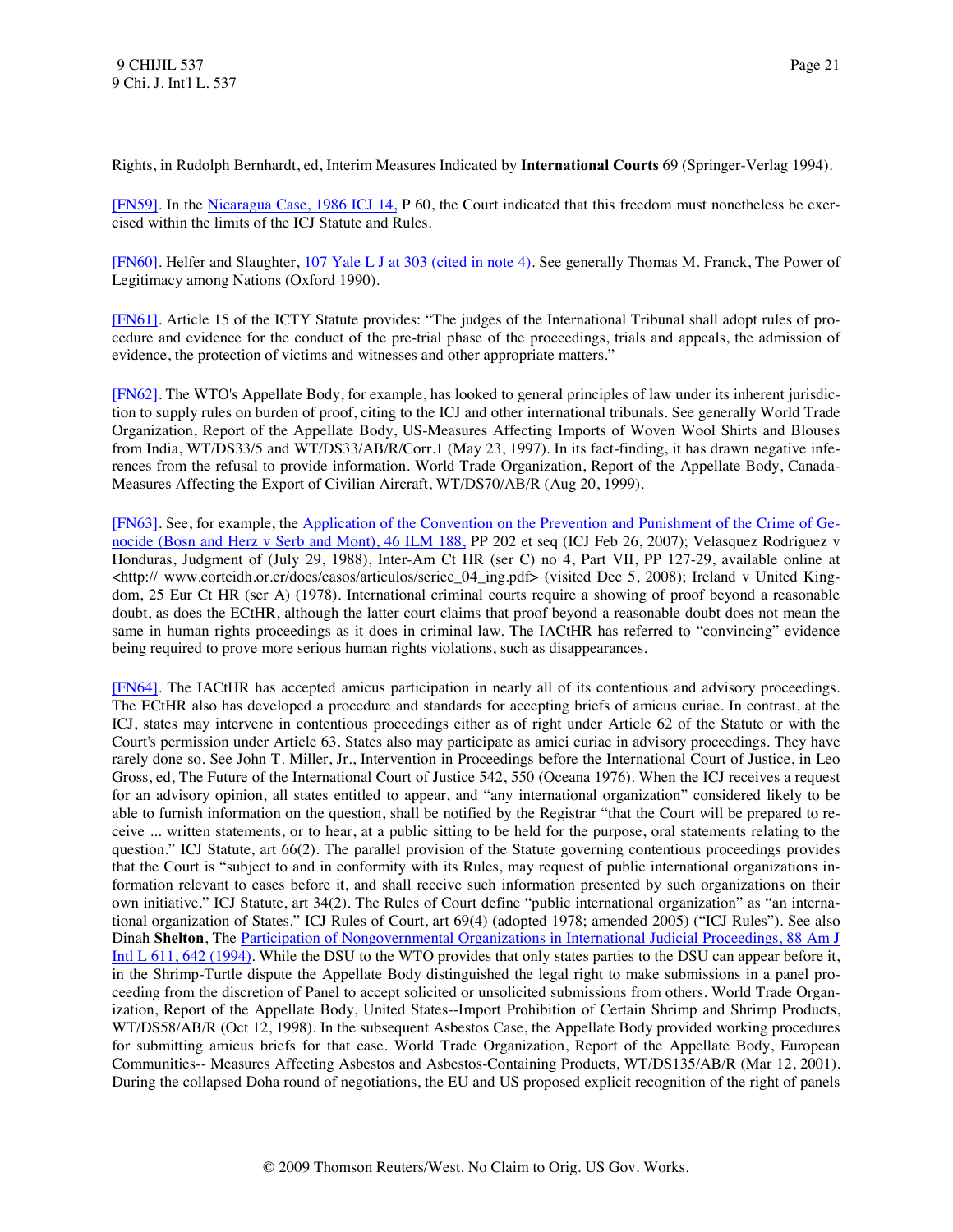Rights, in Rudolph Bernhardt, ed, Interim Measures Indicated by **International Courts** 69 (Springer-Verlag 1994).

<span id="page-21-0"></span>[\[FN59\].](#page-6-4) In the [Nicaragua Case, 1986 ICJ 14,](http://www.westlaw.com/Find/Default.wl?rs=dfa1.0&vr=2.0&DB=147&FindType=Y&SerialNum=1986000149) P 60, the Court indicated that this freedom must nonetheless be exercised within the limits of the ICJ Statute and Rules.

<span id="page-21-1"></span>[\[FN60\].](#page-6-5) Helfer and Slaughter, [107 Yale L J at 303 \(cited in note 4\).](http://www.westlaw.com/Find/Default.wl?rs=dfa1.0&vr=2.0&DB=1292&FindType=Y&ReferencePositionType=S&SerialNum=0108574018&ReferencePosition=303) See generally Thomas M. Franck, The Power of Legitimacy among Nations (Oxford 1990).

<span id="page-21-2"></span>[\[FN61\].](#page-6-6) Article 15 of the ICTY Statute provides: "The judges of the International Tribunal shall adopt rules of procedure and evidence for the conduct of the pre-trial phase of the proceedings, trials and appeals, the admission of evidence, the protection of victims and witnesses and other appropriate matters."

<span id="page-21-3"></span>[\[FN62\].](#page-6-7) The WTO's Appellate Body, for example, has looked to general principles of law under its inherent jurisdiction to supply rules on burden of proof, citing to the ICJ and other international tribunals. See generally World Trade Organization, Report of the Appellate Body, US-Measures Affecting Imports of Woven Wool Shirts and Blouses from India, WT/DS33/5 and WT/DS33/AB/R/Corr.1 (May 23, 1997). In its fact-finding, it has drawn negative inferences from the refusal to provide information. World Trade Organization, Report of the Appellate Body, Canada-Measures Affecting the Export of Civilian Aircraft, WT/DS70/AB/R (Aug 20, 1999).

<span id="page-21-4"></span>[\[FN63\].](#page-6-8) See, for example, the [Application of the Convention on the Prevention and Punishment of the Crime of Ge](http://www.westlaw.com/Find/Default.wl?rs=dfa1.0&vr=2.0&DB=100856&DocName=46INTLLEGALMAT188&FindType=Y)[nocide \(Bosn and Herz v Serb and Mont\), 46 ILM 188,](http://www.westlaw.com/Find/Default.wl?rs=dfa1.0&vr=2.0&DB=100856&DocName=46INTLLEGALMAT188&FindType=Y) PP 202 et seq (ICJ Feb 26, 2007); Velasquez Rodriguez v Honduras, Judgment of (July 29, 1988), Inter-Am Ct HR (ser C) no 4, Part VII, PP 127-29, available online at <http:// www.corteidh.or.cr/docs/casos/articulos/seriec\_04\_ing.pdf> (visited Dec 5, 2008); Ireland v United Kingdom, 25 Eur Ct HR (ser A) (1978). International criminal courts require a showing of proof beyond a reasonable doubt, as does the ECtHR, although the latter court claims that proof beyond a reasonable doubt does not mean the same in human rights proceedings as it does in criminal law. The IACtHR has referred to "convincing" evidence being required to prove more serious human rights violations, such as disappearances.

<span id="page-21-5"></span>[\[FN64\].](#page-6-9) The IACtHR has accepted amicus participation in nearly all of its contentious and advisory proceedings. The ECtHR also has developed a procedure and standards for accepting briefs of amicus curiae. In contrast, at the ICJ, states may intervene in contentious proceedings either as of right under Article 62 of the Statute or with the Court's permission under Article 63. States also may participate as amici curiae in advisory proceedings. They have rarely done so. See John T. Miller, Jr., Intervention in Proceedings before the International Court of Justice, in Leo Gross, ed, The Future of the International Court of Justice 542, 550 (Oceana 1976). When the ICJ receives a request for an advisory opinion, all states entitled to appear, and "any international organization" considered likely to be able to furnish information on the question, shall be notified by the Registrar "that the Court will be prepared to receive ... written statements, or to hear, at a public sitting to be held for the purpose, oral statements relating to the question." ICJ Statute, art 66(2). The parallel provision of the Statute governing contentious proceedings provides that the Court is "subject to and in conformity with its Rules, may request of public international organizations information relevant to cases before it, and shall receive such information presented by such organizations on their own initiative." ICJ Statute, art 34(2). The Rules of Court define "public international organization" as "an international organization of States." ICJ Rules of Court, art 69(4) (adopted 1978; amended 2005) ("ICJ Rules"). See also Dinah **Shelton**, The [Participation of Nongovernmental Organizations in International Judicial Proceedings, 88](http://www.westlaw.com/Find/Default.wl?rs=dfa1.0&vr=2.0&DB=3263&FindType=Y&ReferencePositionType=S&SerialNum=0104888734&ReferencePosition=642) Am J [Intl L 611, 642 \(1994\).](http://www.westlaw.com/Find/Default.wl?rs=dfa1.0&vr=2.0&DB=3263&FindType=Y&ReferencePositionType=S&SerialNum=0104888734&ReferencePosition=642) While the DSU to the WTO provides that only states parties to the DSU can appear before it, in the Shrimp-Turtle dispute the Appellate Body distinguished the legal right to make submissions in a panel proceeding from the discretion of Panel to accept solicited or unsolicited submissions from others. World Trade Organization, Report of the Appellate Body, United States--Import Prohibition of Certain Shrimp and Shrimp Products, WT/DS58/AB/R (Oct 12, 1998). In the subsequent Asbestos Case, the Appellate Body provided working procedures for submitting amicus briefs for that case. World Trade Organization, Report of the Appellate Body, European Communities-- Measures Affecting Asbestos and Asbestos-Containing Products, WT/DS135/AB/R (Mar 12, 2001). During the collapsed Doha round of negotiations, the EU and US proposed explicit recognition of the right of panels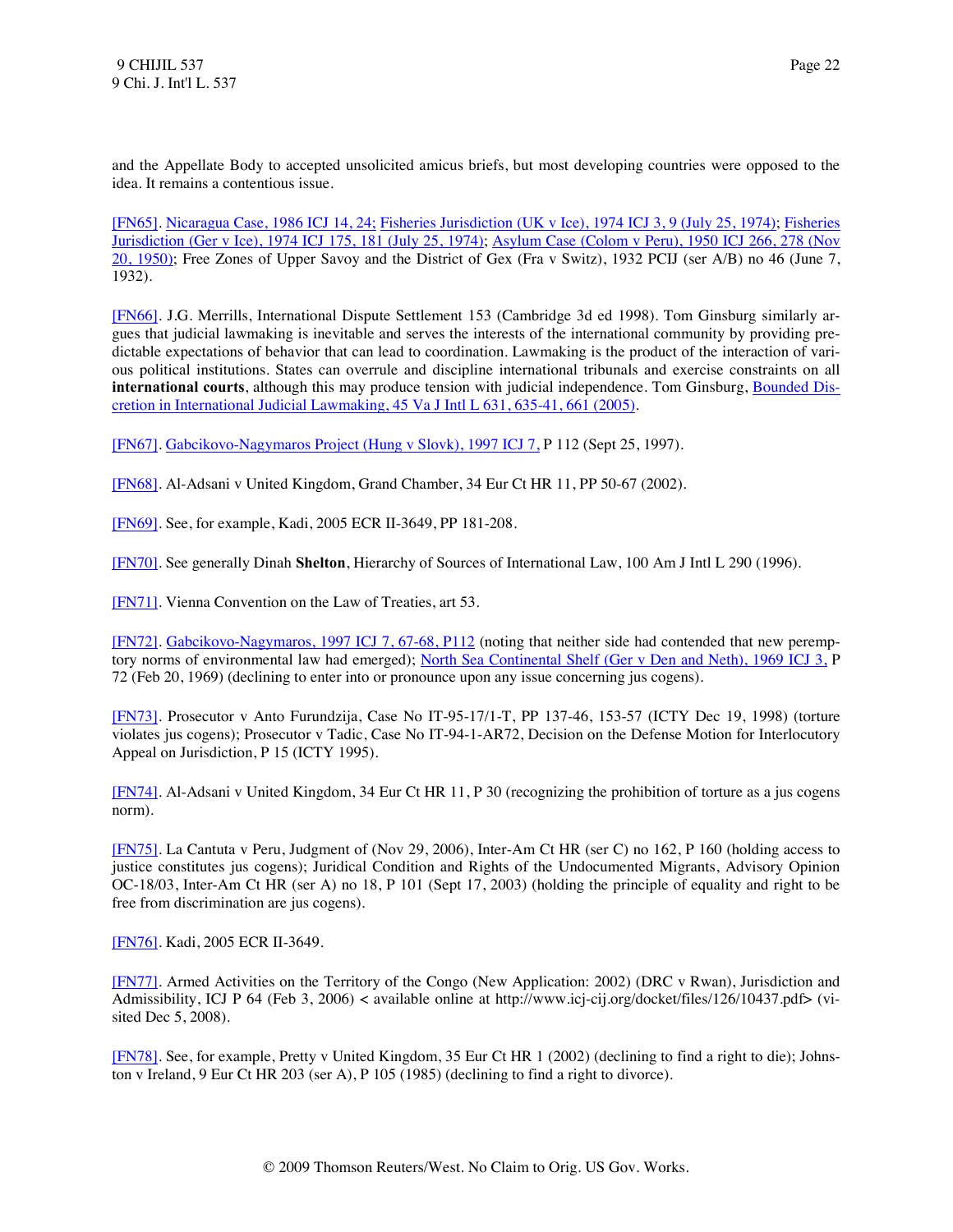and the Appellate Body to accepted unsolicited amicus briefs, but most developing countries were opposed to the idea. It remains a contentious issue.

<span id="page-22-0"></span>[\[FN65\].](#page-6-10) [Nicaragua Case, 1986 ICJ 14, 24;](http://www.westlaw.com/Find/Default.wl?rs=dfa1.0&vr=2.0&DB=147&FindType=Y&ReferencePositionType=S&SerialNum=1986000149&ReferencePosition=24) [Fisheries Jurisdiction \(UK v Ice\), 1974 ICJ 3, 9 \(July 25, 1974\);](http://www.westlaw.com/Find/Default.wl?rs=dfa1.0&vr=2.0&DB=147&FindType=Y&ReferencePositionType=S&SerialNum=1974000870&ReferencePosition=9) [Fisheries](http://www.westlaw.com/Find/Default.wl?rs=dfa1.0&vr=2.0&DB=147&FindType=Y&ReferencePositionType=S&SerialNum=1974000871&ReferencePosition=181)  [Jurisdiction \(Ger v Ice\), 1974 ICJ 175, 181 \(July 25, 1974\);](http://www.westlaw.com/Find/Default.wl?rs=dfa1.0&vr=2.0&DB=147&FindType=Y&ReferencePositionType=S&SerialNum=1974000871&ReferencePosition=181) [Asylum Case \(Colom v Peru\), 1950 ICJ 266, 278 \(Nov](http://www.westlaw.com/Find/Default.wl?rs=dfa1.0&vr=2.0&DB=147&FindType=Y&ReferencePositionType=S&SerialNum=1950000010&ReferencePosition=278)  [20, 1950\);](http://www.westlaw.com/Find/Default.wl?rs=dfa1.0&vr=2.0&DB=147&FindType=Y&ReferencePositionType=S&SerialNum=1950000010&ReferencePosition=278) Free Zones of Upper Savoy and the District of Gex (Fra v Switz), 1932 PCIJ (ser A/B) no 46 (June 7, 1932).

<span id="page-22-1"></span>[\[FN66\].](#page-7-0) J.G. Merrills, International Dispute Settlement 153 (Cambridge 3d ed 1998). Tom Ginsburg similarly argues that judicial lawmaking is inevitable and serves the interests of the international community by providing predictable expectations of behavior that can lead to coordination. Lawmaking is the product of the interaction of various political institutions. States can overrule and discipline international tribunals and exercise constraints on all **international courts**, although this may produce tension with judicial independence. Tom Ginsburg, [Bounded Dis](http://www.westlaw.com/Find/Default.wl?rs=dfa1.0&vr=2.0&DB=1275&FindType=Y&ReferencePositionType=S&SerialNum=0307485068&ReferencePosition=635)[cretion in International Judicial Lawmaking, 45 Va J Intl L 631, 635-41, 661 \(2005\).](http://www.westlaw.com/Find/Default.wl?rs=dfa1.0&vr=2.0&DB=1275&FindType=Y&ReferencePositionType=S&SerialNum=0307485068&ReferencePosition=635)

<span id="page-22-2"></span>[\[FN67\].](#page-7-1) [Gabcikovo-Nagymaros Project \(Hung v Slovk\), 1997 ICJ 7,](http://www.westlaw.com/Find/Default.wl?rs=dfa1.0&vr=2.0&DB=147&FindType=Y&SerialNum=1999243462) P 112 (Sept 25, 1997).

<span id="page-22-3"></span>[\[FN68\].](#page-7-2) Al-Adsani v United Kingdom, Grand Chamber, 34 Eur Ct HR 11, PP 50-67 (2002).

<span id="page-22-4"></span>[\[FN69\].](#page-7-3) See, for example, Kadi, 2005 ECR II-3649, PP 181-208.

<span id="page-22-5"></span>[\[FN70\].](#page-7-4) See generally Dinah **Shelton**, Hierarchy of Sources of International Law, 100 Am J Intl L 290 (1996).

<span id="page-22-6"></span>[\[FN71\].](#page-7-5) Vienna Convention on the Law of Treaties, art 53.

<span id="page-22-7"></span>[\[FN72\].](#page-7-6) [Gabcikovo-Nagymaros, 1997 ICJ 7, 67-68, P112](http://www.westlaw.com/Find/Default.wl?rs=dfa1.0&vr=2.0&DB=147&FindType=Y&ReferencePositionType=S&SerialNum=1999243462&ReferencePosition=67) (noting that neither side had contended that new peremp-tory norms of environmental law had emerged); [North Sea Continental Shelf \(Ger v Den and Neth\), 1969 ICJ 3,](http://www.westlaw.com/Find/Default.wl?rs=dfa1.0&vr=2.0&DB=147&FindType=Y&SerialNum=1969000190) P 72 (Feb 20, 1969) (declining to enter into or pronounce upon any issue concerning jus cogens).

<span id="page-22-8"></span>[\[FN73\].](#page-7-7) Prosecutor v Anto Furundzija, Case No IT-95-17/1-T, PP 137-46, 153-57 (ICTY Dec 19, 1998) (torture violates jus cogens); Prosecutor v Tadic, Case No IT-94-1-AR72, Decision on the Defense Motion for Interlocutory Appeal on Jurisdiction, P 15 (ICTY 1995).

<span id="page-22-9"></span>[\[FN74\].](#page-7-8) Al-Adsani v United Kingdom, 34 Eur Ct HR 11, P 30 (recognizing the prohibition of torture as a jus cogens norm).

<span id="page-22-10"></span>[\[FN75\].](#page-7-9) La Cantuta v Peru, Judgment of (Nov 29, 2006), Inter-Am Ct HR (ser C) no 162, P 160 (holding access to justice constitutes jus cogens); Juridical Condition and Rights of the Undocumented Migrants, Advisory Opinion OC-18/03, Inter-Am Ct HR (ser A) no 18, P 101 (Sept 17, 2003) (holding the principle of equality and right to be free from discrimination are jus cogens).

<span id="page-22-11"></span>[\[FN76\].](#page-7-10) Kadi, 2005 ECR II-3649.

<span id="page-22-12"></span>[\[FN77\].](#page-7-11) Armed Activities on the Territory of the Congo (New Application: 2002) (DRC v Rwan), Jurisdiction and Admissibility, ICJ P 64 (Feb 3, 2006) < available online at http://www.icj-cij.org/docket/files/126/10437.pdf> (visited Dec 5, 2008).

<span id="page-22-13"></span>[\[FN78\].](#page-7-12) See, for example, Pretty v United Kingdom, 35 Eur Ct HR 1 (2002) (declining to find a right to die); Johnston v Ireland, 9 Eur Ct HR 203 (ser A), P 105 (1985) (declining to find a right to divorce).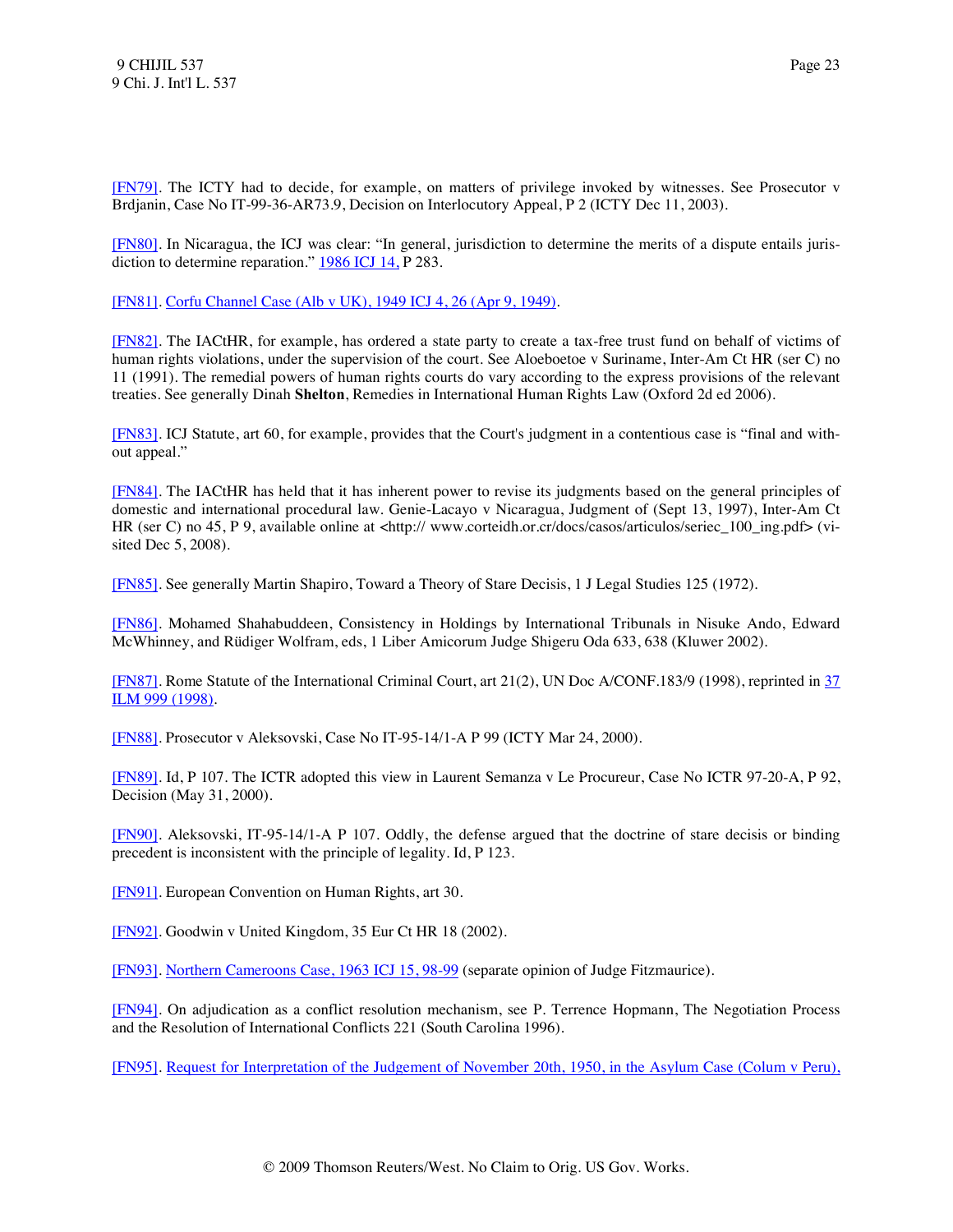<span id="page-23-0"></span>[\[FN79\].](#page-7-13) The ICTY had to decide, for example, on matters of privilege invoked by witnesses. See Prosecutor v Brdjanin, Case No IT-99-36-AR73.9, Decision on Interlocutory Appeal, P 2 (ICTY Dec 11, 2003).

<span id="page-23-1"></span>[\[FN80\].](#page-7-14) In Nicaragua, the ICJ was clear: "In general, jurisdiction to determine the merits of a dispute entails jurisdiction to determine reparation." [1986 ICJ 14,](http://www.westlaw.com/Find/Default.wl?rs=dfa1.0&vr=2.0&DB=147&FindType=Y&SerialNum=1986000149) P 283.

<span id="page-23-2"></span>[\[FN81\].](#page-8-0) [Corfu Channel Case \(Alb v UK\), 1949 ICJ 4, 26 \(Apr 9, 1949\).](http://www.westlaw.com/Find/Default.wl?rs=dfa1.0&vr=2.0&DB=147&FindType=Y&ReferencePositionType=S&SerialNum=1949000001&ReferencePosition=26)

<span id="page-23-3"></span>[\[FN82\].](#page-8-1) The IACtHR, for example, has ordered a state party to create a tax-free trust fund on behalf of victims of human rights violations, under the supervision of the court. See Aloeboetoe v Suriname, Inter-Am Ct HR (ser C) no 11 (1991). The remedial powers of human rights courts do vary according to the express provisions of the relevant treaties. See generally Dinah **Shelton**, Remedies in International Human Rights Law (Oxford 2d ed 2006).

<span id="page-23-4"></span>[\[FN83\].](#page-8-2) ICJ Statute, art 60, for example, provides that the Court's judgment in a contentious case is "final and without appeal."

<span id="page-23-5"></span>[\[FN84\].](#page-8-3) The IACtHR has held that it has inherent power to revise its judgments based on the general principles of domestic and international procedural law. Genie-Lacayo v Nicaragua, Judgment of (Sept 13, 1997), Inter-Am Ct HR (ser C) no 45, P 9, available online at <http:// www.corteidh.or.cr/docs/casos/articulos/seriec 100 ing.pdf> (visited Dec 5, 2008).

<span id="page-23-6"></span>[\[FN85\].](#page-8-4) See generally Martin Shapiro, Toward a Theory of Stare Decisis, 1 J Legal Studies 125 (1972).

<span id="page-23-7"></span>[\[FN86\].](#page-8-5) Mohamed Shahabuddeen, Consistency in Holdings by International Tribunals in Nisuke Ando, Edward McWhinney, and Rüdiger Wolfram, eds, 1 Liber Amicorum Judge Shigeru Oda 633, 638 (Kluwer 2002).

<span id="page-23-8"></span>[\[FN87\].](#page-8-6) Rome Statute of the International Criminal Court, art 21(2), UN Doc A/CONF.183/9 (1998), reprinted in [37](http://www.westlaw.com/Find/Default.wl?rs=dfa1.0&vr=2.0&DB=100856&DocName=37INTLLEGALMAT999&FindType=Y)  [ILM 999 \(1998\).](http://www.westlaw.com/Find/Default.wl?rs=dfa1.0&vr=2.0&DB=100856&DocName=37INTLLEGALMAT999&FindType=Y)

<span id="page-23-9"></span>[\[FN88\].](#page-8-7) Prosecutor v Aleksovski, Case No IT-95-14/1-A P 99 (ICTY Mar 24, 2000).

<span id="page-23-10"></span>[\[FN89\].](#page-8-8) Id, P 107. The ICTR adopted this view in Laurent Semanza v Le Procureur, Case No ICTR 97-20-A, P 92, Decision (May 31, 2000).

<span id="page-23-11"></span>[\[FN90\].](#page-8-9) Aleksovski, IT-95-14/1-A P 107. Oddly, the defense argued that the doctrine of stare decisis or binding precedent is inconsistent with the principle of legality. Id, P 123.

<span id="page-23-12"></span>[\[FN91\].](#page-8-10) European Convention on Human Rights, art 30.

<span id="page-23-13"></span>[\[FN92\].](#page-8-11) Goodwin v United Kingdom, 35 Eur Ct HR 18 (2002).

<span id="page-23-14"></span>[\[FN93\].](#page-8-12) [Northern Cameroons Case, 1963 ICJ 15, 98-99](http://www.westlaw.com/Find/Default.wl?rs=dfa1.0&vr=2.0&DB=147&FindType=Y&ReferencePositionType=S&SerialNum=1963000030&ReferencePosition=98) (separate opinion of Judge Fitzmaurice).

<span id="page-23-15"></span>[\[FN94\].](#page-9-0) On adjudication as a conflict resolution mechanism, see P. Terrence Hopmann, The Negotiation Process and the Resolution of International Conflicts 221 (South Carolina 1996).

<span id="page-23-16"></span>[\[FN95\].](#page-9-1) [Request for Interpretation of the Judgement of November 20th, 1950, in the Asylum Case \(Colum v Peru\),](http://www.westlaw.com/Find/Default.wl?rs=dfa1.0&vr=2.0&DB=147&FindType=Y&ReferencePositionType=S&SerialNum=1950000012&ReferencePosition=402)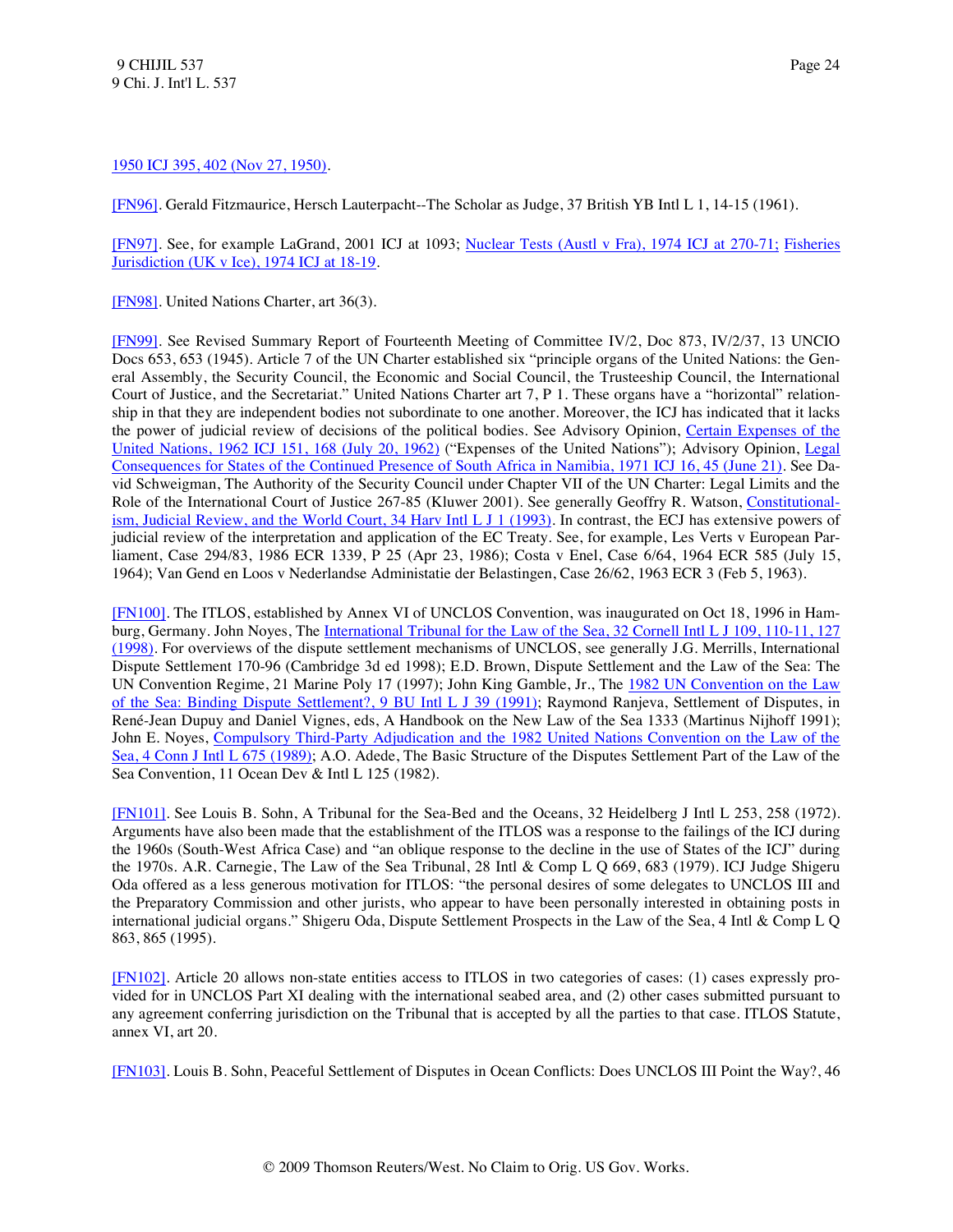## 1950 ICJ 395, 402 (Nov 27, 1950).

<span id="page-24-0"></span>[\[FN96\].](#page-9-2) Gerald Fitzmaurice, Hersch Lauterpacht--The Scholar as Judge, 37 British YB Intl L 1, 14-15 (1961).

<span id="page-24-1"></span>[\[FN97\].](#page-9-3) See, for example LaGrand, 2001 ICJ at 1093; [Nuclear Tests \(Austl v Fra\), 1974 ICJ at 270-71;](http://www.westlaw.com/Find/Default.wl?rs=dfa1.0&vr=2.0&DB=147&FindType=Y&ReferencePositionType=S&SerialNum=1974000872&ReferencePosition=270) [Fisheries](http://www.westlaw.com/Find/Default.wl?rs=dfa1.0&vr=2.0&DB=147&FindType=Y&ReferencePositionType=S&SerialNum=1974000870&ReferencePosition=18)  [Jurisdiction \(UK v Ice\), 1974 ICJ at](http://www.westlaw.com/Find/Default.wl?rs=dfa1.0&vr=2.0&DB=147&FindType=Y&ReferencePositionType=S&SerialNum=1974000870&ReferencePosition=18) 18-19.

<span id="page-24-2"></span>[\[FN98\].](#page-9-4) United Nations Charter, art 36(3).

<span id="page-24-3"></span>[\[FN99\].](#page-9-5) See Revised Summary Report of Fourteenth Meeting of Committee IV/2, Doc 873, IV/2/37, 13 UNCIO Docs 653, 653 (1945). Article 7 of the UN Charter established six "principle organs of the United Nations: the General Assembly, the Security Council, the Economic and Social Council, the Trusteeship Council, the International Court of Justice, and the Secretariat." United Nations Charter art 7, P 1. These organs have a "horizontal" relationship in that they are independent bodies not subordinate to one another. Moreover, the ICJ has indicated that it lacks the power of judicial review of decisions of the political bodies. See Advisory Opinion, [Certain Expenses of the](http://www.westlaw.com/Find/Default.wl?rs=dfa1.0&vr=2.0&DB=147&FindType=Y&ReferencePositionType=S&SerialNum=1962000021&ReferencePosition=168)  [United Nations, 1962 ICJ 151, 168 \(July 20, 1962\)](http://www.westlaw.com/Find/Default.wl?rs=dfa1.0&vr=2.0&DB=147&FindType=Y&ReferencePositionType=S&SerialNum=1962000021&ReferencePosition=168) ("Expenses of the United Nations"); Advisory Opinion, [Legal](http://www.westlaw.com/Find/Default.wl?rs=dfa1.0&vr=2.0&DB=147&FindType=Y&ReferencePositionType=S&SerialNum=1971000635&ReferencePosition=45)  [Consequences for States of the Continued Presence of South Africa in Namibia, 1971 ICJ 16, 45 \(June 21\).](http://www.westlaw.com/Find/Default.wl?rs=dfa1.0&vr=2.0&DB=147&FindType=Y&ReferencePositionType=S&SerialNum=1971000635&ReferencePosition=45) See David Schweigman, The Authority of the Security Council under Chapter VII of the UN Charter: Legal Limits and the Role of the International Court of Justice 267-85 (Kluwer 2001). See generally Geoffry R. Watson, [Constitutional](http://www.westlaw.com/Find/Default.wl?rs=dfa1.0&vr=2.0&DB=1153&FindType=Y&SerialNum=0102986698)[ism, Judicial Review, and the World Court, 34 Harv Intl L J 1 \(1993\).](http://www.westlaw.com/Find/Default.wl?rs=dfa1.0&vr=2.0&DB=1153&FindType=Y&SerialNum=0102986698) In contrast, the ECJ has extensive powers of judicial review of the interpretation and application of the EC Treaty. See, for example, Les Verts v European Parliament, Case 294/83, 1986 ECR 1339, P 25 (Apr 23, 1986); Costa v Enel, Case 6/64, 1964 ECR 585 (July 15, 1964); Van Gend en Loos v Nederlandse Administatie der Belastingen, Case 26/62, 1963 ECR 3 (Feb 5, 1963).

<span id="page-24-4"></span>[\[FN100\].](#page-9-6) The ITLOS, established by Annex VI of UNCLOS Convention, was inaugurated on Oct 18, 1996 in Hamburg, Germany. John Noyes, The International Tribunal for the Law of the Sea, 32 Cornell Intl L J 109, 110-11, 127 [\(1998\).](http://www.westlaw.com/Find/Default.wl?rs=dfa1.0&vr=2.0&DB=1110&FindType=Y&ReferencePositionType=S&SerialNum=0112776091&ReferencePosition=110) For overviews of the dispute settlement mechanisms of UNCLOS, see generally J.G. Merrills, International Dispute Settlement 170-96 (Cambridge 3d ed 1998); E.D. Brown, Dispute Settlement and the Law of the Sea: The UN Convention Regime, 21 Marine Poly 17 (1997); John King Gamble, Jr., The [1982 UN Convention on the Law](http://www.westlaw.com/Find/Default.wl?rs=dfa1.0&vr=2.0&DB=100229&FindType=Y&SerialNum=0103292211)  [of the Sea: Binding Dispute Settlement?, 9 BU Intl L J 39 \(1991\);](http://www.westlaw.com/Find/Default.wl?rs=dfa1.0&vr=2.0&DB=100229&FindType=Y&SerialNum=0103292211) Raymond Ranjeva, Settlement of Disputes, in René-Jean Dupuy and Daniel Vignes, eds, A Handbook on the New Law of the Sea 1333 (Martinus Nijhoff 1991); John E. Noyes, [Compulsory Third-Party Adjudication and the 1982 United Nations Convention on the Law of the](http://www.westlaw.com/Find/Default.wl?rs=dfa1.0&vr=2.0&DB=1488&FindType=Y&SerialNum=0101199345)  [Sea, 4 Conn J Intl L 675 \(1989\);](http://www.westlaw.com/Find/Default.wl?rs=dfa1.0&vr=2.0&DB=1488&FindType=Y&SerialNum=0101199345) A.O. Adede, The Basic Structure of the Disputes Settlement Part of the Law of the Sea Convention, 11 Ocean Dev & Intl L 125 (1982).

<span id="page-24-5"></span>[\[FN101\].](#page-9-7) See Louis B. Sohn, A Tribunal for the Sea-Bed and the Oceans, 32 Heidelberg J Intl L 253, 258 (1972). Arguments have also been made that the establishment of the ITLOS was a response to the failings of the ICJ during the 1960s (South-West Africa Case) and "an oblique response to the decline in the use of States of the ICJ" during the 1970s. A.R. Carnegie, The Law of the Sea Tribunal, 28 Intl & Comp L Q 669, 683 (1979). ICJ Judge Shigeru Oda offered as a less generous motivation for ITLOS: "the personal desires of some delegates to UNCLOS III and the Preparatory Commission and other jurists, who appear to have been personally interested in obtaining posts in international judicial organs." Shigeru Oda, Dispute Settlement Prospects in the Law of the Sea, 4 Intl & Comp L Q 863, 865 (1995).

<span id="page-24-6"></span>[\[FN102\].](#page-9-8) Article 20 allows non-state entities access to ITLOS in two categories of cases: (1) cases expressly provided for in UNCLOS Part XI dealing with the international seabed area, and (2) other cases submitted pursuant to any agreement conferring jurisdiction on the Tribunal that is accepted by all the parties to that case. ITLOS Statute, annex VI, art 20.

<span id="page-24-7"></span>[\[FN103\].](#page-9-9) Louis B. Sohn, Peaceful Settlement of Disputes in Ocean Conflicts: Does UNCLOS III Point the Way?, 46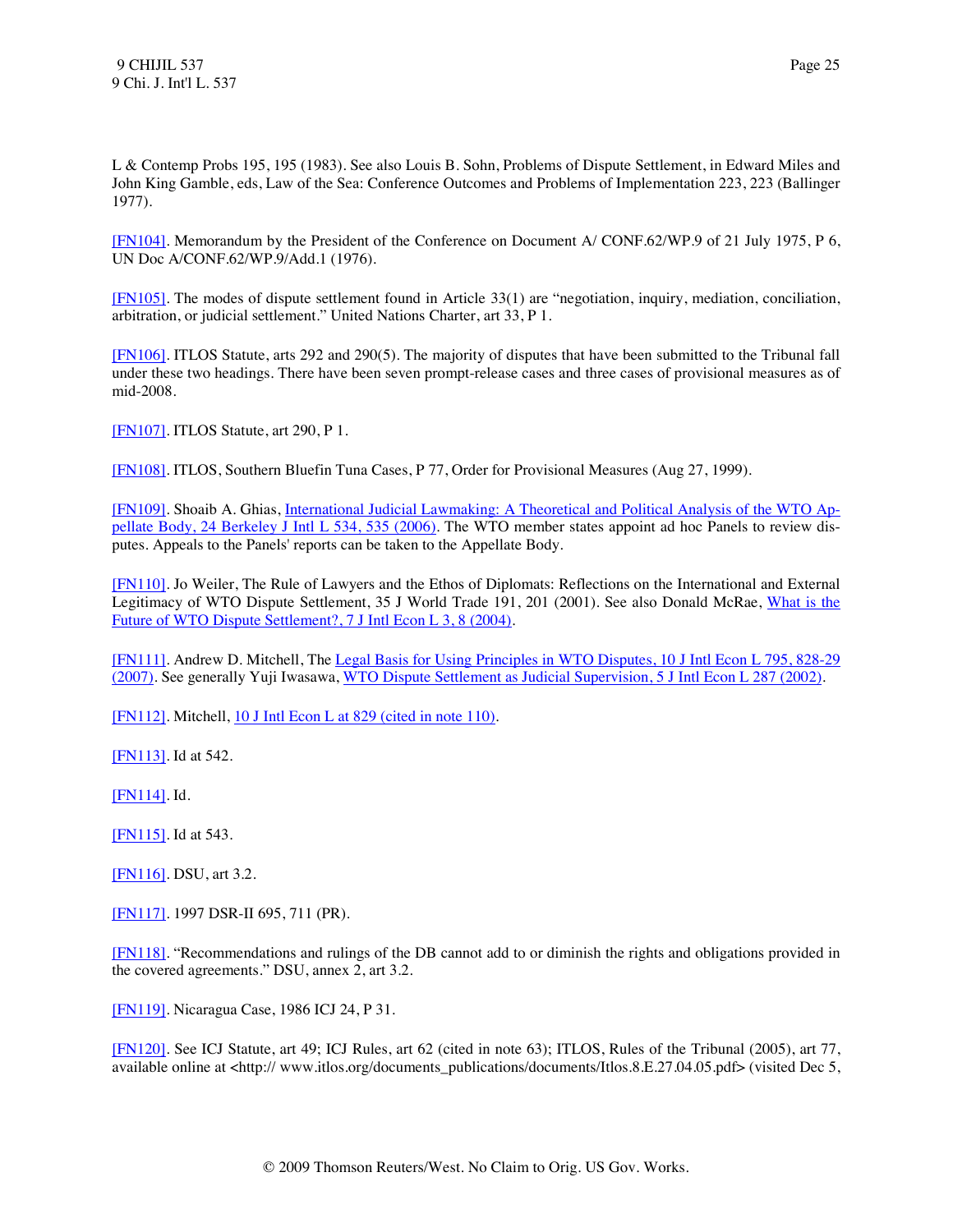L & Contemp Probs 195, 195 (1983). See also Louis B. Sohn, Problems of Dispute Settlement, in Edward Miles and John King Gamble, eds, Law of the Sea: Conference Outcomes and Problems of Implementation 223, 223 (Ballinger 1977).

<span id="page-25-0"></span>[\[FN104\].](#page-9-10) Memorandum by the President of the Conference on Document A/ CONF.62/WP.9 of 21 July 1975, P 6, UN Doc A/CONF.62/WP.9/Add.1 (1976).

<span id="page-25-1"></span>[\[FN105\].](#page-9-11) The modes of dispute settlement found in Article 33(1) are "negotiation, inquiry, mediation, conciliation, arbitration, or judicial settlement." United Nations Charter, art 33, P 1.

<span id="page-25-2"></span>[\[FN106\].](#page-10-0) ITLOS Statute, arts 292 and 290(5). The majority of disputes that have been submitted to the Tribunal fall under these two headings. There have been seven prompt-release cases and three cases of provisional measures as of mid-2008.

<span id="page-25-3"></span>[\[FN107\].](#page-10-1) ITLOS Statute, art 290, P 1.

<span id="page-25-4"></span>[\[FN108\].](#page-10-2) ITLOS, Southern Bluefin Tuna Cases, P 77, Order for Provisional Measures (Aug 27, 1999).

<span id="page-25-5"></span>[\[FN109\].](#page-10-3) Shoaib A. Ghias, [International Judicial Lawmaking: A Theoretical and Political Analysis of the WTO Ap](http://www.westlaw.com/Find/Default.wl?rs=dfa1.0&vr=2.0&DB=113116&FindType=Y&ReferencePositionType=S&SerialNum=0330432040&ReferencePosition=535)[pellate Body, 24 Berkeley J Intl L 534, 535 \(2006\).](http://www.westlaw.com/Find/Default.wl?rs=dfa1.0&vr=2.0&DB=113116&FindType=Y&ReferencePositionType=S&SerialNum=0330432040&ReferencePosition=535) The WTO member states appoint ad hoc Panels to review disputes. Appeals to the Panels' reports can be taken to the Appellate Body.

<span id="page-25-6"></span>[\[FN110\].](#page-10-4) Jo Weiler, The Rule of Lawyers and the Ethos of Diplomats: Reflections on the International and External Legitimacy of WTO Dispute Settlement, 35 J World Trade 191, 201 (2001). See also Donald McRae, [What is the](http://www.westlaw.com/Find/Default.wl?rs=dfa1.0&vr=2.0&DB=119085&FindType=Y&ReferencePositionType=S&SerialNum=0302529149&ReferencePosition=8)  [Future of WTO Dispute Settlement?, 7 J Intl Econ L 3, 8 \(2004\).](http://www.westlaw.com/Find/Default.wl?rs=dfa1.0&vr=2.0&DB=119085&FindType=Y&ReferencePositionType=S&SerialNum=0302529149&ReferencePosition=8)

<span id="page-25-7"></span>[\[FN111\].](#page-10-5) Andrew D. Mitchell, Th[e Legal Basis for Using Principles in WTO Disputes, 10 J Intl Econ L 795, 828-29](http://www.westlaw.com/Find/Default.wl?rs=dfa1.0&vr=2.0&DB=119085&FindType=Y&ReferencePositionType=S&SerialNum=0335181662&ReferencePosition=828)  [\(2007\).](http://www.westlaw.com/Find/Default.wl?rs=dfa1.0&vr=2.0&DB=119085&FindType=Y&ReferencePositionType=S&SerialNum=0335181662&ReferencePosition=828) See generally Yuji Iwasawa[, WTO Dispute Settlement as Judicial Supervision, 5 J Intl Econ L 287 \(2002\).](http://www.westlaw.com/Find/Default.wl?rs=dfa1.0&vr=2.0&DB=119085&FindType=Y&SerialNum=0302529170)

<span id="page-25-8"></span>[\[FN112\].](#page-10-6) Mitchell, [10 J Intl Econ L at 829 \(cited in note 110\).](http://www.westlaw.com/Find/Default.wl?rs=dfa1.0&vr=2.0&DB=119085&FindType=Y&ReferencePositionType=S&SerialNum=0335181662&ReferencePosition=829)

<span id="page-25-9"></span>[\[FN113\].](#page-10-7) Id at 542.

<span id="page-25-10"></span>[\[FN114\].](#page-10-8) Id.

<span id="page-25-11"></span>[\[FN115\].](#page-10-9) Id at 543.

<span id="page-25-12"></span>[\[FN116\].](#page-10-10) DSU, art 3.2.

<span id="page-25-13"></span>[\[FN117\].](#page-10-11) 1997 DSR-II 695, 711 (PR).

<span id="page-25-14"></span>[\[FN118\].](#page-10-12) "Recommendations and rulings of the DB cannot add to or diminish the rights and obligations provided in the covered agreements." DSU, annex 2, art 3.2.

<span id="page-25-15"></span>[\[FN119\].](#page-10-13) Nicaragua Case, 1986 ICJ 24, P 31.

<span id="page-25-16"></span>[\[FN120\].](#page-10-14) See ICJ Statute, art 49; ICJ Rules, art 62 (cited in note 63); ITLOS, Rules of the Tribunal (2005), art 77, available online at <http:// www.itlos.org/documents\_publications/documents/Itlos.8.E.27.04.05.pdf> (visited Dec 5,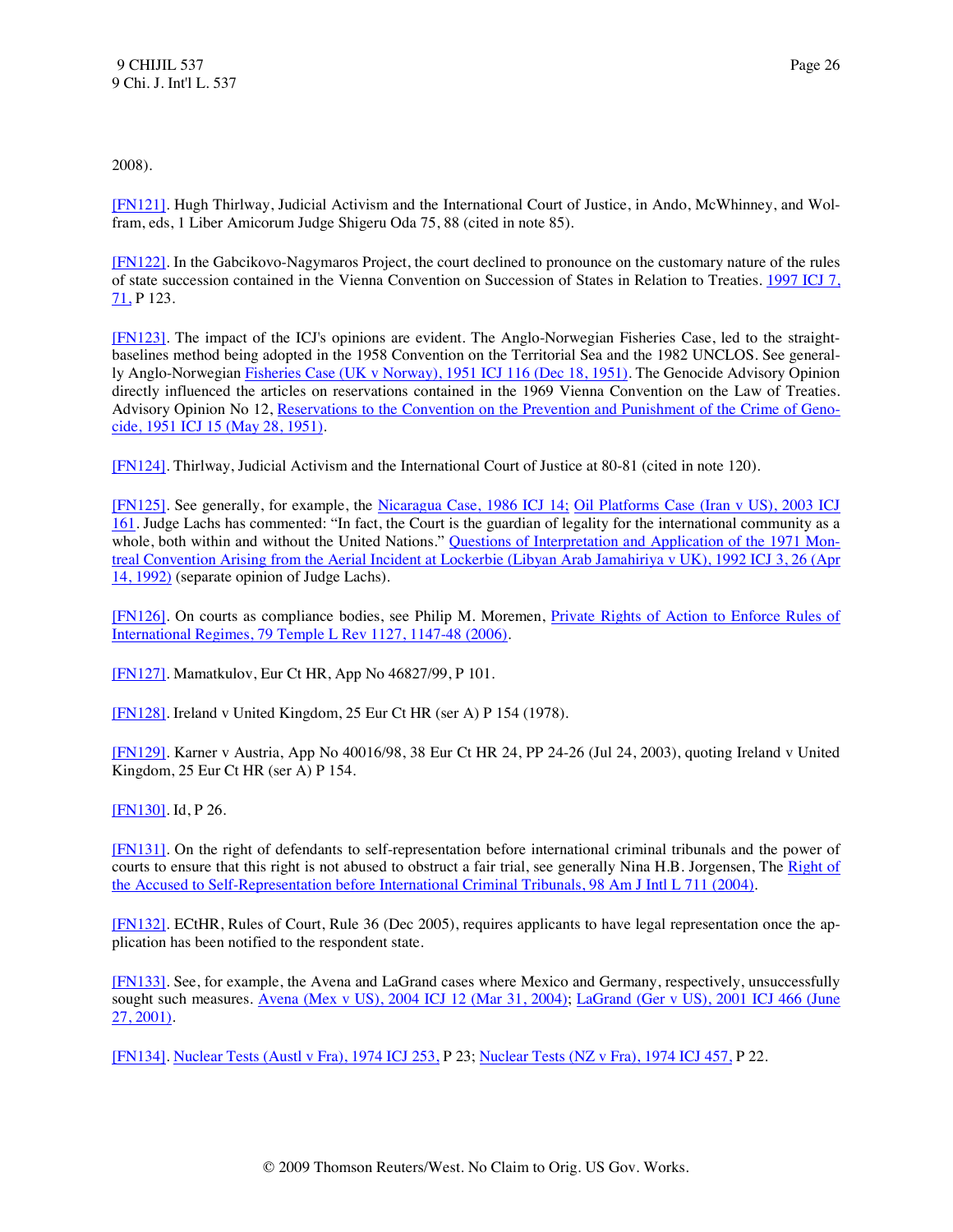2008).

<span id="page-26-0"></span>[\[FN121\].](#page-11-0) Hugh Thirlway, Judicial Activism and the International Court of Justice, in Ando, McWhinney, and Wolfram, eds, 1 Liber Amicorum Judge Shigeru Oda 75, 88 (cited in note 85).

<span id="page-26-1"></span>[\[FN122\].](#page-11-1) In the Gabcikovo-Nagymaros Project, the court declined to pronounce on the customary nature of the rules of state succession contained in the Vienna Convention on Succession of States in Relation to Treaties. [1997 ICJ 7,](http://www.westlaw.com/Find/Default.wl?rs=dfa1.0&vr=2.0&DB=147&FindType=Y&ReferencePositionType=S&SerialNum=1999243462&ReferencePosition=71)  [71,](http://www.westlaw.com/Find/Default.wl?rs=dfa1.0&vr=2.0&DB=147&FindType=Y&ReferencePositionType=S&SerialNum=1999243462&ReferencePosition=71) P 123.

<span id="page-26-2"></span>[\[FN123\].](#page-11-2) The impact of the ICJ's opinions are evident. The Anglo-Norwegian Fisheries Case, led to the straightbaselines method being adopted in the 1958 Convention on the Territorial Sea and the 1982 UNCLOS. See generally Anglo-Norwegian [Fisheries Case \(UK v Norway\), 1951 ICJ 116 \(Dec 18, 1951\).](http://www.westlaw.com/Find/Default.wl?rs=dfa1.0&vr=2.0&DB=147&FindType=Y&SerialNum=1951000014) The Genocide Advisory Opinion directly influenced the articles on reservations contained in the 1969 Vienna Convention on the Law of Treaties. Advisory Opinion No 12, [Reservations to the Convention on the Prevention and Punishment of the Crime of Geno](http://www.westlaw.com/Find/Default.wl?rs=dfa1.0&vr=2.0&DB=147&FindType=Y&SerialNum=1951000005)[cide, 1951 ICJ 15 \(May 28, 1951\).](http://www.westlaw.com/Find/Default.wl?rs=dfa1.0&vr=2.0&DB=147&FindType=Y&SerialNum=1951000005)

<span id="page-26-3"></span>[\[FN124\].](#page-11-3) Thirlway, Judicial Activism and the International Court of Justice at 80-81 (cited in note 120).

<span id="page-26-4"></span>[\[FN125\].](#page-11-4) See generally, for example, the [Nicaragua Case, 1986 ICJ 14;](http://www.westlaw.com/Find/Default.wl?rs=dfa1.0&vr=2.0&DB=147&FindType=Y&SerialNum=1986000149) Oil Platforms Case (Iran v US), 2003 ICJ [161.](http://www.westlaw.com/Find/Default.wl?rs=dfa1.0&vr=2.0&DB=147&FindType=Y&SerialNum=2004243656) Judge Lachs has commented: "In fact, the Court is the guardian of legality for the international community as a whole, both within and without the United Nations." [Questions of Interpretation and Application of the 1971 Mon](http://www.westlaw.com/Find/Default.wl?rs=dfa1.0&vr=2.0&DB=147&FindType=Y&ReferencePositionType=S&SerialNum=1992143461&ReferencePosition=26)[treal Convention Arising from the Aerial Incident at Lockerbie \(Libyan Arab Jamahiriya v UK\), 1992 ICJ 3, 26 \(Apr](http://www.westlaw.com/Find/Default.wl?rs=dfa1.0&vr=2.0&DB=147&FindType=Y&ReferencePositionType=S&SerialNum=1992143461&ReferencePosition=26)  [14, 1992\)](http://www.westlaw.com/Find/Default.wl?rs=dfa1.0&vr=2.0&DB=147&FindType=Y&ReferencePositionType=S&SerialNum=1992143461&ReferencePosition=26) (separate opinion of Judge Lachs).

<span id="page-26-5"></span>[\[FN126\].](#page-11-5) On courts as compliance bodies, see Philip M. Moremen, *Private Rights of Action to Enforce Rules of* [International Regimes, 79 Temple L Rev 1127, 1147-48 \(2006\).](http://www.westlaw.com/Find/Default.wl?rs=dfa1.0&vr=2.0&DB=1566&FindType=Y&ReferencePositionType=S&SerialNum=0332454133&ReferencePosition=1147)

<span id="page-26-6"></span>[\[FN127\].](#page-11-6) Mamatkulov, Eur Ct HR, App No 46827/99, P 101.

<span id="page-26-7"></span>[\[FN128\].](#page-11-7) Ireland v United Kingdom, 25 Eur Ct HR (ser A) P 154 (1978).

<span id="page-26-8"></span>[\[FN129\].](#page-11-8) Karner v Austria, App No 40016/98, 38 Eur Ct HR 24, PP 24-26 (Jul 24, 2003), quoting Ireland v United Kingdom, 25 Eur Ct HR (ser A) P 154.

<span id="page-26-9"></span>[\[FN130\].](#page-12-0) Id, P 26.

<span id="page-26-10"></span>[\[FN131\].](#page-12-1) On the right of defendants to self-representation before international criminal tribunals and the power of courts to ensure that this right is not abused to obstruct a fair trial, see generally Nina H.B. Jorgensen, The Right of [the Accused to Self-Representation before International Criminal Tribunals, 98 Am J Intl L 711 \(2004\).](http://www.westlaw.com/Find/Default.wl?rs=dfa1.0&vr=2.0&DB=3263&FindType=Y&SerialNum=0303279393)

<span id="page-26-11"></span>[\[FN132\].](#page-12-2) ECtHR, Rules of Court, Rule 36 (Dec 2005), requires applicants to have legal representation once the application has been notified to the respondent state.

<span id="page-26-12"></span>[\[FN133\].](#page-12-3) See, for example, the Avena and LaGrand cases where Mexico and Germany, respectively, unsuccessfully sought such measures. [Avena \(Mex v US\), 2004 ICJ 12 \(Mar 31, 2004\);](http://www.westlaw.com/Find/Default.wl?rs=dfa1.0&vr=2.0&DB=147&FindType=Y&SerialNum=2005430198) LaGrand (Ger v US), 2001 ICJ 466 (June [27, 2001\).](http://www.westlaw.com/Find/Default.wl?rs=dfa1.0&vr=2.0&DB=147&FindType=Y&SerialNum=2004638078)

<span id="page-26-13"></span>[\[FN134\].](#page-12-4) [Nuclear Tests \(Austl v Fra\), 1974 ICJ 253,](http://www.westlaw.com/Find/Default.wl?rs=dfa1.0&vr=2.0&DB=147&FindType=Y&SerialNum=1974000872) P 23; [Nuclear Tests \(NZ v Fra\), 1974 ICJ 457,](http://www.westlaw.com/Find/Default.wl?rs=dfa1.0&vr=2.0&DB=147&FindType=Y&SerialNum=1974000873) P 22.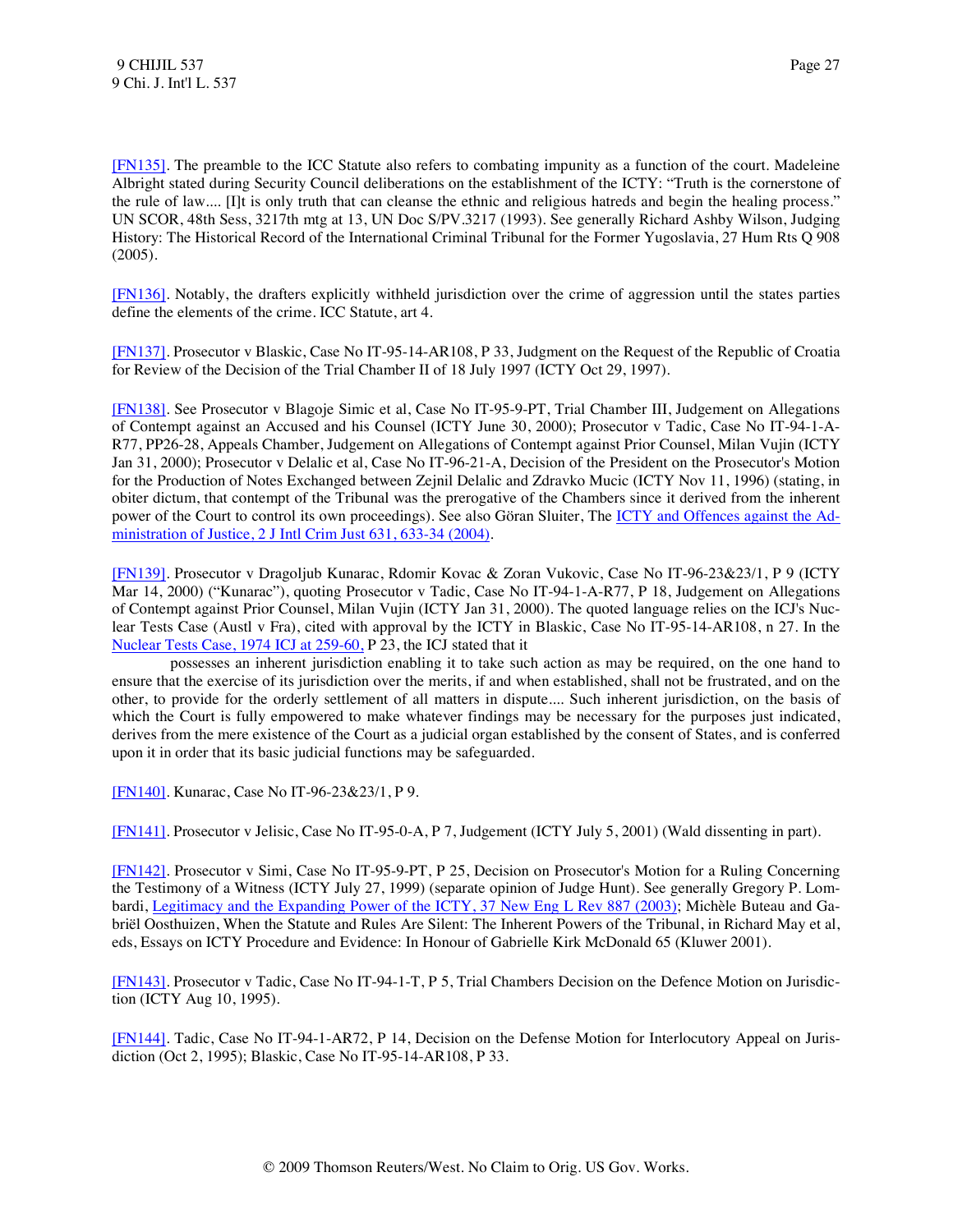<span id="page-27-0"></span>[\[FN135\].](#page-12-5) The preamble to the ICC Statute also refers to combating impunity as a function of the court. Madeleine Albright stated during Security Council deliberations on the establishment of the ICTY: "Truth is the cornerstone of the rule of law.... [I]t is only truth that can cleanse the ethnic and religious hatreds and begin the healing process." UN SCOR, 48th Sess, 3217th mtg at 13, UN Doc S/PV.3217 (1993). See generally Richard Ashby Wilson, Judging History: The Historical Record of the International Criminal Tribunal for the Former Yugoslavia, 27 Hum Rts Q 908 (2005).

<span id="page-27-1"></span>[\[FN136\].](#page-12-6) Notably, the drafters explicitly withheld jurisdiction over the crime of aggression until the states parties define the elements of the crime. ICC Statute, art 4.

<span id="page-27-2"></span>[\[FN137\].](#page-12-7) Prosecutor v Blaskic, Case No IT-95-14-AR108, P 33, Judgment on the Request of the Republic of Croatia for Review of the Decision of the Trial Chamber II of 18 July 1997 (ICTY Oct 29, 1997).

<span id="page-27-3"></span>[\[FN138\].](#page-13-0) See Prosecutor v Blagoje Simic et al, Case No IT-95-9-PT, Trial Chamber III, Judgement on Allegations of Contempt against an Accused and his Counsel (ICTY June 30, 2000); Prosecutor v Tadic, Case No IT-94-1-A-R77, PP26-28, Appeals Chamber, Judgement on Allegations of Contempt against Prior Counsel, Milan Vujin (ICTY Jan 31, 2000); Prosecutor v Delalic et al, Case No IT-96-21-A, Decision of the President on the Prosecutor's Motion for the Production of Notes Exchanged between Zejnil Delalic and Zdravko Mucic (ICTY Nov 11, 1996) (stating, in obiter dictum, that contempt of the Tribunal was the prerogative of the Chambers since it derived from the inherent power of the Court to control its own proceedings). See also Göran Sluiter, The [ICTY and Offences against the Ad](http://www.westlaw.com/Find/Default.wl?rs=dfa1.0&vr=2.0&DB=176279&FindType=Y&ReferencePositionType=S&SerialNum=0302482406&ReferencePosition=633)[ministration of Justice, 2 J Intl Crim Just 631, 633-34 \(2004\).](http://www.westlaw.com/Find/Default.wl?rs=dfa1.0&vr=2.0&DB=176279&FindType=Y&ReferencePositionType=S&SerialNum=0302482406&ReferencePosition=633)

<span id="page-27-4"></span>[\[FN139\].](#page-13-1) Prosecutor v Dragoljub Kunarac, Rdomir Kovac & Zoran Vukovic, Case No IT-96-23&23/1, P 9 (ICTY Mar 14, 2000) ("Kunarac"), quoting Prosecutor v Tadic, Case No IT-94-1-A-R77, P 18, Judgement on Allegations of Contempt against Prior Counsel, Milan Vujin (ICTY Jan 31, 2000). The quoted language relies on the ICJ's Nuclear Tests Case (Austl v Fra), cited with approval by the ICTY in Blaskic, Case No IT-95-14-AR108, n 27. In the [Nuclear Tests Case, 1974 ICJ at 259-60,](http://www.westlaw.com/Find/Default.wl?rs=dfa1.0&vr=2.0&DB=147&FindType=Y&ReferencePositionType=S&SerialNum=1974000872&ReferencePosition=259) P 23, the ICJ stated that it

 possesses an inherent jurisdiction enabling it to take such action as may be required, on the one hand to ensure that the exercise of its jurisdiction over the merits, if and when established, shall not be frustrated, and on the other, to provide for the orderly settlement of all matters in dispute.... Such inherent jurisdiction, on the basis of which the Court is fully empowered to make whatever findings may be necessary for the purposes just indicated, derives from the mere existence of the Court as a judicial organ established by the consent of States, and is conferred upon it in order that its basic judicial functions may be safeguarded.

<span id="page-27-5"></span>[\[FN140\].](#page-13-2) Kunarac, Case No IT-96-23&23/1, P 9.

<span id="page-27-6"></span>[\[FN141\].](#page-13-3) Prosecutor v Jelisic, Case No IT-95-0-A, P 7, Judgement (ICTY July 5, 2001) (Wald dissenting in part).

<span id="page-27-7"></span>[\[FN142\].](#page-13-4) Prosecutor v Simi, Case No IT-95-9-PT, P 25, Decision on Prosecutor's Motion for a Ruling Concerning the Testimony of a Witness (ICTY July 27, 1999) (separate opinion of Judge Hunt). See generally Gregory P. Lombardi, [Legitimacy and the Expanding Power of the ICTY, 37 New Eng L Rev 887 \(2003\);](http://www.westlaw.com/Find/Default.wl?rs=dfa1.0&vr=2.0&DB=2609&FindType=Y&SerialNum=0294722621) Michèle Buteau and Gabriël Oosthuizen, When the Statute and Rules Are Silent: The Inherent Powers of the Tribunal, in Richard May et al, eds, Essays on ICTY Procedure and Evidence: In Honour of Gabrielle Kirk McDonald 65 (Kluwer 2001).

<span id="page-27-8"></span>[\[FN143\].](#page-13-5) Prosecutor v Tadic, Case No IT-94-1-T, P 5, Trial Chambers Decision on the Defence Motion on Jurisdiction (ICTY Aug 10, 1995).

<span id="page-27-9"></span>[\[FN144\].](#page-13-6) Tadic, Case No IT-94-1-AR72, P 14, Decision on the Defense Motion for Interlocutory Appeal on Jurisdiction (Oct 2, 1995); Blaskic, Case No IT-95-14-AR108, P 33.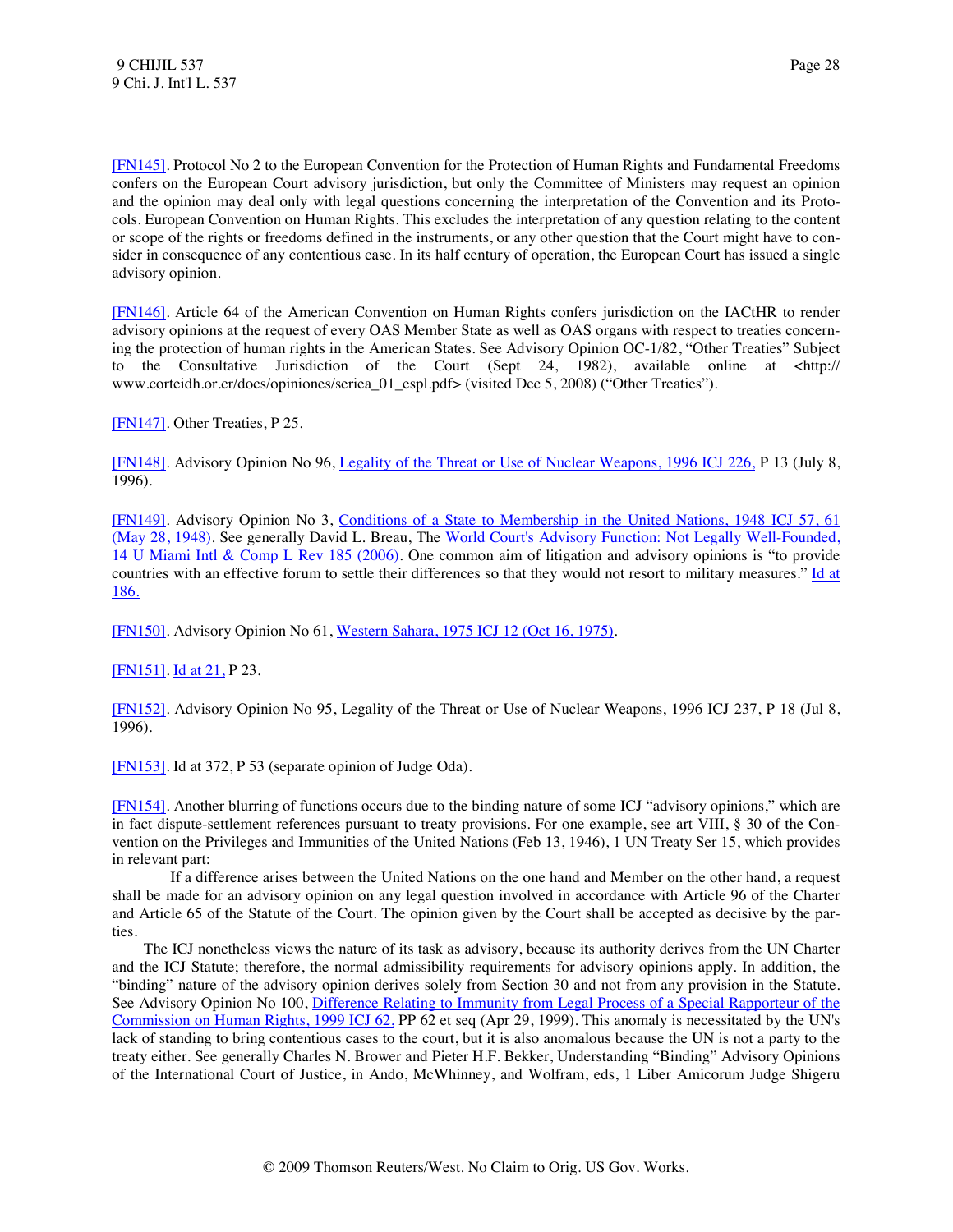<span id="page-28-0"></span>[\[FN145\].](#page-13-7) Protocol No 2 to the European Convention for the Protection of Human Rights and Fundamental Freedoms confers on the European Court advisory jurisdiction, but only the Committee of Ministers may request an opinion and the opinion may deal only with legal questions concerning the interpretation of the Convention and its Protocols. European Convention on Human Rights. This excludes the interpretation of any question relating to the content or scope of the rights or freedoms defined in the instruments, or any other question that the Court might have to consider in consequence of any contentious case. In its half century of operation, the European Court has issued a single advisory opinion.

<span id="page-28-1"></span>[\[FN146\].](#page-13-8) Article 64 of the American Convention on Human Rights confers jurisdiction on the IACtHR to render advisory opinions at the request of every OAS Member State as well as OAS organs with respect to treaties concerning the protection of human rights in the American States. See Advisory Opinion OC-1/82, "Other Treaties" Subject to the Consultative Jurisdiction of the Court (Sept 24, 1982), available online at <http:// www.corteidh.or.cr/docs/opiniones/seriea\_01\_espl.pdf> (visited Dec 5, 2008) ("Other Treaties").

<span id="page-28-2"></span>[\[FN147\].](#page-13-9) Other Treaties, P 25.

<span id="page-28-3"></span>[\[FN148\].](#page-14-0) Advisory Opinion No 96, [Legality of the Threat or Use of Nuclear Weapons, 1996 ICJ 226,](http://www.westlaw.com/Find/Default.wl?rs=dfa1.0&vr=2.0&DB=147&FindType=Y&SerialNum=1998088747) P 13 (July 8, 1996).

<span id="page-28-4"></span>[\[FN149\].](#page-14-1) Advisory Opinion No 3, [Conditions of a State to Membership in the United Nations, 1948 ICJ 57, 61](http://www.westlaw.com/Find/Default.wl?rs=dfa1.0&vr=2.0&DB=147&FindType=Y&ReferencePositionType=S&SerialNum=1948000002&ReferencePosition=61)  [\(May 28, 1948\).](http://www.westlaw.com/Find/Default.wl?rs=dfa1.0&vr=2.0&DB=147&FindType=Y&ReferencePositionType=S&SerialNum=1948000002&ReferencePosition=61) See generally David L. Breau, The [World Court's Advisory Function: Not Legally Well-Founded,](http://www.westlaw.com/Find/Default.wl?rs=dfa1.0&vr=2.0&DB=137188&FindType=Y&SerialNum=0331488571)  [14 U Miami Intl & Comp L Rev 185 \(2006\).](http://www.westlaw.com/Find/Default.wl?rs=dfa1.0&vr=2.0&DB=137188&FindType=Y&SerialNum=0331488571) One common aim of litigation and advisory opinions is "to provide countries with an effective forum to settle their differences so that they would not resort to military measures." Id at [186.](http://www.westlaw.com/Find/Default.wl?rs=dfa1.0&vr=2.0&FindType=Y&SerialNum=0331488571)

<span id="page-28-5"></span>[\[FN150\].](#page-14-2) Advisory Opinion No 61, [Western Sahara, 1975 ICJ 12 \(Oct 16, 1975\).](http://www.westlaw.com/Find/Default.wl?rs=dfa1.0&vr=2.0&DB=147&FindType=Y&SerialNum=1975000774)

## <span id="page-28-6"></span>[\[FN151\].](#page-14-3) [Id at 21,](http://www.westlaw.com/Find/Default.wl?rs=dfa1.0&vr=2.0&FindType=Y&SerialNum=1975000774) P 23.

<span id="page-28-7"></span>[\[FN152\].](#page-14-4) Advisory Opinion No 95, Legality of the Threat or Use of Nuclear Weapons, 1996 ICJ 237, P 18 (Jul 8, 1996).

<span id="page-28-8"></span>[\[FN153\].](#page-14-5) Id at 372, P 53 (separate opinion of Judge Oda).

<span id="page-28-9"></span>[\[FN154\].](#page-14-6) Another blurring of functions occurs due to the binding nature of some ICJ "advisory opinions," which are in fact dispute-settlement references pursuant to treaty provisions. For one example, see art VIII, § 30 of the Convention on the Privileges and Immunities of the United Nations (Feb 13, 1946), 1 UN Treaty Ser 15, which provides in relevant part:

 If a difference arises between the United Nations on the one hand and Member on the other hand, a request shall be made for an advisory opinion on any legal question involved in accordance with Article 96 of the Charter and Article 65 of the Statute of the Court. The opinion given by the Court shall be accepted as decisive by the parties.

 The ICJ nonetheless views the nature of its task as advisory, because its authority derives from the UN Charter and the ICJ Statute; therefore, the normal admissibility requirements for advisory opinions apply. In addition, the "binding" nature of the advisory opinion derives solely from Section 30 and not from any provision in the Statute. See Advisory Opinion No 100, [Difference Relating to Immunity from Legal Process of a Special Rapporteur of the](http://www.westlaw.com/Find/Default.wl?rs=dfa1.0&vr=2.0&DB=147&FindType=Y&SerialNum=2000572321)  [Commission on Human Rights, 1999 ICJ 62,](http://www.westlaw.com/Find/Default.wl?rs=dfa1.0&vr=2.0&DB=147&FindType=Y&SerialNum=2000572321) PP 62 et seq (Apr 29, 1999). This anomaly is necessitated by the UN's lack of standing to bring contentious cases to the court, but it is also anomalous because the UN is not a party to the treaty either. See generally Charles N. Brower and Pieter H.F. Bekker, Understanding "Binding" Advisory Opinions of the International Court of Justice, in Ando, McWhinney, and Wolfram, eds, 1 Liber Amicorum Judge Shigeru